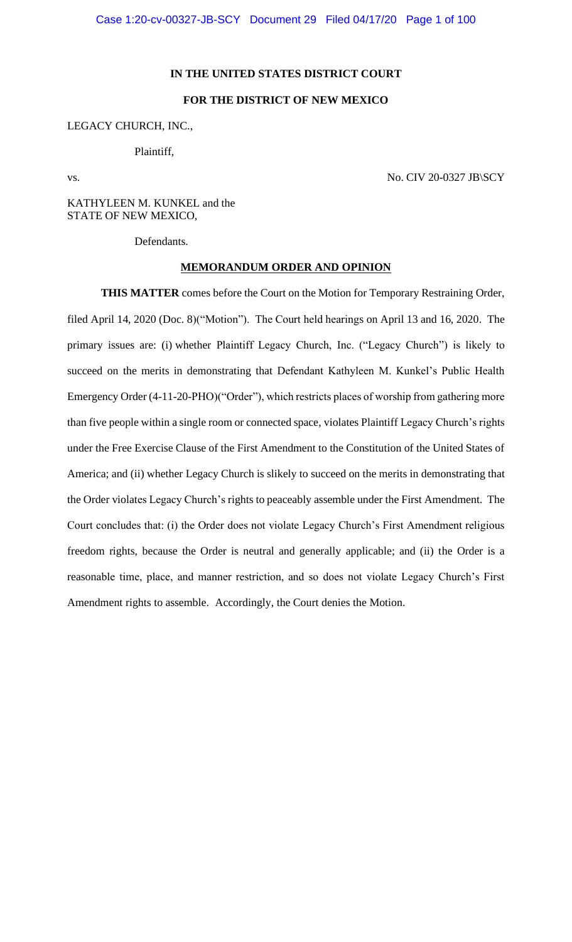## **IN THE UNITED STATES DISTRICT COURT**

# **FOR THE DISTRICT OF NEW MEXICO**

## LEGACY CHURCH, INC.,

Plaintiff,

vs. No. CIV 20-0327 JB\SCY

KATHYLEEN M. KUNKEL and the STATE OF NEW MEXICO,

Defendants.

#### **MEMORANDUM ORDER AND OPINION**

**THIS MATTER** comes before the Court on the Motion for Temporary Restraining Order, filed April 14, 2020 (Doc. 8)("Motion"). The Court held hearings on April 13 and 16, 2020. The primary issues are: (i) whether Plaintiff Legacy Church, Inc. ("Legacy Church") is likely to succeed on the merits in demonstrating that Defendant Kathyleen M. Kunkel's Public Health Emergency Order (4-11-20-PHO)("Order"), which restricts places of worship from gathering more than five people within a single room or connected space, violates Plaintiff Legacy Church's rights under the Free Exercise Clause of the First Amendment to the Constitution of the United States of America; and (ii) whether Legacy Church is slikely to succeed on the merits in demonstrating that the Order violates Legacy Church's rights to peaceably assemble under the First Amendment. The Court concludes that: (i) the Order does not violate Legacy Church's First Amendment religious freedom rights, because the Order is neutral and generally applicable; and (ii) the Order is a reasonable time, place, and manner restriction, and so does not violate Legacy Church's First Amendment rights to assemble. Accordingly, the Court denies the Motion.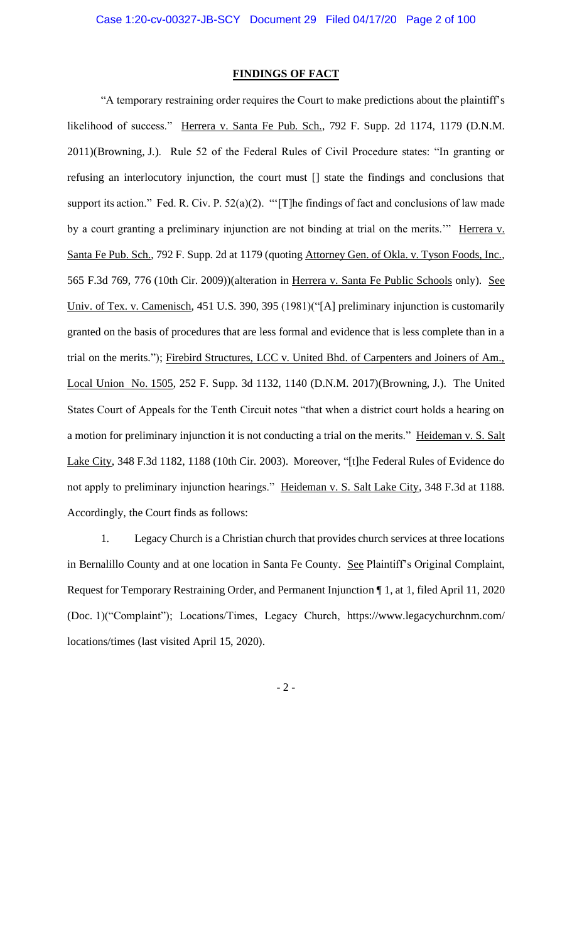## **FINDINGS OF FACT**

"A temporary restraining order requires the Court to make predictions about the plaintiff's likelihood of success." Herrera v. Santa Fe Pub. Sch., 792 F. Supp. 2d 1174, 1179 (D.N.M. 2011)(Browning, J.). Rule 52 of the Federal Rules of Civil Procedure states: "In granting or refusing an interlocutory injunction, the court must [] state the findings and conclusions that support its action." Fed. R. Civ. P. 52(a)(2). "'[T]he findings of fact and conclusions of law made by a court granting a preliminary injunction are not binding at trial on the merits." Herrera v. Santa Fe Pub. Sch., 792 F. Supp. 2d at 1179 (quoting Attorney Gen. of Okla. v. Tyson Foods, Inc., 565 F.3d 769, 776 (10th Cir. 2009))(alteration in Herrera v. Santa Fe Public Schools only). See Univ. of Tex. v. Camenisch, 451 U.S. 390, 395 (1981)("[A] preliminary injunction is customarily granted on the basis of procedures that are less formal and evidence that is less complete than in a trial on the merits."); Firebird Structures, LCC v. United Bhd. of Carpenters and Joiners of Am., Local Union No. 1505, 252 F. Supp. 3d 1132, 1140 (D.N.M. 2017)(Browning, J.). The United States Court of Appeals for the Tenth Circuit notes "that when a district court holds a hearing on a motion for preliminary injunction it is not conducting a trial on the merits." Heideman v. S. Salt Lake City, 348 F.3d 1182, 1188 (10th Cir. 2003). Moreover, "[t]he Federal Rules of Evidence do not apply to preliminary injunction hearings." Heideman v. S. Salt Lake City, 348 F.3d at 1188. Accordingly, the Court finds as follows:

1. Legacy Church is a Christian church that provides church services at three locations in Bernalillo County and at one location in Santa Fe County. See Plaintiff's Original Complaint, Request for Temporary Restraining Order, and Permanent Injunction ¶ 1, at 1, filed April 11, 2020 (Doc. 1)("Complaint"); Locations/Times, Legacy Church, https://www.legacychurchnm.com/ locations/times (last visited April 15, 2020).

- 2 -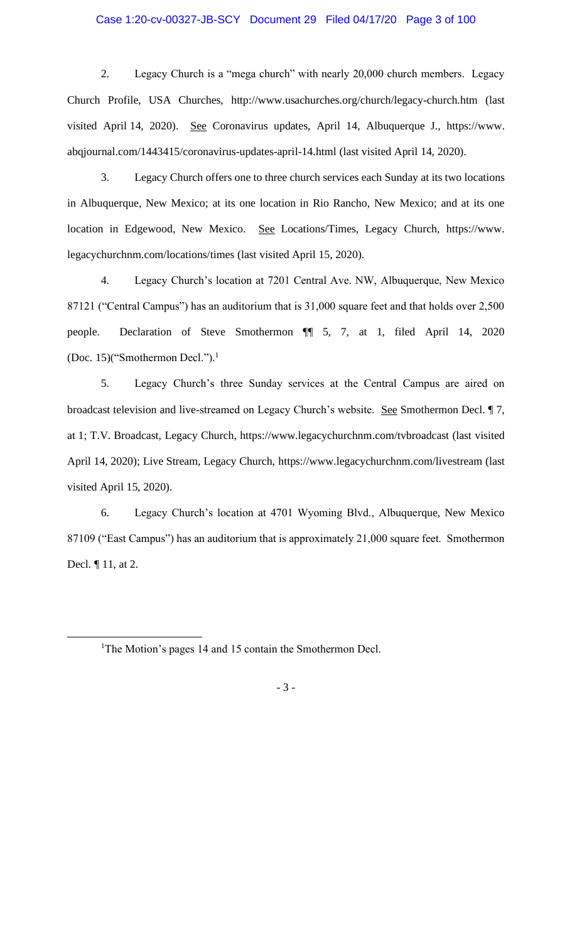### Case 1:20-cv-00327-JB-SCY Document 29 Filed 04/17/20 Page 3 of 100

2. Legacy Church is a "mega church" with nearly 20,000 church members. Legacy Church Profile, USA Churches, http://www.usachurches.org/church/legacy-church.htm (last visited April 14, 2020). See Coronavirus updates, April 14, Albuquerque J., https://www. abqjournal.com/1443415/coronavirus-updates-april-14.html (last visited April 14, 2020).

3. Legacy Church offers one to three church services each Sunday at its two locations in Albuquerque, New Mexico; at its one location in Rio Rancho, New Mexico; and at its one location in Edgewood, New Mexico. See Locations/Times, Legacy Church, https://www. legacychurchnm.com/locations/times (last visited April 15, 2020).

4. Legacy Church's location at 7201 Central Ave. NW, Albuquerque, New Mexico 87121 ("Central Campus") has an auditorium that is 31,000 square feet and that holds over 2,500 people. Declaration of Steve Smothermon ¶¶ 5, 7, at 1, filed April 14, 2020 (Doc. 15)("Smothermon Decl."). $<sup>1</sup>$ </sup>

5. Legacy Church's three Sunday services at the Central Campus are aired on broadcast television and live-streamed on Legacy Church's website. See Smothermon Decl. ¶ 7, at 1; T.V. Broadcast, Legacy Church, https://www.legacychurchnm.com/tvbroadcast (last visited April 14, 2020); Live Stream, Legacy Church, https://www.legacychurchnm.com/livestream (last visited April 15, 2020).

6. Legacy Church's location at 4701 Wyoming Blvd., Albuquerque, New Mexico 87109 ("East Campus") has an auditorium that is approximately 21,000 square feet. Smothermon Decl. ¶ 11, at 2.

<sup>&</sup>lt;sup>1</sup>The Motion's pages 14 and 15 contain the Smothermon Decl.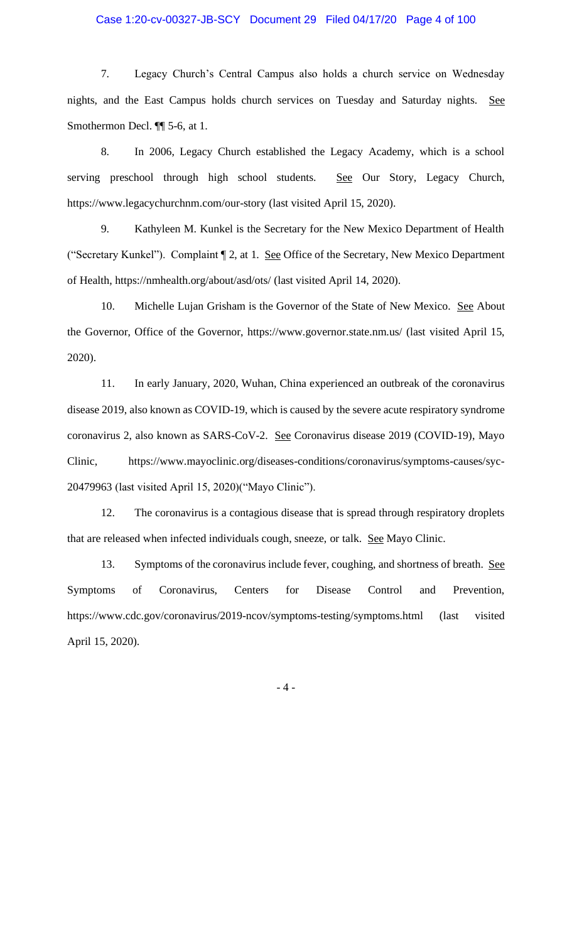## Case 1:20-cv-00327-JB-SCY Document 29 Filed 04/17/20 Page 4 of 100

7. Legacy Church's Central Campus also holds a church service on Wednesday nights, and the East Campus holds church services on Tuesday and Saturday nights. See Smothermon Decl. ¶¶ 5-6, at 1.

8. In 2006, Legacy Church established the Legacy Academy, which is a school serving preschool through high school students. See Our Story, Legacy Church, https://www.legacychurchnm.com/our-story (last visited April 15, 2020).

9. Kathyleen M. Kunkel is the Secretary for the New Mexico Department of Health ("Secretary Kunkel"). Complaint ¶ 2, at 1. See Office of the Secretary, New Mexico Department of Health, https://nmhealth.org/about/asd/ots/ (last visited April 14, 2020).

10. Michelle Lujan Grisham is the Governor of the State of New Mexico. See About the Governor, Office of the Governor, https://www.governor.state.nm.us/ (last visited April 15, 2020).

11. In early January, 2020, Wuhan, China experienced an outbreak of the coronavirus disease 2019, also known as COVID-19, which is caused by the severe acute respiratory syndrome coronavirus 2, also known as SARS-CoV-2. See Coronavirus disease 2019 (COVID-19), Mayo Clinic, https://www.mayoclinic.org/diseases-conditions/coronavirus/symptoms-causes/syc-20479963 (last visited April 15, 2020)("Mayo Clinic").

12. The coronavirus is a contagious disease that is spread through respiratory droplets that are released when infected individuals cough, sneeze, or talk. See Mayo Clinic.

13. Symptoms of the coronavirus include fever, coughing, and shortness of breath. See Symptoms of Coronavirus, Centers for Disease Control and Prevention, https://www.cdc.gov/coronavirus/2019-ncov/symptoms-testing/symptoms.html (last visited April 15, 2020).

- 4 -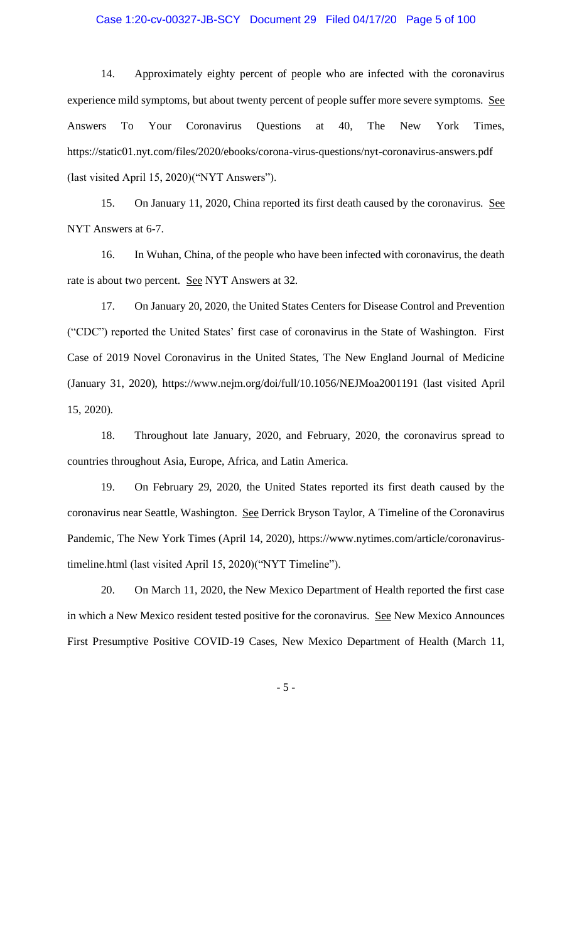## Case 1:20-cv-00327-JB-SCY Document 29 Filed 04/17/20 Page 5 of 100

14. Approximately eighty percent of people who are infected with the coronavirus experience mild symptoms, but about twenty percent of people suffer more severe symptoms. See Answers To Your Coronavirus Questions at 40, The New York Times, https://static01.nyt.com/files/2020/ebooks/corona-virus-questions/nyt-coronavirus-answers.pdf (last visited April 15, 2020)("NYT Answers").

15. On January 11, 2020, China reported its first death caused by the coronavirus. See NYT Answers at 6-7.

16. In Wuhan, China, of the people who have been infected with coronavirus, the death rate is about two percent. See NYT Answers at 32.

17. On January 20, 2020, the United States Centers for Disease Control and Prevention ("CDC") reported the United States' first case of coronavirus in the State of Washington. First Case of 2019 Novel Coronavirus in the United States, The New England Journal of Medicine (January 31, 2020), https://www.nejm.org/doi/full/10.1056/NEJMoa2001191 (last visited April 15, 2020).

18. Throughout late January, 2020, and February, 2020, the coronavirus spread to countries throughout Asia, Europe, Africa, and Latin America.

19. On February 29, 2020, the United States reported its first death caused by the coronavirus near Seattle, Washington. See Derrick Bryson Taylor, A Timeline of the Coronavirus Pandemic, The New York Times (April 14, 2020), https://www.nytimes.com/article/coronavirustimeline.html (last visited April 15, 2020)("NYT Timeline").

20. On March 11, 2020, the New Mexico Department of Health reported the first case in which a New Mexico resident tested positive for the coronavirus. See New Mexico Announces First Presumptive Positive COVID-19 Cases, New Mexico Department of Health (March 11,

- 5 -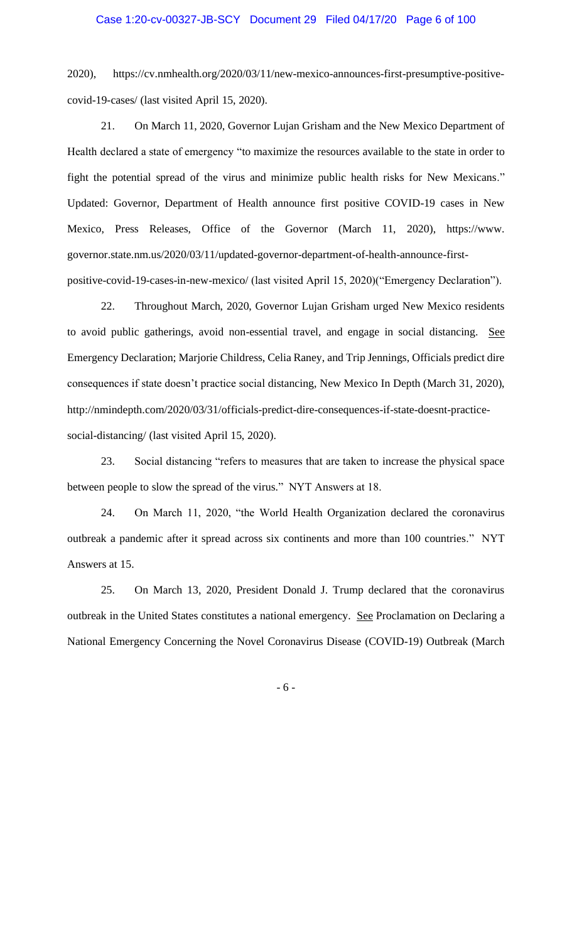2020), https://cv.nmhealth.org/2020/03/11/new-mexico-announces-first-presumptive-positivecovid-19-cases/ (last visited April 15, 2020).

21. On March 11, 2020, Governor Lujan Grisham and the New Mexico Department of Health declared a state of emergency "to maximize the resources available to the state in order to fight the potential spread of the virus and minimize public health risks for New Mexicans." Updated: Governor, Department of Health announce first positive COVID-19 cases in New Mexico, Press Releases, Office of the Governor (March 11, 2020), https://www. governor.state.nm.us/2020/03/11/updated-governor-department-of-health-announce-firstpositive-covid-19-cases-in-new-mexico/ (last visited April 15, 2020)("Emergency Declaration").

22. Throughout March, 2020, Governor Lujan Grisham urged New Mexico residents to avoid public gatherings, avoid non-essential travel, and engage in social distancing. See Emergency Declaration; Marjorie Childress, Celia Raney, and Trip Jennings, Officials predict dire consequences if state doesn't practice social distancing, New Mexico In Depth (March 31, 2020), http://nmindepth.com/2020/03/31/officials-predict-dire-consequences-if-state-doesnt-practicesocial-distancing/ (last visited April 15, 2020).

23. Social distancing "refers to measures that are taken to increase the physical space between people to slow the spread of the virus." NYT Answers at 18.

24. On March 11, 2020, "the World Health Organization declared the coronavirus outbreak a pandemic after it spread across six continents and more than 100 countries." NYT Answers at 15.

25. On March 13, 2020, President Donald J. Trump declared that the coronavirus outbreak in the United States constitutes a national emergency. See Proclamation on Declaring a National Emergency Concerning the Novel Coronavirus Disease (COVID-19) Outbreak (March

- 6 -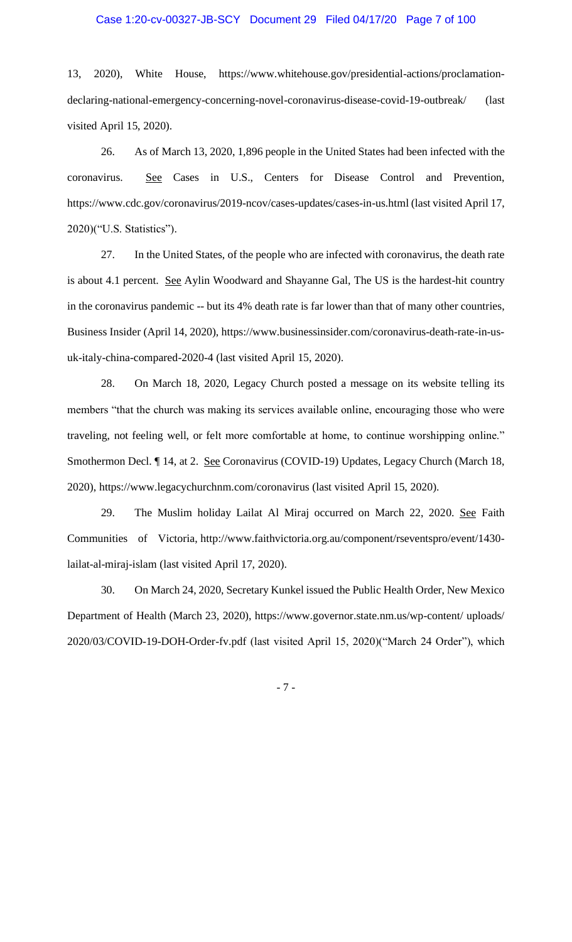### Case 1:20-cv-00327-JB-SCY Document 29 Filed 04/17/20 Page 7 of 100

13, 2020), White House, https://www.whitehouse.gov/presidential-actions/proclamationdeclaring-national-emergency-concerning-novel-coronavirus-disease-covid-19-outbreak/ (last visited April 15, 2020).

26. As of March 13, 2020, 1,896 people in the United States had been infected with the coronavirus. See Cases in U.S., Centers for Disease Control and Prevention, https://www.cdc.gov/coronavirus/2019-ncov/cases-updates/cases-in-us.html (last visited April 17, 2020)("U.S. Statistics").

27. In the United States, of the people who are infected with coronavirus, the death rate is about 4.1 percent. See Aylin Woodward and Shayanne Gal, The US is the hardest-hit country in the coronavirus pandemic -- but its 4% death rate is far lower than that of many other countries, Business Insider (April 14, 2020), https://www.businessinsider.com/coronavirus-death-rate-in-usuk-italy-china-compared-2020-4 (last visited April 15, 2020).

28. On March 18, 2020, Legacy Church posted a message on its website telling its members "that the church was making its services available online, encouraging those who were traveling, not feeling well, or felt more comfortable at home, to continue worshipping online." Smothermon Decl. ¶ 14, at 2. See Coronavirus (COVID-19) Updates, Legacy Church (March 18, 2020), https://www.legacychurchnm.com/coronavirus (last visited April 15, 2020).

29. The Muslim holiday Lailat Al Miraj occurred on March 22, 2020. See Faith Communities of Victoria, http://www.faithvictoria.org.au/component/rseventspro/event/1430 lailat-al-miraj-islam (last visited April 17, 2020).

30. On March 24, 2020, Secretary Kunkel issued the Public Health Order, New Mexico Department of Health (March 23, 2020), https://www.governor.state.nm.us/wp-content/ uploads/ 2020/03/COVID-19-DOH-Order-fv.pdf (last visited April 15, 2020)("March 24 Order"), which

- 7 -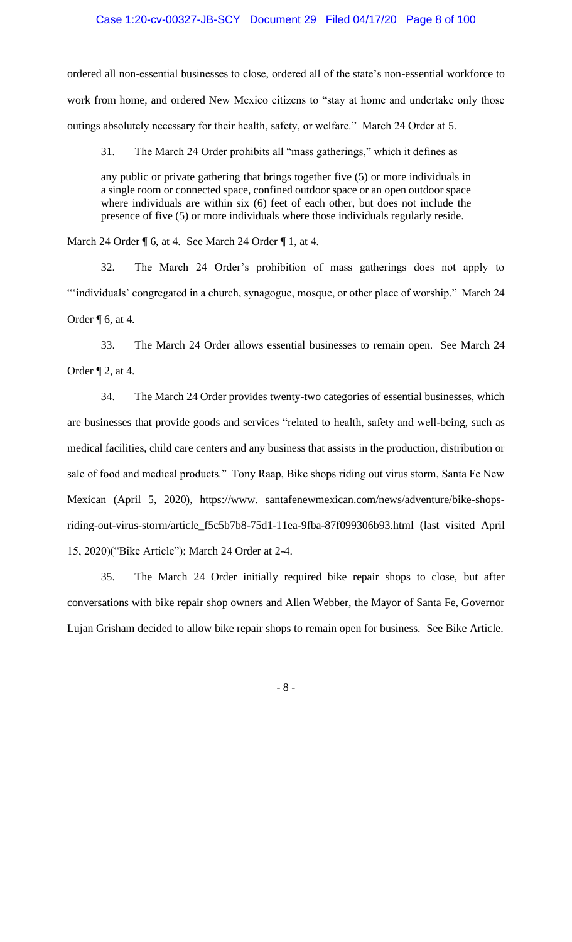ordered all non-essential businesses to close, ordered all of the state's non-essential workforce to work from home, and ordered New Mexico citizens to "stay at home and undertake only those outings absolutely necessary for their health, safety, or welfare." March 24 Order at 5.

31. The March 24 Order prohibits all "mass gatherings," which it defines as

any public or private gathering that brings together five (5) or more individuals in a single room or connected space, confined outdoor space or an open outdoor space where individuals are within six (6) feet of each other, but does not include the presence of five (5) or more individuals where those individuals regularly reside.

March 24 Order  $\P$  6, at 4. See March 24 Order  $\P$  1, at 4.

32. The March 24 Order's prohibition of mass gatherings does not apply to "individuals' congregated in a church, synagogue, mosque, or other place of worship." March 24 Order ¶ 6, at 4.

33. The March 24 Order allows essential businesses to remain open. See March 24 Order ¶ 2, at 4.

34. The March 24 Order provides twenty-two categories of essential businesses, which are businesses that provide goods and services "related to health, safety and well-being, such as medical facilities, child care centers and any business that assists in the production, distribution or sale of food and medical products." Tony Raap, Bike shops riding out virus storm, Santa Fe New Mexican (April 5, 2020), https://www. santafenewmexican.com/news/adventure/bike-shopsriding-out-virus-storm/article\_f5c5b7b8-75d1-11ea-9fba-87f099306b93.html (last visited April 15, 2020)("Bike Article"); March 24 Order at 2-4.

35. The March 24 Order initially required bike repair shops to close, but after conversations with bike repair shop owners and Allen Webber, the Mayor of Santa Fe, Governor Lujan Grisham decided to allow bike repair shops to remain open for business. See Bike Article.

- 8 -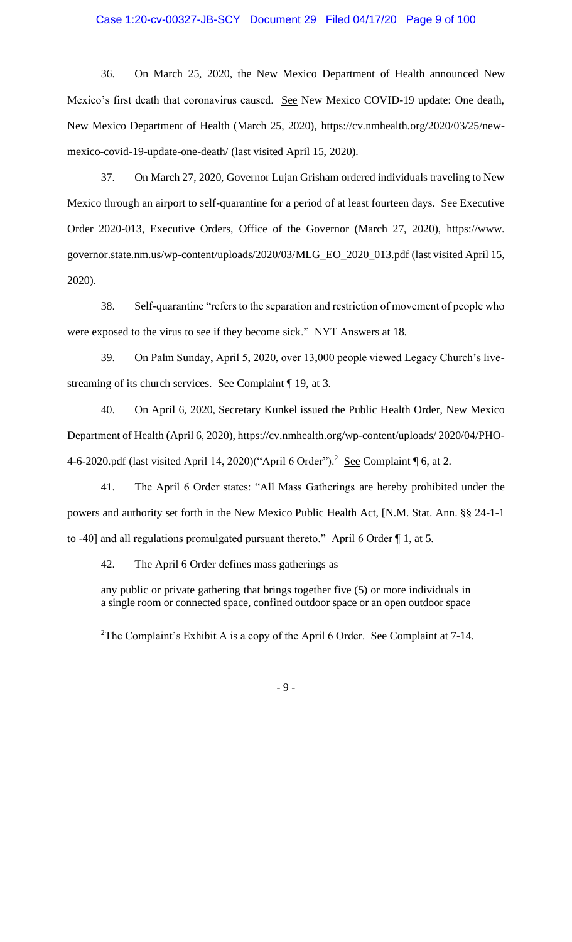## Case 1:20-cv-00327-JB-SCY Document 29 Filed 04/17/20 Page 9 of 100

36. On March 25, 2020, the New Mexico Department of Health announced New Mexico's first death that coronavirus caused. See New Mexico COVID-19 update: One death, New Mexico Department of Health (March 25, 2020), https://cv.nmhealth.org/2020/03/25/newmexico-covid-19-update-one-death/ (last visited April 15, 2020).

37. On March 27, 2020, Governor Lujan Grisham ordered individuals traveling to New Mexico through an airport to self-quarantine for a period of at least fourteen days. See Executive Order 2020-013, Executive Orders, Office of the Governor (March 27, 2020), https://www. governor.state.nm.us/wp-content/uploads/2020/03/MLG\_EO\_2020\_013.pdf (last visited April 15, 2020).

38. Self-quarantine "refers to the separation and restriction of movement of people who were exposed to the virus to see if they become sick." NYT Answers at 18.

39. On Palm Sunday, April 5, 2020, over 13,000 people viewed Legacy Church's livestreaming of its church services. See Complaint ¶ 19, at 3.

40. On April 6, 2020, Secretary Kunkel issued the Public Health Order, New Mexico Department of Health (April 6, 2020), https://cv.nmhealth.org/wp-content/uploads/ 2020/04/PHO-4-6-2020.pdf (last visited April 14, 2020)("April 6 Order").<sup>2</sup> See Complaint  $\P$  6, at 2.

41. The April 6 Order states: "All Mass Gatherings are hereby prohibited under the powers and authority set forth in the New Mexico Public Health Act, [N.M. Stat. Ann. §§ 24-1-1 to -40] and all regulations promulgated pursuant thereto." April 6 Order ¶ 1, at 5.

42. The April 6 Order defines mass gatherings as

any public or private gathering that brings together five (5) or more individuals in a single room or connected space, confined outdoor space or an open outdoor space

- 9 -

<sup>&</sup>lt;sup>2</sup>The Complaint's Exhibit A is a copy of the April 6 Order. <u>See</u> Complaint at 7-14.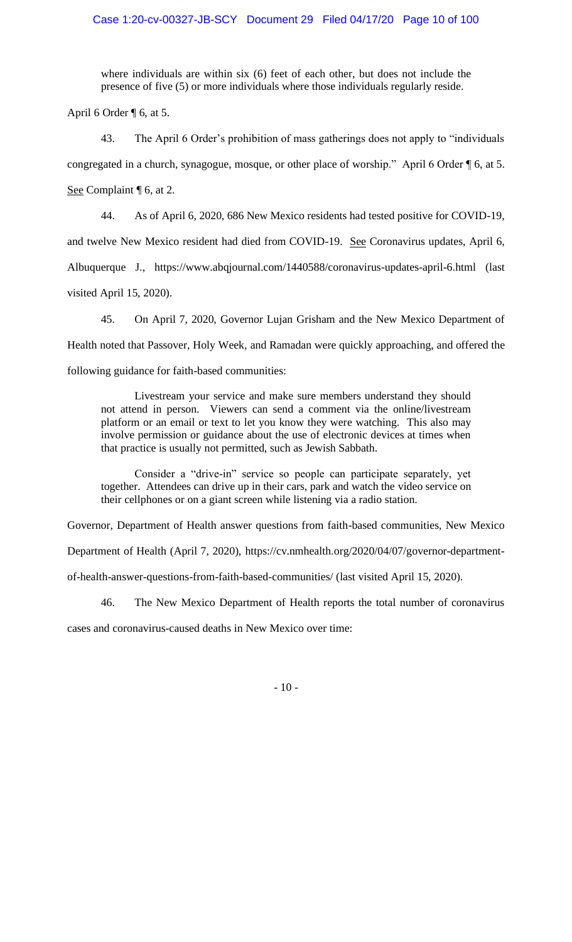where individuals are within six (6) feet of each other, but does not include the presence of five (5) or more individuals where those individuals regularly reside.

April 6 Order  $\P$  6, at 5.

43. The April 6 Order's prohibition of mass gatherings does not apply to "individuals congregated in a church, synagogue, mosque, or other place of worship." April 6 Order ¶ 6, at 5. See Complaint ¶ 6, at 2.

44. As of April 6, 2020, 686 New Mexico residents had tested positive for COVID-19,

and twelve New Mexico resident had died from COVID-19. See Coronavirus updates, April 6,

Albuquerque J., https://www.abqjournal.com/1440588/coronavirus-updates-april-6.html (last

visited April 15, 2020).

45. On April 7, 2020, Governor Lujan Grisham and the New Mexico Department of Health noted that Passover, Holy Week, and Ramadan were quickly approaching, and offered the following guidance for faith-based communities:

Livestream your service and make sure members understand they should not attend in person. Viewers can send a comment via the online/livestream platform or an email or text to let you know they were watching. This also may involve permission or guidance about the use of electronic devices at times when that practice is usually not permitted, such as Jewish Sabbath.

Consider a "drive-in" service so people can participate separately, yet together. Attendees can drive up in their cars, park and watch the video service on their cellphones or on a giant screen while listening via a radio station.

Governor, Department of Health answer questions from faith-based communities, New Mexico

Department of Health (April 7, 2020), https://cv.nmhealth.org/2020/04/07/governor-department-

of-health-answer-questions-from-faith-based-communities/ (last visited April 15, 2020).

46. The New Mexico Department of Health reports the total number of coronavirus

cases and coronavirus-caused deaths in New Mexico over time: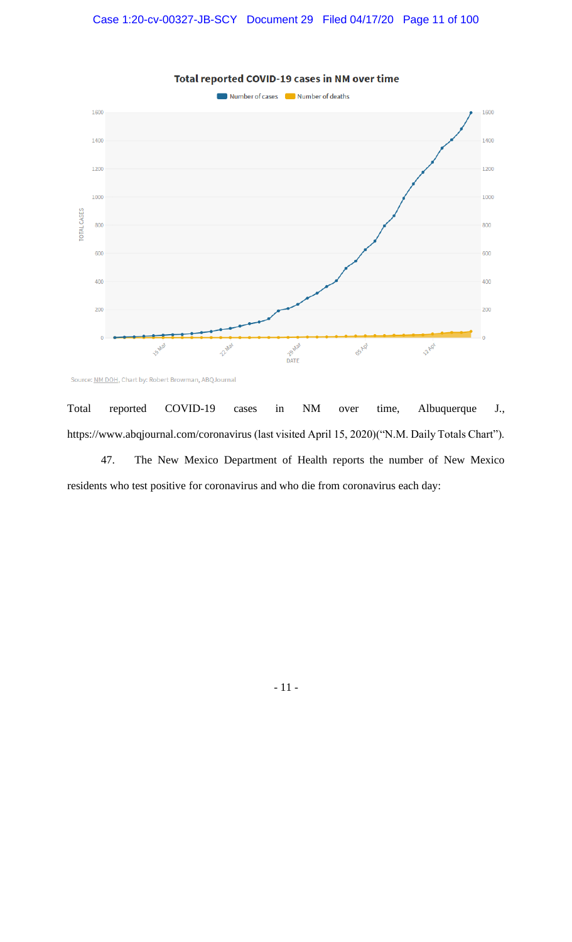

Total reported COVID-19 cases in NM over time

Source: NM DOH, Chart by: Robert Browman, ABQJournal

Total reported COVID-19 cases in NM over time, Albuquerque J., https://www.abqjournal.com/coronavirus (last visited April 15, 2020)("N.M. Daily Totals Chart").

47. The New Mexico Department of Health reports the number of New Mexico residents who test positive for coronavirus and who die from coronavirus each day:

- 11 -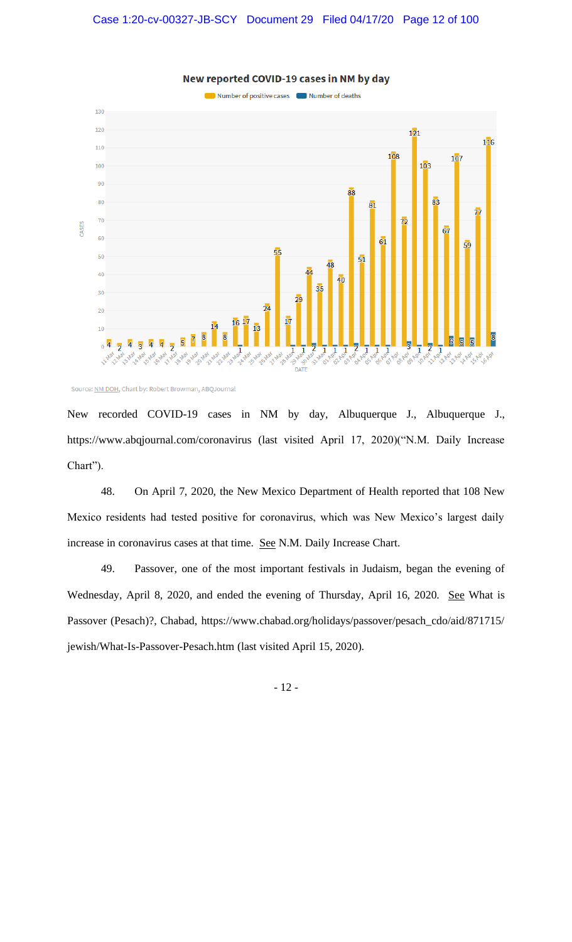

New reported COVID-19 cases in NM by day

Source: NM DOH, Chart by: Robert Browman, ABQJournal

New recorded COVID-19 cases in NM by day, Albuquerque J., Albuquerque J., https://www.abqjournal.com/coronavirus (last visited April 17, 2020)("N.M. Daily Increase Chart").

48. On April 7, 2020, the New Mexico Department of Health reported that 108 New Mexico residents had tested positive for coronavirus, which was New Mexico's largest daily increase in coronavirus cases at that time. See N.M. Daily Increase Chart.

49. Passover, one of the most important festivals in Judaism, began the evening of Wednesday, April 8, 2020, and ended the evening of Thursday, April 16, 2020. See What is Passover (Pesach)?, Chabad, https://www.chabad.org/holidays/passover/pesach\_cdo/aid/871715/ jewish/What-Is-Passover-Pesach.htm (last visited April 15, 2020).

- 12 -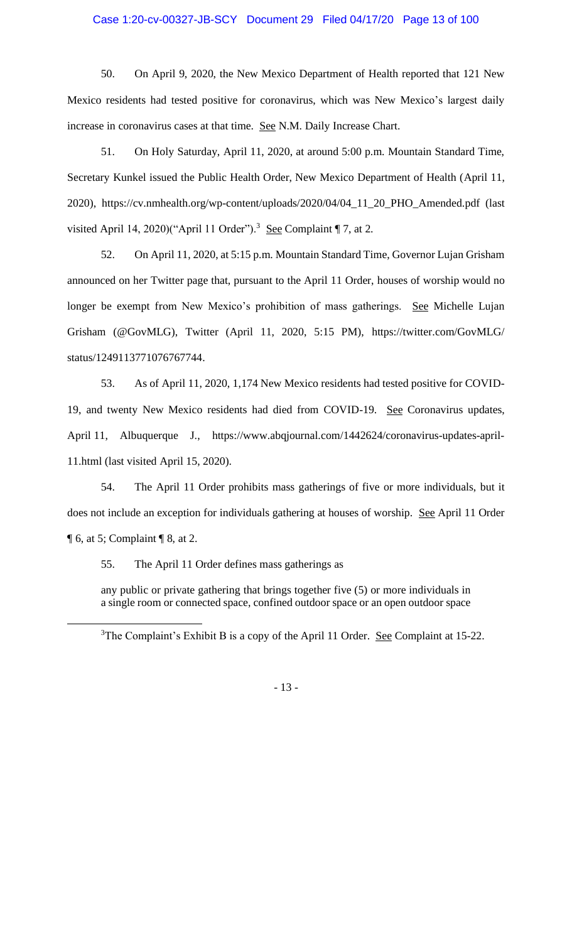50. On April 9, 2020, the New Mexico Department of Health reported that 121 New Mexico residents had tested positive for coronavirus, which was New Mexico's largest daily increase in coronavirus cases at that time. See N.M. Daily Increase Chart.

51. On Holy Saturday, April 11, 2020, at around 5:00 p.m. Mountain Standard Time, Secretary Kunkel issued the Public Health Order, New Mexico Department of Health (April 11, 2020), https://cv.nmhealth.org/wp-content/uploads/2020/04/04\_11\_20\_PHO\_Amended.pdf (last visited April 14, 2020)("April 11 Order").<sup>3</sup> See Complaint  $\P$  7, at 2.

52. On April 11, 2020, at 5:15 p.m. Mountain Standard Time, Governor Lujan Grisham announced on her Twitter page that, pursuant to the April 11 Order, houses of worship would no longer be exempt from New Mexico's prohibition of mass gatherings. See Michelle Lujan Grisham (@GovMLG), Twitter (April 11, 2020, 5:15 PM), https://twitter.com/GovMLG/ status/1249113771076767744.

53. As of April 11, 2020, 1,174 New Mexico residents had tested positive for COVID-19, and twenty New Mexico residents had died from COVID-19. See Coronavirus updates, April 11, Albuquerque J., https://www.abqjournal.com/1442624/coronavirus-updates-april-11.html (last visited April 15, 2020).

54. The April 11 Order prohibits mass gatherings of five or more individuals, but it does not include an exception for individuals gathering at houses of worship. See April 11 Order  $\P$  6, at 5; Complaint  $\P$  8, at 2.

55. The April 11 Order defines mass gatherings as

any public or private gathering that brings together five (5) or more individuals in a single room or connected space, confined outdoor space or an open outdoor space

- 13 -

<sup>&</sup>lt;sup>3</sup>The Complaint's Exhibit B is a copy of the April 11 Order. <u>See</u> Complaint at 15-22.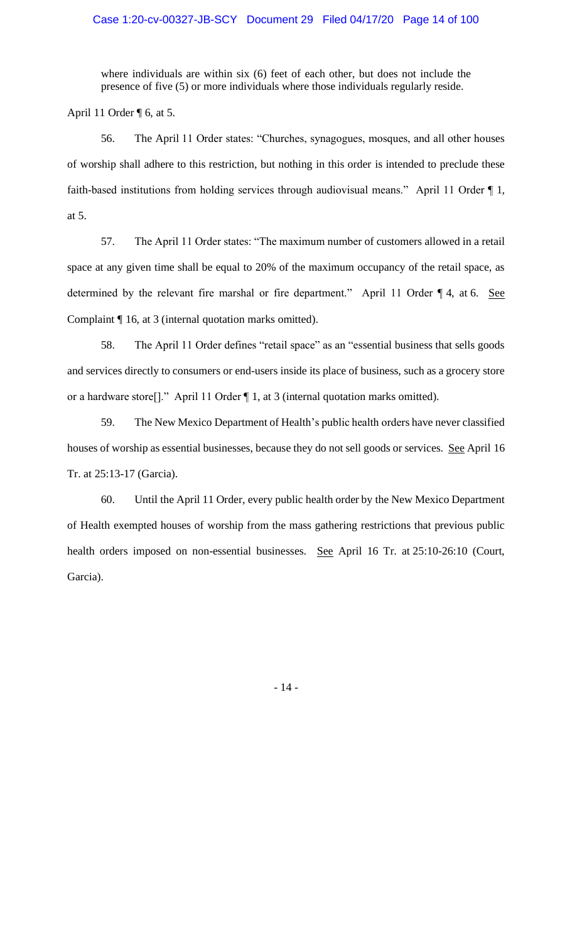where individuals are within six (6) feet of each other, but does not include the presence of five (5) or more individuals where those individuals regularly reside.

April 11 Order  $\P$  6, at 5.

56. The April 11 Order states: "Churches, synagogues, mosques, and all other houses of worship shall adhere to this restriction, but nothing in this order is intended to preclude these faith-based institutions from holding services through audiovisual means." April 11 Order ¶ 1, at 5.

57. The April 11 Order states: "The maximum number of customers allowed in a retail space at any given time shall be equal to 20% of the maximum occupancy of the retail space, as determined by the relevant fire marshal or fire department." April 11 Order ¶ 4, at 6. See Complaint ¶ 16, at 3 (internal quotation marks omitted).

58. The April 11 Order defines "retail space" as an "essential business that sells goods and services directly to consumers or end-users inside its place of business, such as a grocery store or a hardware store[]." April 11 Order ¶ 1, at 3 (internal quotation marks omitted).

59. The New Mexico Department of Health's public health orders have never classified houses of worship as essential businesses, because they do not sell goods or services. See April 16 Tr. at 25:13-17 (Garcia).

60. Until the April 11 Order, every public health order by the New Mexico Department of Health exempted houses of worship from the mass gathering restrictions that previous public health orders imposed on non-essential businesses. See April 16 Tr. at 25:10-26:10 (Court, Garcia).

- 14 -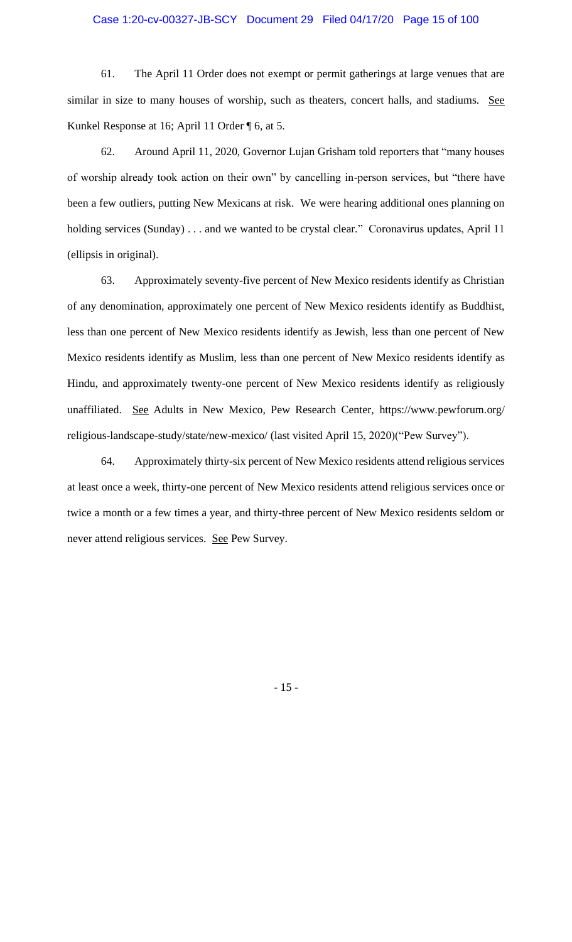61. The April 11 Order does not exempt or permit gatherings at large venues that are similar in size to many houses of worship, such as theaters, concert halls, and stadiums. See Kunkel Response at 16; April 11 Order ¶ 6, at 5.

62. Around April 11, 2020, Governor Lujan Grisham told reporters that "many houses of worship already took action on their own" by cancelling in-person services, but "there have been a few outliers, putting New Mexicans at risk. We were hearing additional ones planning on holding services (Sunday) . . . and we wanted to be crystal clear." Coronavirus updates, April 11 (ellipsis in original).

63. Approximately seventy-five percent of New Mexico residents identify as Christian of any denomination, approximately one percent of New Mexico residents identify as Buddhist, less than one percent of New Mexico residents identify as Jewish, less than one percent of New Mexico residents identify as Muslim, less than one percent of New Mexico residents identify as Hindu, and approximately twenty-one percent of New Mexico residents identify as religiously unaffiliated. See Adults in New Mexico, Pew Research Center, https://www.pewforum.org/ religious-landscape-study/state/new-mexico/ (last visited April 15, 2020)("Pew Survey").

64. Approximately thirty-six percent of New Mexico residents attend religious services at least once a week, thirty-one percent of New Mexico residents attend religious services once or twice a month or a few times a year, and thirty-three percent of New Mexico residents seldom or never attend religious services. See Pew Survey.

- 15 -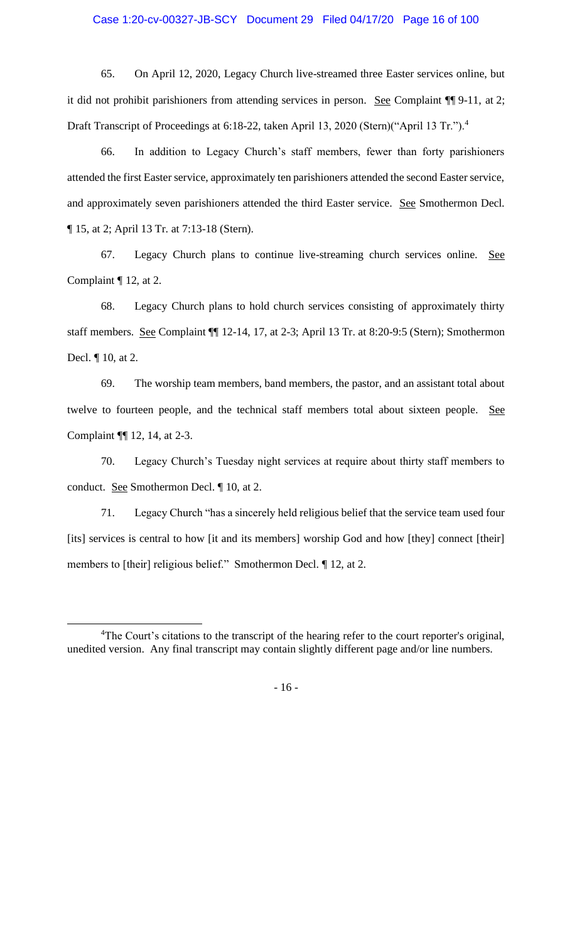65. On April 12, 2020, Legacy Church live-streamed three Easter services online, but it did not prohibit parishioners from attending services in person. See Complaint ¶¶ 9-11, at 2; Draft Transcript of Proceedings at 6:18-22, taken April 13, 2020 (Stern)("April 13 Tr.").<sup>4</sup>

66. In addition to Legacy Church's staff members, fewer than forty parishioners attended the first Easter service, approximately ten parishioners attended the second Easter service, and approximately seven parishioners attended the third Easter service. See Smothermon Decl. ¶ 15, at 2; April 13 Tr. at 7:13-18 (Stern).

67. Legacy Church plans to continue live-streaming church services online. See Complaint ¶ 12, at 2.

68. Legacy Church plans to hold church services consisting of approximately thirty staff members. See Complaint ¶¶ 12-14, 17, at 2-3; April 13 Tr. at 8:20-9:5 (Stern); Smothermon Decl. ¶ 10, at 2.

69. The worship team members, band members, the pastor, and an assistant total about twelve to fourteen people, and the technical staff members total about sixteen people. See Complaint ¶¶ 12, 14, at 2-3.

70. Legacy Church's Tuesday night services at require about thirty staff members to conduct. See Smothermon Decl. ¶ 10, at 2.

71. Legacy Church "has a sincerely held religious belief that the service team used four [its] services is central to how [it and its members] worship God and how [they] connect [their] members to [their] religious belief." Smothermon Decl. ¶ 12, at 2.

- 16 -

<sup>&</sup>lt;sup>4</sup>The Court's citations to the transcript of the hearing refer to the court reporter's original, unedited version. Any final transcript may contain slightly different page and/or line numbers.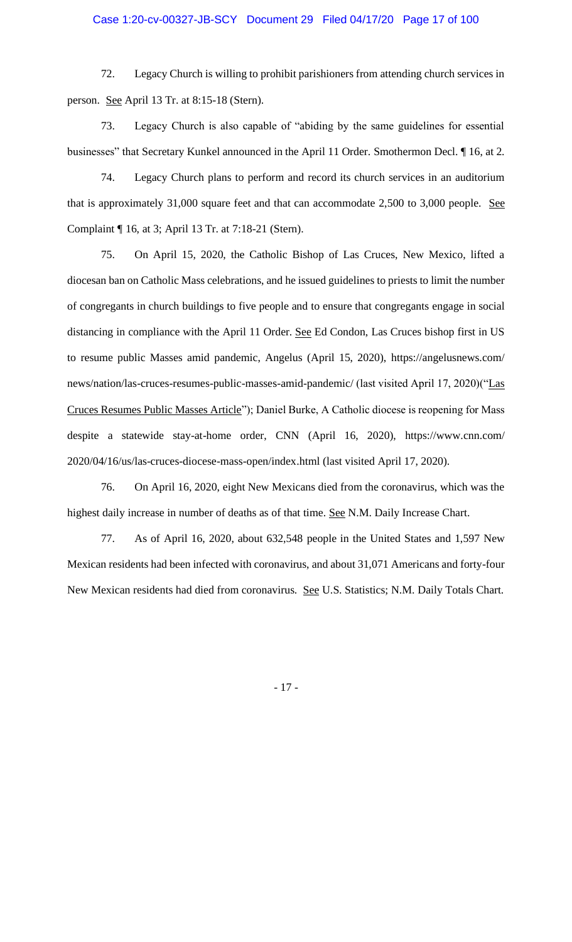72. Legacy Church is willing to prohibit parishioners from attending church services in person. See April 13 Tr. at 8:15-18 (Stern).

73. Legacy Church is also capable of "abiding by the same guidelines for essential businesses" that Secretary Kunkel announced in the April 11 Order. Smothermon Decl. ¶ 16, at 2.

74. Legacy Church plans to perform and record its church services in an auditorium that is approximately 31,000 square feet and that can accommodate 2,500 to 3,000 people. See Complaint ¶ 16, at 3; April 13 Tr. at 7:18-21 (Stern).

75. On April 15, 2020, the Catholic Bishop of Las Cruces, New Mexico, lifted a diocesan ban on Catholic Mass celebrations, and he issued guidelines to priests to limit the number of congregants in church buildings to five people and to ensure that congregants engage in social distancing in compliance with the April 11 Order. See Ed Condon, Las Cruces bishop first in US to resume public Masses amid pandemic, Angelus (April 15, 2020), https://angelusnews.com/ news/nation/las-cruces-resumes-public-masses-amid-pandemic/ (last visited April 17, 2020)("Las Cruces Resumes Public Masses Article"); Daniel Burke, A Catholic diocese is reopening for Mass despite a statewide stay-at-home order, CNN (April 16, 2020), https://www.cnn.com/ 2020/04/16/us/las-cruces-diocese-mass-open/index.html (last visited April 17, 2020).

76. On April 16, 2020, eight New Mexicans died from the coronavirus, which was the highest daily increase in number of deaths as of that time. See N.M. Daily Increase Chart.

77. As of April 16, 2020, about 632,548 people in the United States and 1,597 New Mexican residents had been infected with coronavirus, and about 31,071 Americans and forty-four New Mexican residents had died from coronavirus. See U.S. Statistics; N.M. Daily Totals Chart.

- 17 -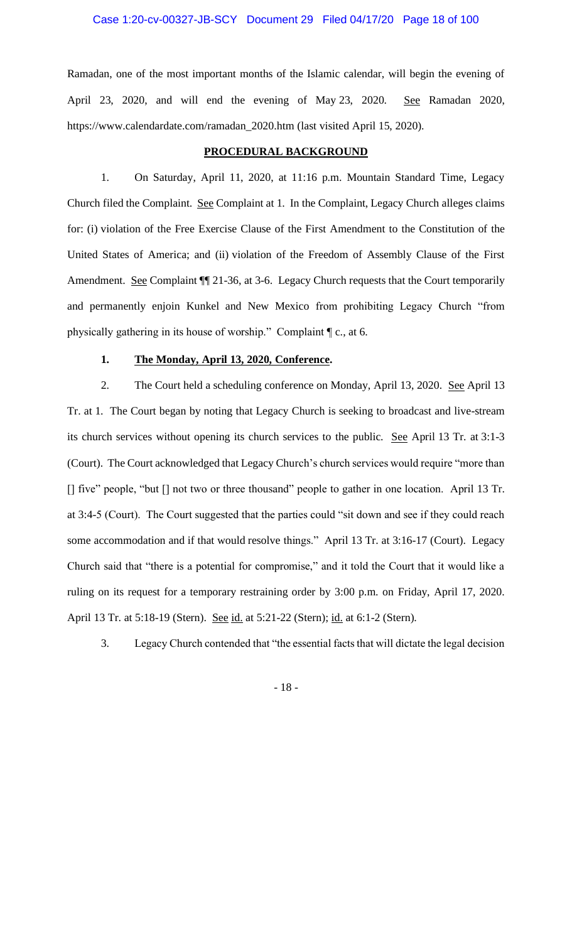Ramadan, one of the most important months of the Islamic calendar, will begin the evening of April 23, 2020, and will end the evening of May 23, 2020. See Ramadan 2020, https://www.calendardate.com/ramadan\_2020.htm (last visited April 15, 2020).

## **PROCEDURAL BACKGROUND**

1. On Saturday, April 11, 2020, at 11:16 p.m. Mountain Standard Time, Legacy Church filed the Complaint. See Complaint at 1. In the Complaint, Legacy Church alleges claims for: (i) violation of the Free Exercise Clause of the First Amendment to the Constitution of the United States of America; and (ii) violation of the Freedom of Assembly Clause of the First Amendment. See Complaint  $\P$  21-36, at 3-6. Legacy Church requests that the Court temporarily and permanently enjoin Kunkel and New Mexico from prohibiting Legacy Church "from physically gathering in its house of worship." Complaint ¶ c., at 6.

## **1. The Monday, April 13, 2020, Conference.**

2. The Court held a scheduling conference on Monday, April 13, 2020. See April 13 Tr. at 1. The Court began by noting that Legacy Church is seeking to broadcast and live-stream its church services without opening its church services to the public. See April 13 Tr. at 3:1-3 (Court). The Court acknowledged that Legacy Church's church services would require "more than [] five" people, "but [] not two or three thousand" people to gather in one location. April 13 Tr. at 3:4-5 (Court). The Court suggested that the parties could "sit down and see if they could reach some accommodation and if that would resolve things." April 13 Tr. at 3:16-17 (Court). Legacy Church said that "there is a potential for compromise," and it told the Court that it would like a ruling on its request for a temporary restraining order by 3:00 p.m. on Friday, April 17, 2020. April 13 Tr. at 5:18-19 (Stern). See id. at 5:21-22 (Stern); id. at 6:1-2 (Stern).

3. Legacy Church contended that "the essential facts that will dictate the legal decision

- 18 -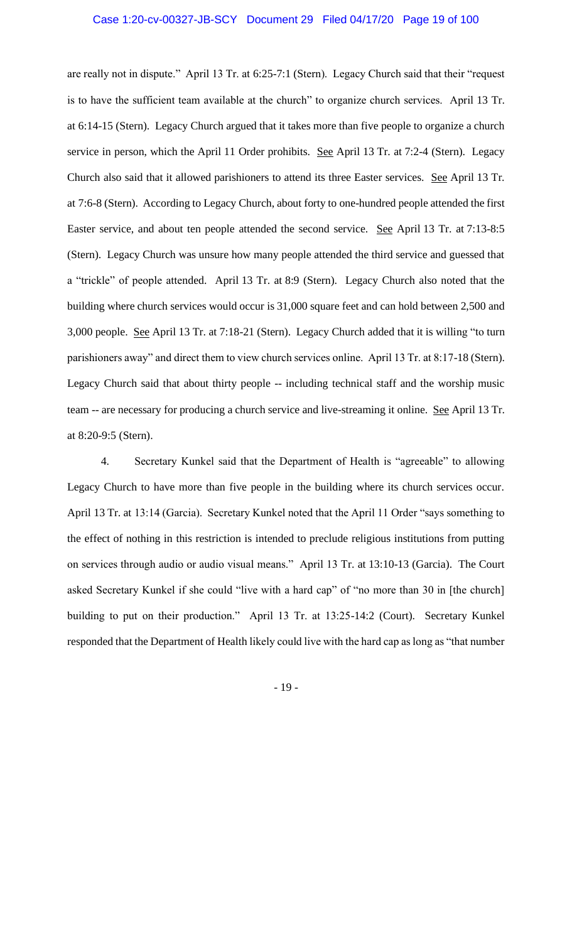are really not in dispute." April 13 Tr. at 6:25-7:1 (Stern). Legacy Church said that their "request is to have the sufficient team available at the church" to organize church services. April 13 Tr. at 6:14-15 (Stern). Legacy Church argued that it takes more than five people to organize a church service in person, which the April 11 Order prohibits. See April 13 Tr. at 7:2-4 (Stern). Legacy Church also said that it allowed parishioners to attend its three Easter services. See April 13 Tr. at 7:6-8 (Stern). According to Legacy Church, about forty to one-hundred people attended the first Easter service, and about ten people attended the second service. See April 13 Tr. at 7:13-8:5 (Stern). Legacy Church was unsure how many people attended the third service and guessed that a "trickle" of people attended. April 13 Tr. at 8:9 (Stern). Legacy Church also noted that the building where church services would occur is 31,000 square feet and can hold between 2,500 and 3,000 people. See April 13 Tr. at 7:18-21 (Stern). Legacy Church added that it is willing "to turn parishioners away" and direct them to view church services online. April 13 Tr. at 8:17-18 (Stern). Legacy Church said that about thirty people -- including technical staff and the worship music team -- are necessary for producing a church service and live-streaming it online. See April 13 Tr. at 8:20-9:5 (Stern).

4. Secretary Kunkel said that the Department of Health is "agreeable" to allowing Legacy Church to have more than five people in the building where its church services occur. April 13 Tr. at 13:14 (Garcia). Secretary Kunkel noted that the April 11 Order "says something to the effect of nothing in this restriction is intended to preclude religious institutions from putting on services through audio or audio visual means." April 13 Tr. at 13:10-13 (Garcia). The Court asked Secretary Kunkel if she could "live with a hard cap" of "no more than 30 in [the church] building to put on their production." April 13 Tr. at 13:25-14:2 (Court). Secretary Kunkel responded that the Department of Health likely could live with the hard cap as long as "that number

- 19 -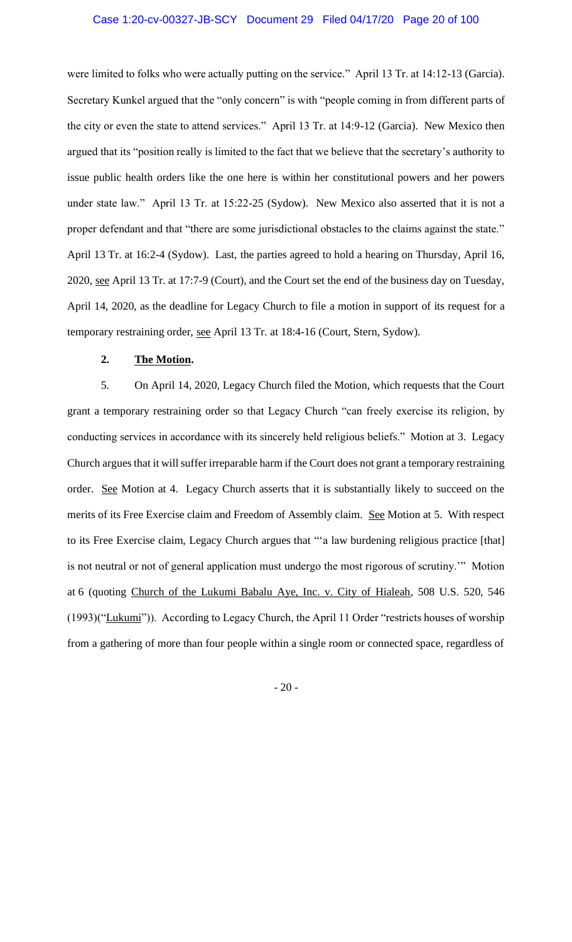were limited to folks who were actually putting on the service." April 13 Tr. at 14:12-13 (Garcia). Secretary Kunkel argued that the "only concern" is with "people coming in from different parts of the city or even the state to attend services." April 13 Tr. at 14:9-12 (Garcia). New Mexico then argued that its "position really is limited to the fact that we believe that the secretary's authority to issue public health orders like the one here is within her constitutional powers and her powers under state law." April 13 Tr. at 15:22-25 (Sydow). New Mexico also asserted that it is not a proper defendant and that "there are some jurisdictional obstacles to the claims against the state." April 13 Tr. at 16:2-4 (Sydow). Last, the parties agreed to hold a hearing on Thursday, April 16, 2020, see April 13 Tr. at 17:7-9 (Court), and the Court set the end of the business day on Tuesday, April 14, 2020, as the deadline for Legacy Church to file a motion in support of its request for a temporary restraining order, see April 13 Tr. at 18:4-16 (Court, Stern, Sydow).

## **2. The Motion.**

5. On April 14, 2020, Legacy Church filed the Motion, which requests that the Court grant a temporary restraining order so that Legacy Church "can freely exercise its religion, by conducting services in accordance with its sincerely held religious beliefs." Motion at 3. Legacy Church argues that it will suffer irreparable harm if the Court does not grant a temporary restraining order. See Motion at 4. Legacy Church asserts that it is substantially likely to succeed on the merits of its Free Exercise claim and Freedom of Assembly claim. See Motion at 5. With respect to its Free Exercise claim, Legacy Church argues that "'a law burdening religious practice [that] is not neutral or not of general application must undergo the most rigorous of scrutiny.'" Motion at 6 (quoting Church of the Lukumi Babalu Aye, Inc. v. City of Hialeah, 508 U.S. 520, 546 (1993)("Lukumi")). According to Legacy Church, the April 11 Order "restricts houses of worship from a gathering of more than four people within a single room or connected space, regardless of

- 20 -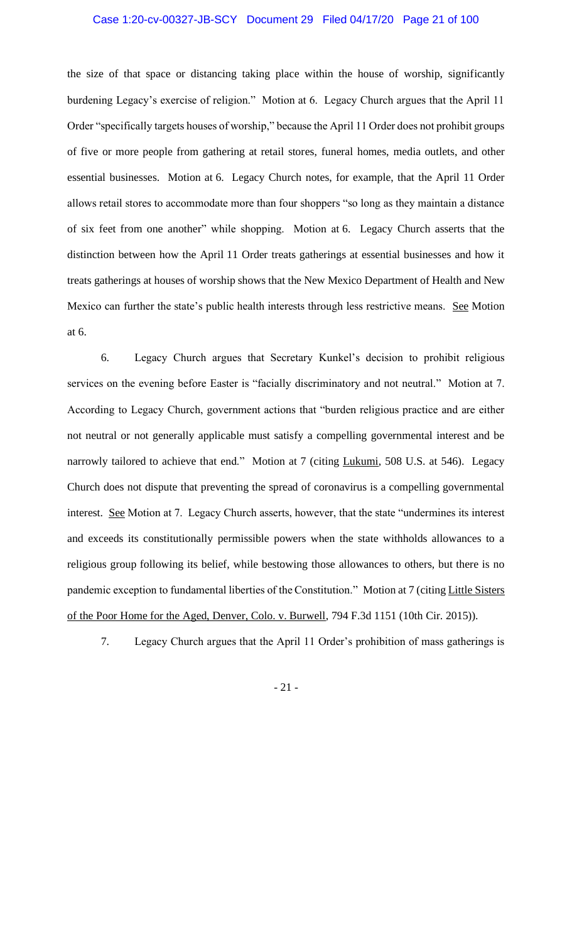### Case 1:20-cv-00327-JB-SCY Document 29 Filed 04/17/20 Page 21 of 100

the size of that space or distancing taking place within the house of worship, significantly burdening Legacy's exercise of religion." Motion at 6. Legacy Church argues that the April 11 Order "specifically targets houses of worship," because the April 11 Order does not prohibit groups of five or more people from gathering at retail stores, funeral homes, media outlets, and other essential businesses. Motion at 6. Legacy Church notes, for example, that the April 11 Order allows retail stores to accommodate more than four shoppers "so long as they maintain a distance of six feet from one another" while shopping. Motion at 6. Legacy Church asserts that the distinction between how the April 11 Order treats gatherings at essential businesses and how it treats gatherings at houses of worship shows that the New Mexico Department of Health and New Mexico can further the state's public health interests through less restrictive means. See Motion at 6.

6. Legacy Church argues that Secretary Kunkel's decision to prohibit religious services on the evening before Easter is "facially discriminatory and not neutral." Motion at 7. According to Legacy Church, government actions that "burden religious practice and are either not neutral or not generally applicable must satisfy a compelling governmental interest and be narrowly tailored to achieve that end." Motion at 7 (citing Lukumi, 508 U.S. at 546). Legacy Church does not dispute that preventing the spread of coronavirus is a compelling governmental interest. See Motion at 7. Legacy Church asserts, however, that the state "undermines its interest and exceeds its constitutionally permissible powers when the state withholds allowances to a religious group following its belief, while bestowing those allowances to others, but there is no pandemic exception to fundamental liberties of the Constitution." Motion at 7 (citing Little Sisters of the Poor Home for the Aged, Denver, Colo. v. Burwell, 794 F.3d 1151 (10th Cir. 2015)).

7. Legacy Church argues that the April 11 Order's prohibition of mass gatherings is

- 21 -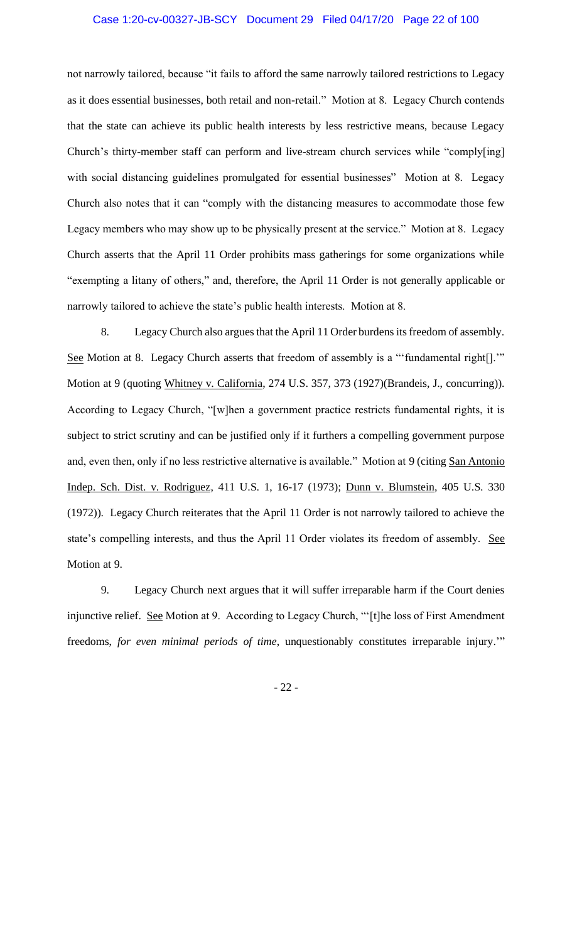### Case 1:20-cv-00327-JB-SCY Document 29 Filed 04/17/20 Page 22 of 100

not narrowly tailored, because "it fails to afford the same narrowly tailored restrictions to Legacy as it does essential businesses, both retail and non-retail." Motion at 8. Legacy Church contends that the state can achieve its public health interests by less restrictive means, because Legacy Church's thirty-member staff can perform and live-stream church services while "comply[ing] with social distancing guidelines promulgated for essential businesses" Motion at 8. Legacy Church also notes that it can "comply with the distancing measures to accommodate those few Legacy members who may show up to be physically present at the service." Motion at 8. Legacy Church asserts that the April 11 Order prohibits mass gatherings for some organizations while "exempting a litany of others," and, therefore, the April 11 Order is not generally applicable or narrowly tailored to achieve the state's public health interests. Motion at 8.

8. Legacy Church also argues that the April 11 Order burdens its freedom of assembly. See Motion at 8. Legacy Church asserts that freedom of assembly is a "'fundamental right[]."" Motion at 9 (quoting Whitney v. California, 274 U.S. 357, 373 (1927)(Brandeis, J., concurring)). According to Legacy Church, "[w]hen a government practice restricts fundamental rights, it is subject to strict scrutiny and can be justified only if it furthers a compelling government purpose and, even then, only if no less restrictive alternative is available." Motion at 9 (citing San Antonio Indep. Sch. Dist. v. Rodriguez, 411 U.S. 1, 16-17 (1973); Dunn v. Blumstein, 405 U.S. 330 (1972)). Legacy Church reiterates that the April 11 Order is not narrowly tailored to achieve the state's compelling interests, and thus the April 11 Order violates its freedom of assembly. See Motion at 9.

9. Legacy Church next argues that it will suffer irreparable harm if the Court denies injunctive relief. See Motion at 9. According to Legacy Church, "'[t]he loss of First Amendment freedoms, *for even minimal periods of time*, unquestionably constitutes irreparable injury.'"

- 22 -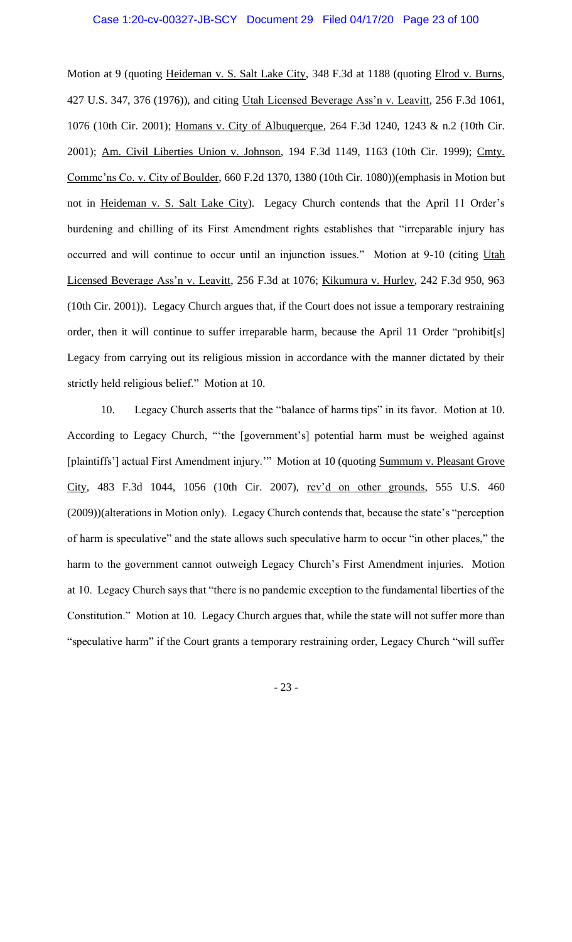Motion at 9 (quoting Heideman v. S. Salt Lake City, 348 F.3d at 1188 (quoting Elrod v. Burns, 427 U.S. 347, 376 (1976)), and citing Utah Licensed Beverage Ass'n v. Leavitt, 256 F.3d 1061, 1076 (10th Cir. 2001); Homans v. City of Albuquerque, 264 F.3d 1240, 1243 & n.2 (10th Cir. 2001); Am. Civil Liberties Union v. Johnson, 194 F.3d 1149, 1163 (10th Cir. 1999); Cmty. Commc'ns Co. v. City of Boulder, 660 F.2d 1370, 1380 (10th Cir. 1080))(emphasis in Motion but not in Heideman v. S. Salt Lake City). Legacy Church contends that the April 11 Order's burdening and chilling of its First Amendment rights establishes that "irreparable injury has occurred and will continue to occur until an injunction issues." Motion at 9-10 (citing Utah Licensed Beverage Ass'n v. Leavitt, 256 F.3d at 1076; Kikumura v. Hurley, 242 F.3d 950, 963 (10th Cir. 2001)). Legacy Church argues that, if the Court does not issue a temporary restraining order, then it will continue to suffer irreparable harm, because the April 11 Order "prohibit[s] Legacy from carrying out its religious mission in accordance with the manner dictated by their strictly held religious belief." Motion at 10.

10. Legacy Church asserts that the "balance of harms tips" in its favor. Motion at 10. According to Legacy Church, "'the [government's] potential harm must be weighed against [plaintiffs'] actual First Amendment injury."" Motion at 10 (quoting Summum v. Pleasant Grove City, 483 F.3d 1044, 1056 (10th Cir. 2007), rev'd on other grounds, 555 U.S. 460 (2009))(alterations in Motion only). Legacy Church contends that, because the state's "perception of harm is speculative" and the state allows such speculative harm to occur "in other places," the harm to the government cannot outweigh Legacy Church's First Amendment injuries. Motion at 10. Legacy Church says that "there is no pandemic exception to the fundamental liberties of the Constitution." Motion at 10. Legacy Church argues that, while the state will not suffer more than "speculative harm" if the Court grants a temporary restraining order, Legacy Church "will suffer

- 23 -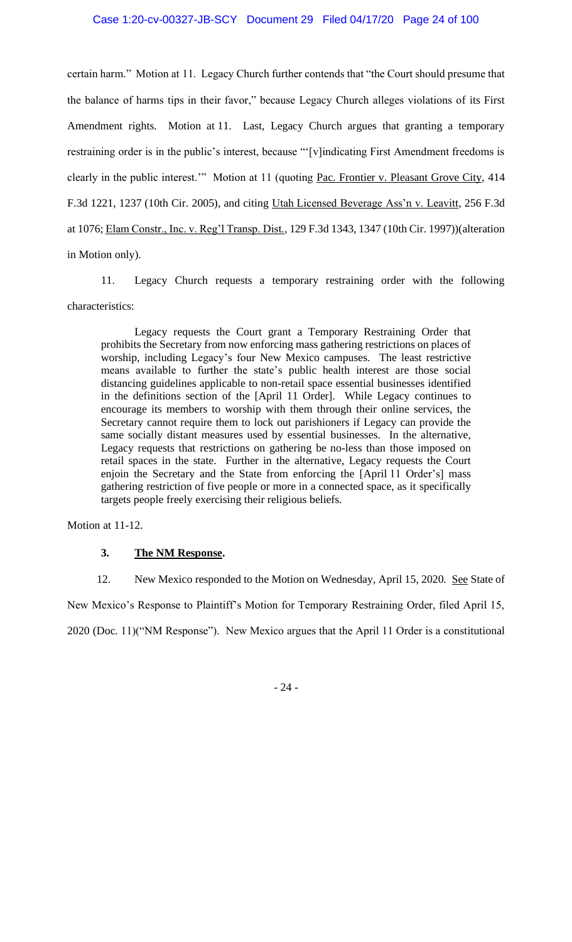certain harm." Motion at 11. Legacy Church further contends that "the Court should presume that the balance of harms tips in their favor," because Legacy Church alleges violations of its First Amendment rights. Motion at 11. Last, Legacy Church argues that granting a temporary restraining order is in the public's interest, because "'[v]indicating First Amendment freedoms is clearly in the public interest.'" Motion at 11 (quoting Pac. Frontier v. Pleasant Grove City, 414 F.3d 1221, 1237 (10th Cir. 2005), and citing Utah Licensed Beverage Ass'n v. Leavitt, 256 F.3d at 1076; Elam Constr., Inc. v. Reg'l Transp. Dist., 129 F.3d 1343, 1347 (10th Cir. 1997))(alteration in Motion only).

11. Legacy Church requests a temporary restraining order with the following characteristics:

Legacy requests the Court grant a Temporary Restraining Order that prohibits the Secretary from now enforcing mass gathering restrictions on places of worship, including Legacy's four New Mexico campuses. The least restrictive means available to further the state's public health interest are those social distancing guidelines applicable to non-retail space essential businesses identified in the definitions section of the [April 11 Order]. While Legacy continues to encourage its members to worship with them through their online services, the Secretary cannot require them to lock out parishioners if Legacy can provide the same socially distant measures used by essential businesses. In the alternative, Legacy requests that restrictions on gathering be no-less than those imposed on retail spaces in the state. Further in the alternative, Legacy requests the Court enjoin the Secretary and the State from enforcing the [April 11 Order's] mass gathering restriction of five people or more in a connected space, as it specifically targets people freely exercising their religious beliefs.

Motion at 11-12.

## **3. The NM Response.**

12. New Mexico responded to the Motion on Wednesday, April 15, 2020. See State of

New Mexico's Response to Plaintiff's Motion for Temporary Restraining Order, filed April 15,

2020 (Doc. 11)("NM Response"). New Mexico argues that the April 11 Order is a constitutional

- 24 -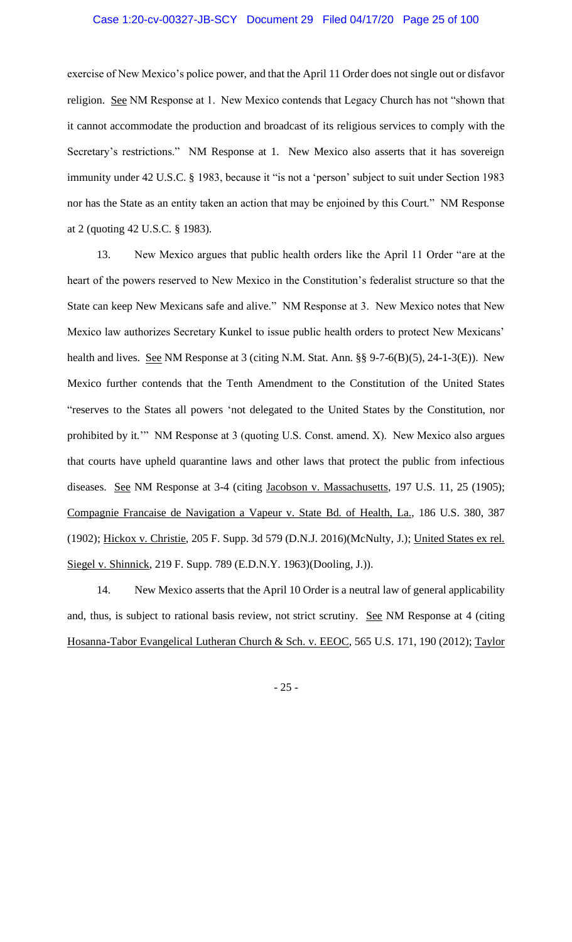exercise of New Mexico's police power, and that the April 11 Order does not single out or disfavor religion. See NM Response at 1. New Mexico contends that Legacy Church has not "shown that it cannot accommodate the production and broadcast of its religious services to comply with the Secretary's restrictions." NM Response at 1. New Mexico also asserts that it has sovereign immunity under 42 U.S.C. § 1983, because it "is not a 'person' subject to suit under Section 1983 nor has the State as an entity taken an action that may be enjoined by this Court." NM Response at 2 (quoting 42 U.S.C. § 1983).

13. New Mexico argues that public health orders like the April 11 Order "are at the heart of the powers reserved to New Mexico in the Constitution's federalist structure so that the State can keep New Mexicans safe and alive." NM Response at 3. New Mexico notes that New Mexico law authorizes Secretary Kunkel to issue public health orders to protect New Mexicans' health and lives. See NM Response at 3 (citing N.M. Stat. Ann. §§ 9-7-6(B)(5), 24-1-3(E)). New Mexico further contends that the Tenth Amendment to the Constitution of the United States "reserves to the States all powers 'not delegated to the United States by the Constitution, nor prohibited by it.'" NM Response at 3 (quoting U.S. Const. amend. X). New Mexico also argues that courts have upheld quarantine laws and other laws that protect the public from infectious diseases. See NM Response at 3-4 (citing Jacobson v. Massachusetts, 197 U.S. 11, 25 (1905); Compagnie Francaise de Navigation a Vapeur v. State Bd. of Health, La., 186 U.S. 380, 387 (1902); Hickox v. Christie, 205 F. Supp. 3d 579 (D.N.J. 2016)(McNulty, J.); United States ex rel. Siegel v. Shinnick, 219 F. Supp. 789 (E.D.N.Y. 1963)(Dooling, J.)).

14. New Mexico asserts that the April 10 Order is a neutral law of general applicability and, thus, is subject to rational basis review, not strict scrutiny. See NM Response at 4 (citing Hosanna-Tabor Evangelical Lutheran Church & Sch. v. EEOC, 565 U.S. 171, 190 (2012); Taylor

- 25 -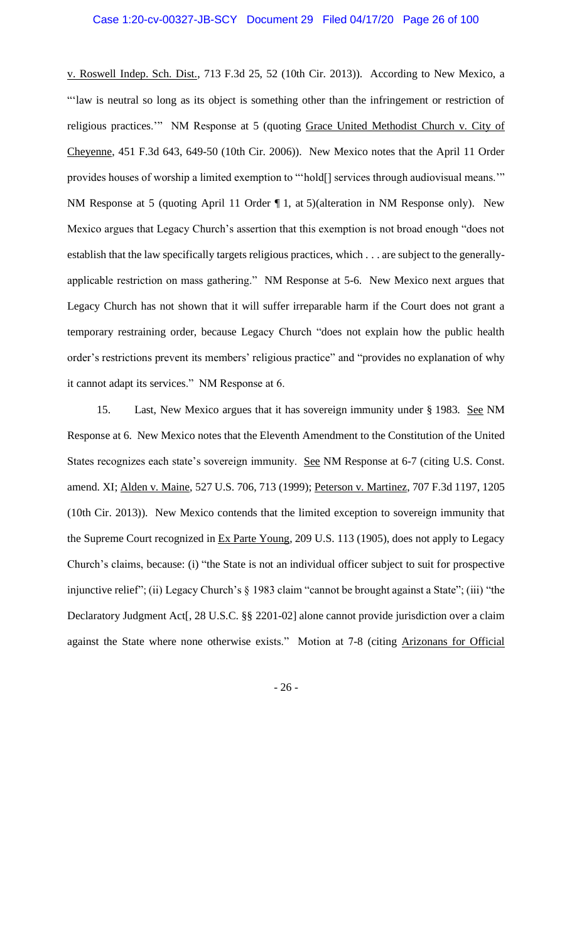v. Roswell Indep. Sch. Dist., 713 F.3d 25, 52 (10th Cir. 2013)). According to New Mexico, a "'law is neutral so long as its object is something other than the infringement or restriction of religious practices."" NM Response at 5 (quoting Grace United Methodist Church v. City of Cheyenne, 451 F.3d 643, 649-50 (10th Cir. 2006)). New Mexico notes that the April 11 Order provides houses of worship a limited exemption to "'hold[] services through audiovisual means."" NM Response at 5 (quoting April 11 Order  $\P$  1, at 5)(alteration in NM Response only). New Mexico argues that Legacy Church's assertion that this exemption is not broad enough "does not establish that the law specifically targets religious practices, which . . . are subject to the generallyapplicable restriction on mass gathering." NM Response at 5-6. New Mexico next argues that Legacy Church has not shown that it will suffer irreparable harm if the Court does not grant a temporary restraining order, because Legacy Church "does not explain how the public health order's restrictions prevent its members' religious practice" and "provides no explanation of why it cannot adapt its services." NM Response at 6.

15. Last, New Mexico argues that it has sovereign immunity under § 1983. See NM Response at 6. New Mexico notes that the Eleventh Amendment to the Constitution of the United States recognizes each state's sovereign immunity. See NM Response at 6-7 (citing U.S. Const. amend. XI; Alden v. Maine, 527 U.S. 706, 713 (1999); Peterson v. Martinez, 707 F.3d 1197, 1205 (10th Cir. 2013)). New Mexico contends that the limited exception to sovereign immunity that the Supreme Court recognized in Ex Parte Young, 209 U.S. 113 (1905), does not apply to Legacy Church's claims, because: (i) "the State is not an individual officer subject to suit for prospective injunctive relief"; (ii) Legacy Church's § 1983 claim "cannot be brought against a State"; (iii) "the Declaratory Judgment Act[, 28 U.S.C. §§ 2201-02] alone cannot provide jurisdiction over a claim against the State where none otherwise exists." Motion at 7-8 (citing Arizonans for Official

- 26 -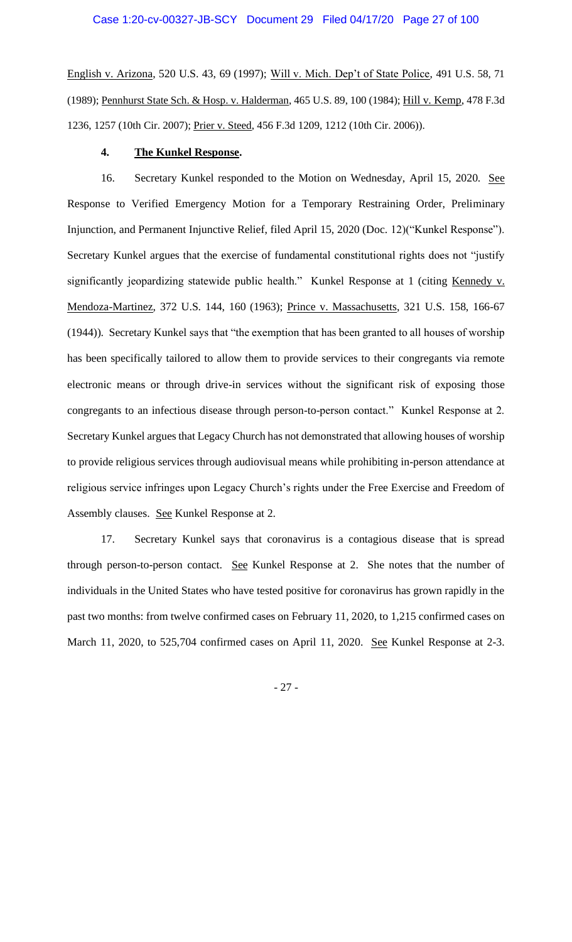English v. Arizona, 520 U.S. 43, 69 (1997); Will v. Mich. Dep't of State Police, 491 U.S. 58, 71 (1989); Pennhurst State Sch. & Hosp. v. Halderman, 465 U.S. 89, 100 (1984); Hill v. Kemp, 478 F.3d 1236, 1257 (10th Cir. 2007); Prier v. Steed, 456 F.3d 1209, 1212 (10th Cir. 2006)).

## **4. The Kunkel Response.**

16. Secretary Kunkel responded to the Motion on Wednesday, April 15, 2020. See Response to Verified Emergency Motion for a Temporary Restraining Order, Preliminary Injunction, and Permanent Injunctive Relief, filed April 15, 2020 (Doc. 12)("Kunkel Response"). Secretary Kunkel argues that the exercise of fundamental constitutional rights does not "justify significantly jeopardizing statewide public health." Kunkel Response at 1 (citing Kennedy v. Mendoza-Martinez, 372 U.S. 144, 160 (1963); Prince v. Massachusetts, 321 U.S. 158, 166-67 (1944)). Secretary Kunkel says that "the exemption that has been granted to all houses of worship has been specifically tailored to allow them to provide services to their congregants via remote electronic means or through drive-in services without the significant risk of exposing those congregants to an infectious disease through person-to-person contact." Kunkel Response at 2. Secretary Kunkel argues that Legacy Church has not demonstrated that allowing houses of worship to provide religious services through audiovisual means while prohibiting in-person attendance at religious service infringes upon Legacy Church's rights under the Free Exercise and Freedom of Assembly clauses. See Kunkel Response at 2.

17. Secretary Kunkel says that coronavirus is a contagious disease that is spread through person-to-person contact. See Kunkel Response at 2. She notes that the number of individuals in the United States who have tested positive for coronavirus has grown rapidly in the past two months: from twelve confirmed cases on February 11, 2020, to 1,215 confirmed cases on March 11, 2020, to 525,704 confirmed cases on April 11, 2020. <u>See</u> Kunkel Response at 2-3.

- 27 -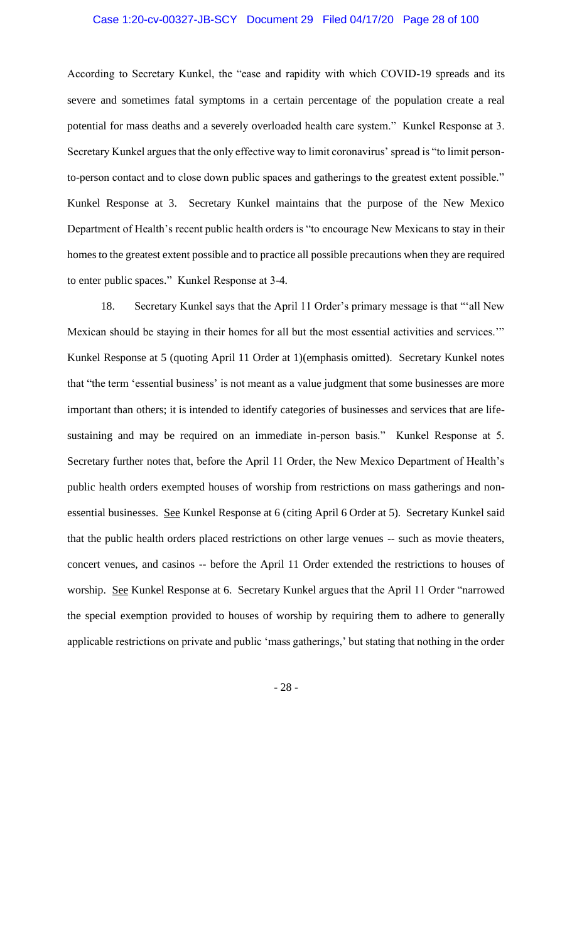### Case 1:20-cv-00327-JB-SCY Document 29 Filed 04/17/20 Page 28 of 100

According to Secretary Kunkel, the "ease and rapidity with which COVID-19 spreads and its severe and sometimes fatal symptoms in a certain percentage of the population create a real potential for mass deaths and a severely overloaded health care system." Kunkel Response at 3. Secretary Kunkel argues that the only effective way to limit coronavirus' spread is "to limit personto-person contact and to close down public spaces and gatherings to the greatest extent possible." Kunkel Response at 3. Secretary Kunkel maintains that the purpose of the New Mexico Department of Health's recent public health orders is "to encourage New Mexicans to stay in their homes to the greatest extent possible and to practice all possible precautions when they are required to enter public spaces." Kunkel Response at 3-4.

18. Secretary Kunkel says that the April 11 Order's primary message is that "'all New Mexican should be staying in their homes for all but the most essential activities and services.'" Kunkel Response at 5 (quoting April 11 Order at 1)(emphasis omitted). Secretary Kunkel notes that "the term 'essential business' is not meant as a value judgment that some businesses are more important than others; it is intended to identify categories of businesses and services that are lifesustaining and may be required on an immediate in-person basis." Kunkel Response at 5. Secretary further notes that, before the April 11 Order, the New Mexico Department of Health's public health orders exempted houses of worship from restrictions on mass gatherings and nonessential businesses. See Kunkel Response at 6 (citing April 6 Order at 5). Secretary Kunkel said that the public health orders placed restrictions on other large venues -- such as movie theaters, concert venues, and casinos -- before the April 11 Order extended the restrictions to houses of worship. See Kunkel Response at 6. Secretary Kunkel argues that the April 11 Order "narrowed the special exemption provided to houses of worship by requiring them to adhere to generally applicable restrictions on private and public 'mass gatherings,' but stating that nothing in the order

- 28 -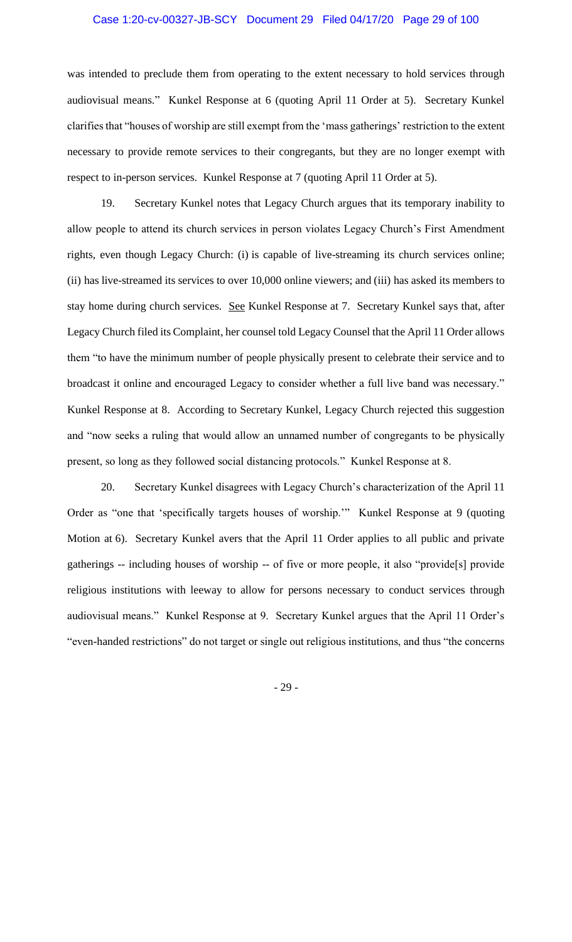### Case 1:20-cv-00327-JB-SCY Document 29 Filed 04/17/20 Page 29 of 100

was intended to preclude them from operating to the extent necessary to hold services through audiovisual means." Kunkel Response at 6 (quoting April 11 Order at 5). Secretary Kunkel clarifies that "houses of worship are still exempt from the 'mass gatherings' restriction to the extent necessary to provide remote services to their congregants, but they are no longer exempt with respect to in-person services. Kunkel Response at 7 (quoting April 11 Order at 5).

19. Secretary Kunkel notes that Legacy Church argues that its temporary inability to allow people to attend its church services in person violates Legacy Church's First Amendment rights, even though Legacy Church: (i) is capable of live-streaming its church services online; (ii) has live-streamed its services to over 10,000 online viewers; and (iii) has asked its members to stay home during church services. See Kunkel Response at 7. Secretary Kunkel says that, after Legacy Church filed its Complaint, her counsel told Legacy Counsel that the April 11 Order allows them "to have the minimum number of people physically present to celebrate their service and to broadcast it online and encouraged Legacy to consider whether a full live band was necessary." Kunkel Response at 8. According to Secretary Kunkel, Legacy Church rejected this suggestion and "now seeks a ruling that would allow an unnamed number of congregants to be physically present, so long as they followed social distancing protocols." Kunkel Response at 8.

20. Secretary Kunkel disagrees with Legacy Church's characterization of the April 11 Order as "one that 'specifically targets houses of worship.'" Kunkel Response at 9 (quoting Motion at 6). Secretary Kunkel avers that the April 11 Order applies to all public and private gatherings -- including houses of worship -- of five or more people, it also "provide[s] provide religious institutions with leeway to allow for persons necessary to conduct services through audiovisual means." Kunkel Response at 9. Secretary Kunkel argues that the April 11 Order's "even-handed restrictions" do not target or single out religious institutions, and thus "the concerns

- 29 -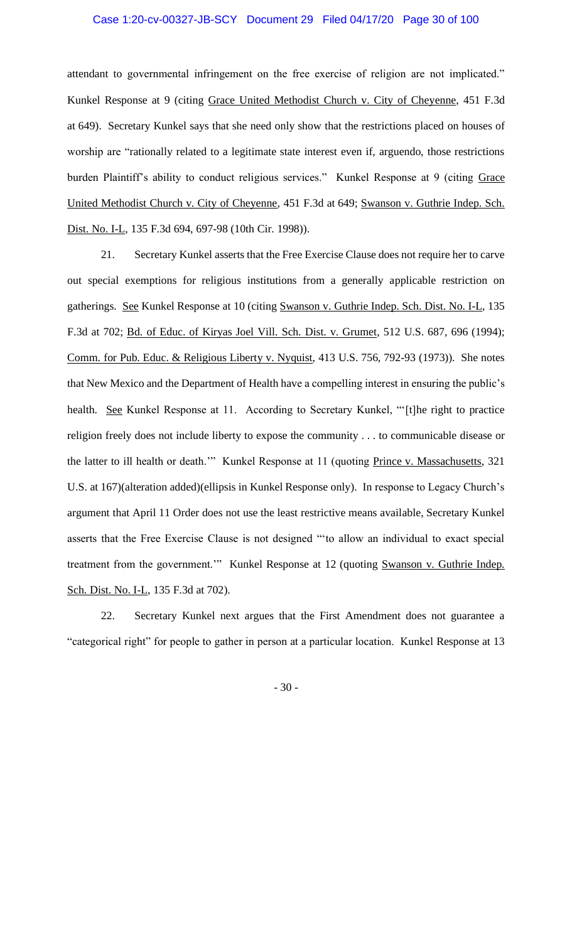attendant to governmental infringement on the free exercise of religion are not implicated." Kunkel Response at 9 (citing Grace United Methodist Church v. City of Cheyenne, 451 F.3d at 649). Secretary Kunkel says that she need only show that the restrictions placed on houses of worship are "rationally related to a legitimate state interest even if, arguendo, those restrictions burden Plaintiff's ability to conduct religious services." Kunkel Response at 9 (citing Grace United Methodist Church v. City of Cheyenne, 451 F.3d at 649; Swanson v. Guthrie Indep. Sch. Dist. No. I-L, 135 F.3d 694, 697-98 (10th Cir. 1998)).

21. Secretary Kunkel asserts that the Free Exercise Clause does not require her to carve out special exemptions for religious institutions from a generally applicable restriction on gatherings. See Kunkel Response at 10 (citing Swanson v. Guthrie Indep. Sch. Dist. No. I-L, 135 F.3d at 702; Bd. of Educ. of Kiryas Joel Vill. Sch. Dist. v. Grumet, 512 U.S. 687, 696 (1994); Comm. for Pub. Educ. & Religious Liberty v. Nyquist, 413 U.S. 756, 792-93 (1973)). She notes that New Mexico and the Department of Health have a compelling interest in ensuring the public's health. See Kunkel Response at 11. According to Secretary Kunkel, "[t]he right to practice religion freely does not include liberty to expose the community . . . to communicable disease or the latter to ill health or death."" Kunkel Response at 11 (quoting Prince v. Massachusetts, 321 U.S. at 167)(alteration added)(ellipsis in Kunkel Response only). In response to Legacy Church's argument that April 11 Order does not use the least restrictive means available, Secretary Kunkel asserts that the Free Exercise Clause is not designed "'to allow an individual to exact special treatment from the government." Kunkel Response at 12 (quoting Swanson v. Guthrie Indep. Sch. Dist. No. I-L, 135 F.3d at 702).

22. Secretary Kunkel next argues that the First Amendment does not guarantee a "categorical right" for people to gather in person at a particular location. Kunkel Response at 13

- 30 -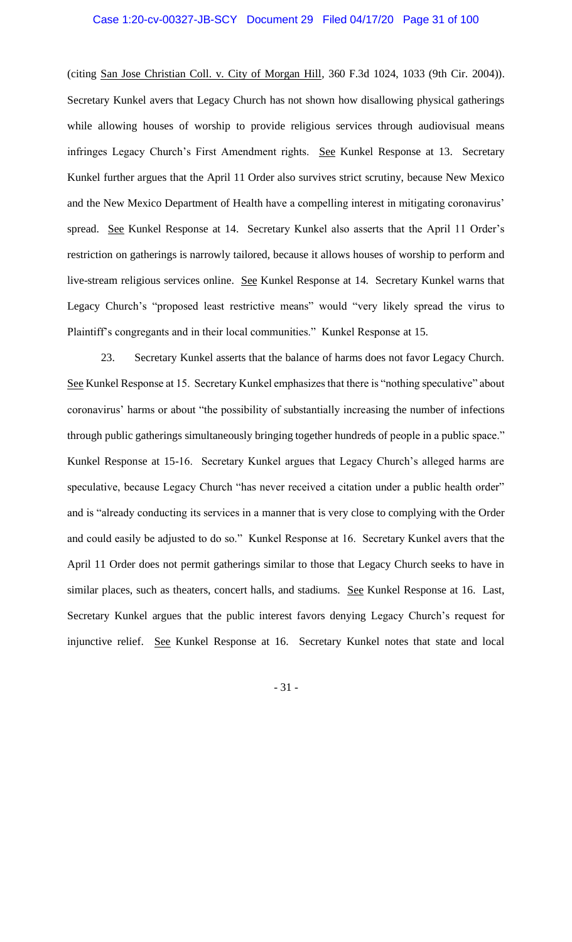(citing San Jose Christian Coll. v. City of Morgan Hill, 360 F.3d 1024, 1033 (9th Cir. 2004)). Secretary Kunkel avers that Legacy Church has not shown how disallowing physical gatherings while allowing houses of worship to provide religious services through audiovisual means infringes Legacy Church's First Amendment rights. See Kunkel Response at 13. Secretary Kunkel further argues that the April 11 Order also survives strict scrutiny, because New Mexico and the New Mexico Department of Health have a compelling interest in mitigating coronavirus' spread. See Kunkel Response at 14. Secretary Kunkel also asserts that the April 11 Order's restriction on gatherings is narrowly tailored, because it allows houses of worship to perform and live-stream religious services online. See Kunkel Response at 14. Secretary Kunkel warns that Legacy Church's "proposed least restrictive means" would "very likely spread the virus to Plaintiff's congregants and in their local communities." Kunkel Response at 15.

23. Secretary Kunkel asserts that the balance of harms does not favor Legacy Church. See Kunkel Response at 15. Secretary Kunkel emphasizes that there is "nothing speculative" about coronavirus' harms or about "the possibility of substantially increasing the number of infections through public gatherings simultaneously bringing together hundreds of people in a public space." Kunkel Response at 15-16. Secretary Kunkel argues that Legacy Church's alleged harms are speculative, because Legacy Church "has never received a citation under a public health order" and is "already conducting its services in a manner that is very close to complying with the Order and could easily be adjusted to do so." Kunkel Response at 16. Secretary Kunkel avers that the April 11 Order does not permit gatherings similar to those that Legacy Church seeks to have in similar places, such as theaters, concert halls, and stadiums. See Kunkel Response at 16. Last, Secretary Kunkel argues that the public interest favors denying Legacy Church's request for injunctive relief. See Kunkel Response at 16. Secretary Kunkel notes that state and local

- 31 -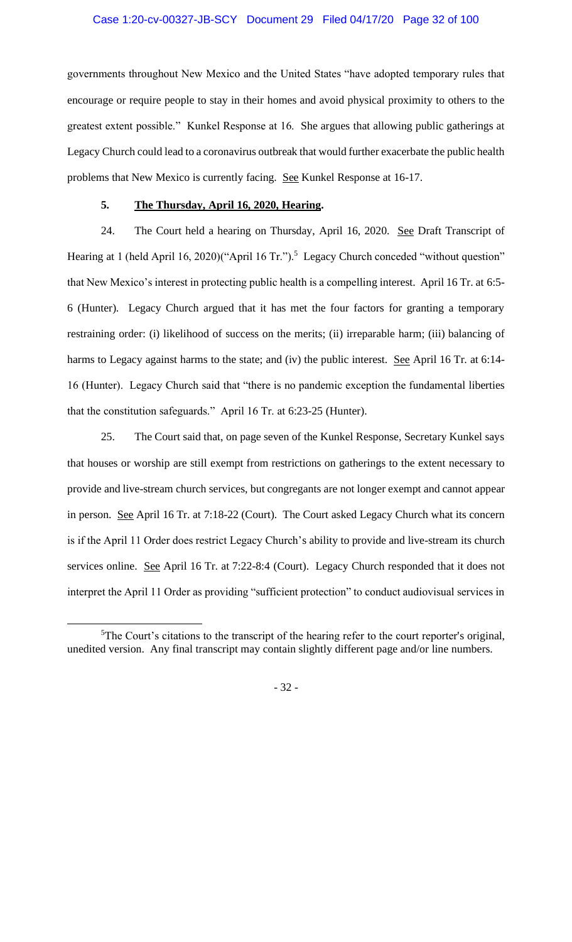### Case 1:20-cv-00327-JB-SCY Document 29 Filed 04/17/20 Page 32 of 100

governments throughout New Mexico and the United States "have adopted temporary rules that encourage or require people to stay in their homes and avoid physical proximity to others to the greatest extent possible." Kunkel Response at 16. She argues that allowing public gatherings at Legacy Church could lead to a coronavirus outbreak that would further exacerbate the public health problems that New Mexico is currently facing. See Kunkel Response at 16-17.

## **5. The Thursday, April 16, 2020, Hearing.**

24. The Court held a hearing on Thursday, April 16, 2020. See Draft Transcript of Hearing at 1 (held April 16, 2020)("April 16 Tr.").<sup>5</sup> Legacy Church conceded "without question" that New Mexico's interest in protecting public health is a compelling interest. April 16 Tr. at 6:5- 6 (Hunter). Legacy Church argued that it has met the four factors for granting a temporary restraining order: (i) likelihood of success on the merits; (ii) irreparable harm; (iii) balancing of harms to Legacy against harms to the state; and (iv) the public interest. See April 16 Tr. at 6:14-16 (Hunter). Legacy Church said that "there is no pandemic exception the fundamental liberties that the constitution safeguards." April 16 Tr. at 6:23-25 (Hunter).

25. The Court said that, on page seven of the Kunkel Response, Secretary Kunkel says that houses or worship are still exempt from restrictions on gatherings to the extent necessary to provide and live-stream church services, but congregants are not longer exempt and cannot appear in person. See April 16 Tr. at 7:18-22 (Court). The Court asked Legacy Church what its concern is if the April 11 Order does restrict Legacy Church's ability to provide and live-stream its church services online. See April 16 Tr. at 7:22-8:4 (Court). Legacy Church responded that it does not interpret the April 11 Order as providing "sufficient protection" to conduct audiovisual services in

- 32 -

 $5$ The Court's citations to the transcript of the hearing refer to the court reporter's original, unedited version. Any final transcript may contain slightly different page and/or line numbers.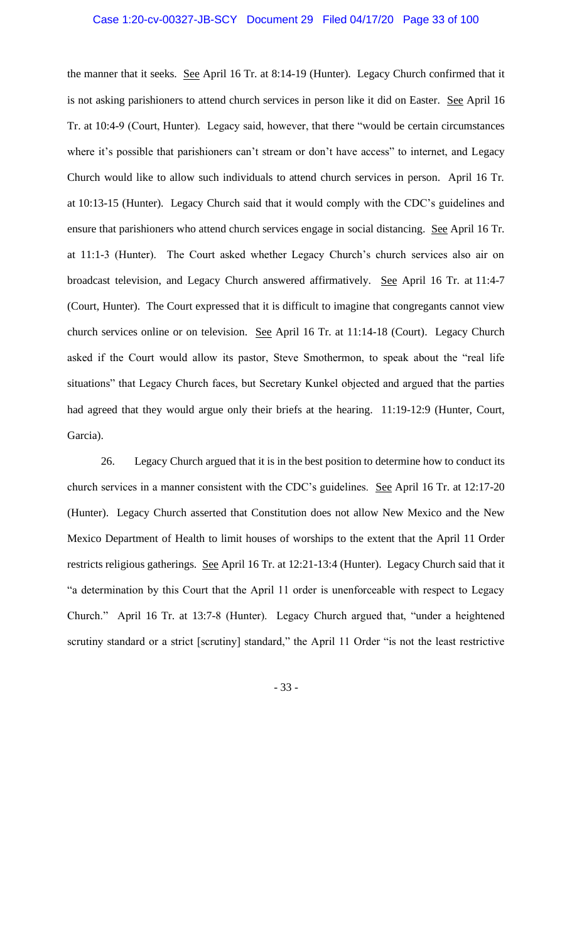the manner that it seeks. See April 16 Tr. at 8:14-19 (Hunter). Legacy Church confirmed that it is not asking parishioners to attend church services in person like it did on Easter. See April 16 Tr. at 10:4-9 (Court, Hunter). Legacy said, however, that there "would be certain circumstances where it's possible that parishioners can't stream or don't have access" to internet, and Legacy Church would like to allow such individuals to attend church services in person. April 16 Tr. at 10:13-15 (Hunter). Legacy Church said that it would comply with the CDC's guidelines and ensure that parishioners who attend church services engage in social distancing. See April 16 Tr. at 11:1-3 (Hunter). The Court asked whether Legacy Church's church services also air on broadcast television, and Legacy Church answered affirmatively. See April 16 Tr. at 11:4-7 (Court, Hunter). The Court expressed that it is difficult to imagine that congregants cannot view church services online or on television. See April 16 Tr. at 11:14-18 (Court). Legacy Church asked if the Court would allow its pastor, Steve Smothermon, to speak about the "real life situations" that Legacy Church faces, but Secretary Kunkel objected and argued that the parties had agreed that they would argue only their briefs at the hearing. 11:19-12:9 (Hunter, Court, Garcia).

26. Legacy Church argued that it is in the best position to determine how to conduct its church services in a manner consistent with the CDC's guidelines. See April 16 Tr. at 12:17-20 (Hunter). Legacy Church asserted that Constitution does not allow New Mexico and the New Mexico Department of Health to limit houses of worships to the extent that the April 11 Order restricts religious gatherings. See April 16 Tr. at 12:21-13:4 (Hunter). Legacy Church said that it "a determination by this Court that the April 11 order is unenforceable with respect to Legacy Church." April 16 Tr. at 13:7-8 (Hunter). Legacy Church argued that, "under a heightened scrutiny standard or a strict [scrutiny] standard," the April 11 Order "is not the least restrictive

- 33 -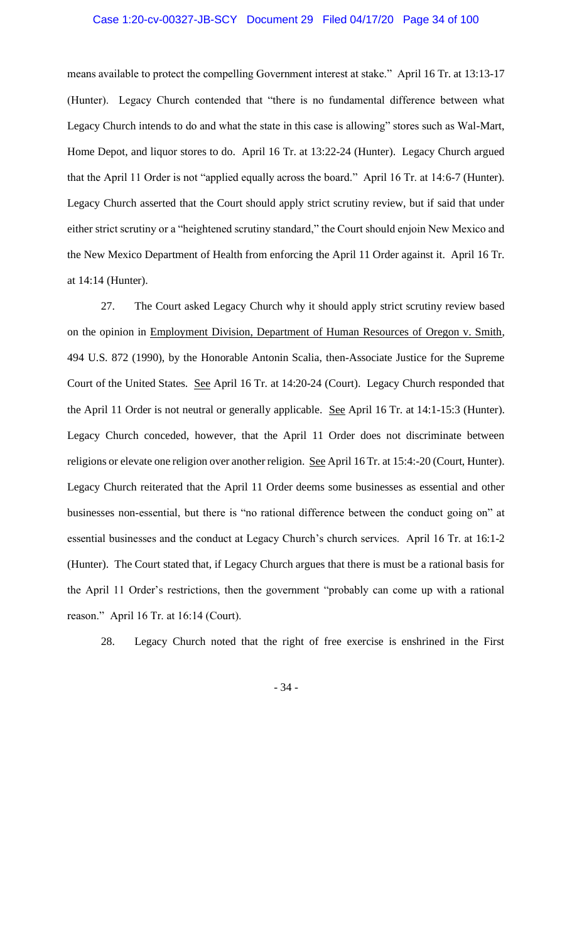### Case 1:20-cv-00327-JB-SCY Document 29 Filed 04/17/20 Page 34 of 100

means available to protect the compelling Government interest at stake." April 16 Tr. at 13:13-17 (Hunter). Legacy Church contended that "there is no fundamental difference between what Legacy Church intends to do and what the state in this case is allowing" stores such as Wal-Mart, Home Depot, and liquor stores to do. April 16 Tr. at 13:22-24 (Hunter). Legacy Church argued that the April 11 Order is not "applied equally across the board." April 16 Tr. at 14:6-7 (Hunter). Legacy Church asserted that the Court should apply strict scrutiny review, but if said that under either strict scrutiny or a "heightened scrutiny standard," the Court should enjoin New Mexico and the New Mexico Department of Health from enforcing the April 11 Order against it. April 16 Tr. at 14:14 (Hunter).

27. The Court asked Legacy Church why it should apply strict scrutiny review based on the opinion in Employment Division, Department of Human Resources of Oregon v. Smith, 494 U.S. 872 (1990), by the Honorable Antonin Scalia, then-Associate Justice for the Supreme Court of the United States. See April 16 Tr. at 14:20-24 (Court). Legacy Church responded that the April 11 Order is not neutral or generally applicable. See April 16 Tr. at 14:1-15:3 (Hunter). Legacy Church conceded, however, that the April 11 Order does not discriminate between religions or elevate one religion over another religion. See April 16 Tr. at 15:4:-20 (Court, Hunter). Legacy Church reiterated that the April 11 Order deems some businesses as essential and other businesses non-essential, but there is "no rational difference between the conduct going on" at essential businesses and the conduct at Legacy Church's church services. April 16 Tr. at 16:1-2 (Hunter). The Court stated that, if Legacy Church argues that there is must be a rational basis for the April 11 Order's restrictions, then the government "probably can come up with a rational reason." April 16 Tr. at 16:14 (Court).

28. Legacy Church noted that the right of free exercise is enshrined in the First

- 34 -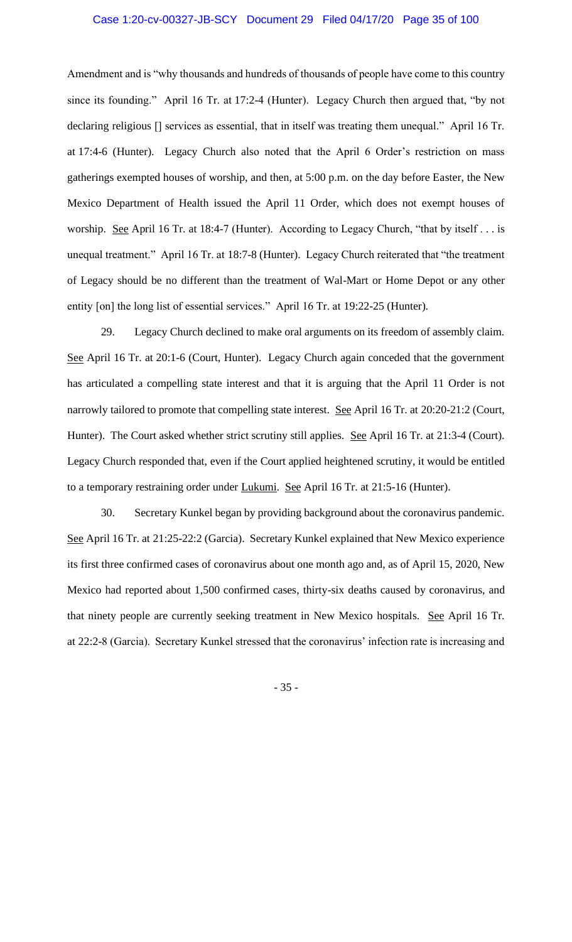### Case 1:20-cv-00327-JB-SCY Document 29 Filed 04/17/20 Page 35 of 100

Amendment and is "why thousands and hundreds of thousands of people have come to this country since its founding." April 16 Tr. at 17:2-4 (Hunter). Legacy Church then argued that, "by not declaring religious [] services as essential, that in itself was treating them unequal." April 16 Tr. at 17:4-6 (Hunter). Legacy Church also noted that the April 6 Order's restriction on mass gatherings exempted houses of worship, and then, at 5:00 p.m. on the day before Easter, the New Mexico Department of Health issued the April 11 Order, which does not exempt houses of worship. See April 16 Tr. at 18:4-7 (Hunter). According to Legacy Church, "that by itself . . . is unequal treatment." April 16 Tr. at 18:7-8 (Hunter). Legacy Church reiterated that "the treatment of Legacy should be no different than the treatment of Wal-Mart or Home Depot or any other entity [on] the long list of essential services." April 16 Tr. at 19:22-25 (Hunter).

29. Legacy Church declined to make oral arguments on its freedom of assembly claim. See April 16 Tr. at 20:1-6 (Court, Hunter). Legacy Church again conceded that the government has articulated a compelling state interest and that it is arguing that the April 11 Order is not narrowly tailored to promote that compelling state interest. See April 16 Tr. at 20:20-21:2 (Court, Hunter). The Court asked whether strict scrutiny still applies. See April 16 Tr. at 21:3-4 (Court). Legacy Church responded that, even if the Court applied heightened scrutiny, it would be entitled to a temporary restraining order under Lukumi. See April 16 Tr. at 21:5-16 (Hunter).

30. Secretary Kunkel began by providing background about the coronavirus pandemic. See April 16 Tr. at 21:25-22:2 (Garcia). Secretary Kunkel explained that New Mexico experience its first three confirmed cases of coronavirus about one month ago and, as of April 15, 2020, New Mexico had reported about 1,500 confirmed cases, thirty-six deaths caused by coronavirus, and that ninety people are currently seeking treatment in New Mexico hospitals. See April 16 Tr. at 22:2-8 (Garcia). Secretary Kunkel stressed that the coronavirus' infection rate is increasing and

- 35 -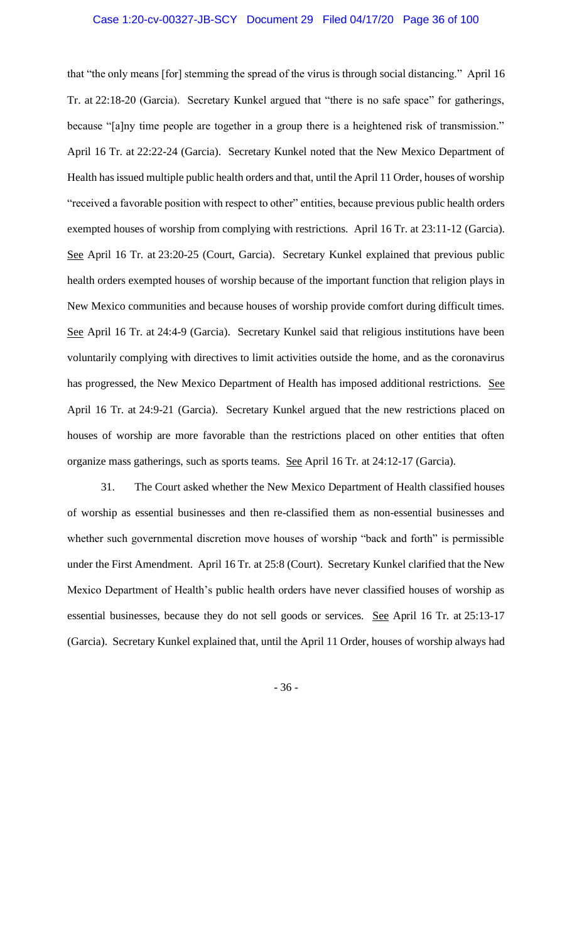that "the only means [for] stemming the spread of the virus is through social distancing." April 16 Tr. at 22:18-20 (Garcia). Secretary Kunkel argued that "there is no safe space" for gatherings, because "[a]ny time people are together in a group there is a heightened risk of transmission." April 16 Tr. at 22:22-24 (Garcia). Secretary Kunkel noted that the New Mexico Department of Health has issued multiple public health orders and that, until the April 11 Order, houses of worship "received a favorable position with respect to other" entities, because previous public health orders exempted houses of worship from complying with restrictions. April 16 Tr. at 23:11-12 (Garcia). See April 16 Tr. at 23:20-25 (Court, Garcia). Secretary Kunkel explained that previous public health orders exempted houses of worship because of the important function that religion plays in New Mexico communities and because houses of worship provide comfort during difficult times. See April 16 Tr. at 24:4-9 (Garcia). Secretary Kunkel said that religious institutions have been voluntarily complying with directives to limit activities outside the home, and as the coronavirus has progressed, the New Mexico Department of Health has imposed additional restrictions. See April 16 Tr. at 24:9-21 (Garcia). Secretary Kunkel argued that the new restrictions placed on houses of worship are more favorable than the restrictions placed on other entities that often organize mass gatherings, such as sports teams. See April 16 Tr. at 24:12-17 (Garcia).

31. The Court asked whether the New Mexico Department of Health classified houses of worship as essential businesses and then re-classified them as non-essential businesses and whether such governmental discretion move houses of worship "back and forth" is permissible under the First Amendment. April 16 Tr. at 25:8 (Court). Secretary Kunkel clarified that the New Mexico Department of Health's public health orders have never classified houses of worship as essential businesses, because they do not sell goods or services. See April 16 Tr. at 25:13-17 (Garcia). Secretary Kunkel explained that, until the April 11 Order, houses of worship always had

- 36 -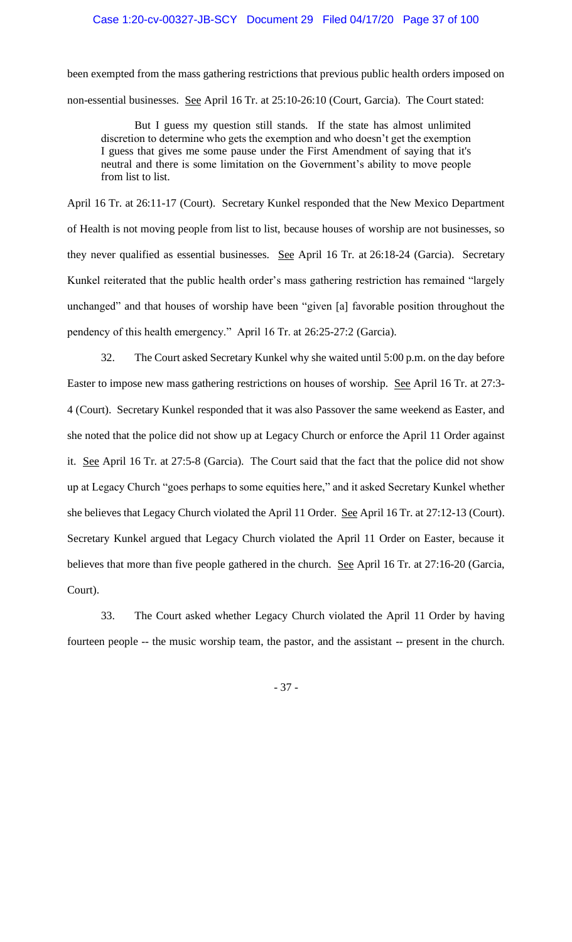been exempted from the mass gathering restrictions that previous public health orders imposed on non-essential businesses. See April 16 Tr. at 25:10-26:10 (Court, Garcia). The Court stated:

But I guess my question still stands. If the state has almost unlimited discretion to determine who gets the exemption and who doesn't get the exemption I guess that gives me some pause under the First Amendment of saying that it's neutral and there is some limitation on the Government's ability to move people from list to list.

April 16 Tr. at 26:11-17 (Court). Secretary Kunkel responded that the New Mexico Department of Health is not moving people from list to list, because houses of worship are not businesses, so they never qualified as essential businesses. See April 16 Tr. at 26:18-24 (Garcia). Secretary Kunkel reiterated that the public health order's mass gathering restriction has remained "largely unchanged" and that houses of worship have been "given [a] favorable position throughout the pendency of this health emergency." April 16 Tr. at 26:25-27:2 (Garcia).

32. The Court asked Secretary Kunkel why she waited until 5:00 p.m. on the day before Easter to impose new mass gathering restrictions on houses of worship. See April 16 Tr. at 27:3- 4 (Court). Secretary Kunkel responded that it was also Passover the same weekend as Easter, and she noted that the police did not show up at Legacy Church or enforce the April 11 Order against it. See April 16 Tr. at 27:5-8 (Garcia). The Court said that the fact that the police did not show up at Legacy Church "goes perhaps to some equities here," and it asked Secretary Kunkel whether she believes that Legacy Church violated the April 11 Order. See April 16 Tr. at 27:12-13 (Court). Secretary Kunkel argued that Legacy Church violated the April 11 Order on Easter, because it believes that more than five people gathered in the church. See April 16 Tr. at 27:16-20 (Garcia, Court).

33. The Court asked whether Legacy Church violated the April 11 Order by having fourteen people -- the music worship team, the pastor, and the assistant -- present in the church.

- 37 -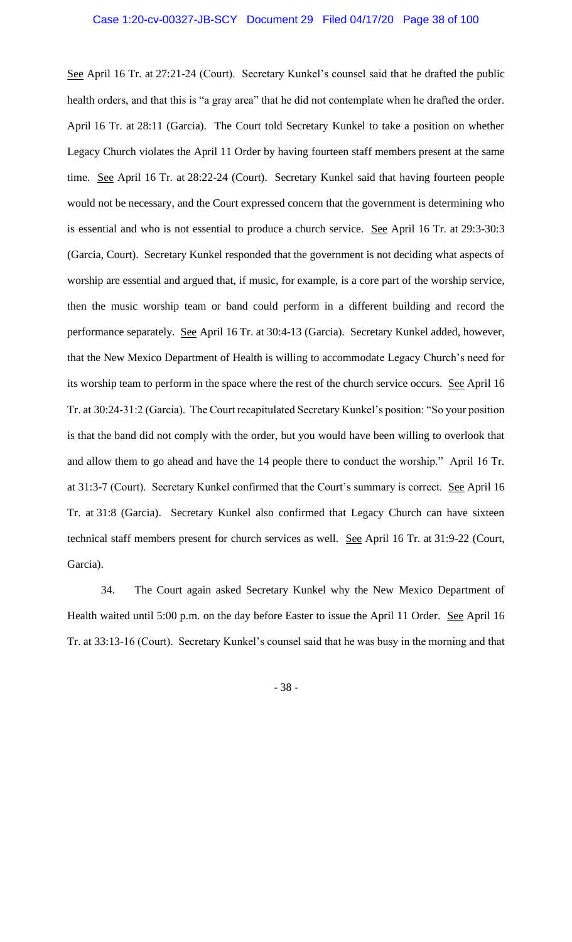See April 16 Tr. at 27:21-24 (Court). Secretary Kunkel's counsel said that he drafted the public health orders, and that this is "a gray area" that he did not contemplate when he drafted the order. April 16 Tr. at 28:11 (Garcia). The Court told Secretary Kunkel to take a position on whether Legacy Church violates the April 11 Order by having fourteen staff members present at the same time. See April 16 Tr. at 28:22-24 (Court). Secretary Kunkel said that having fourteen people would not be necessary, and the Court expressed concern that the government is determining who is essential and who is not essential to produce a church service. See April 16 Tr. at 29:3-30:3 (Garcia, Court). Secretary Kunkel responded that the government is not deciding what aspects of worship are essential and argued that, if music, for example, is a core part of the worship service, then the music worship team or band could perform in a different building and record the performance separately. See April 16 Tr. at 30:4-13 (Garcia). Secretary Kunkel added, however, that the New Mexico Department of Health is willing to accommodate Legacy Church's need for its worship team to perform in the space where the rest of the church service occurs. See April 16 Tr. at 30:24-31:2 (Garcia). The Court recapitulated Secretary Kunkel's position: "So your position is that the band did not comply with the order, but you would have been willing to overlook that and allow them to go ahead and have the 14 people there to conduct the worship." April 16 Tr. at 31:3-7 (Court). Secretary Kunkel confirmed that the Court's summary is correct. See April 16 Tr. at 31:8 (Garcia). Secretary Kunkel also confirmed that Legacy Church can have sixteen technical staff members present for church services as well. See April 16 Tr. at 31:9-22 (Court, Garcia).

34. The Court again asked Secretary Kunkel why the New Mexico Department of Health waited until 5:00 p.m. on the day before Easter to issue the April 11 Order. See April 16 Tr. at 33:13-16 (Court). Secretary Kunkel's counsel said that he was busy in the morning and that

- 38 -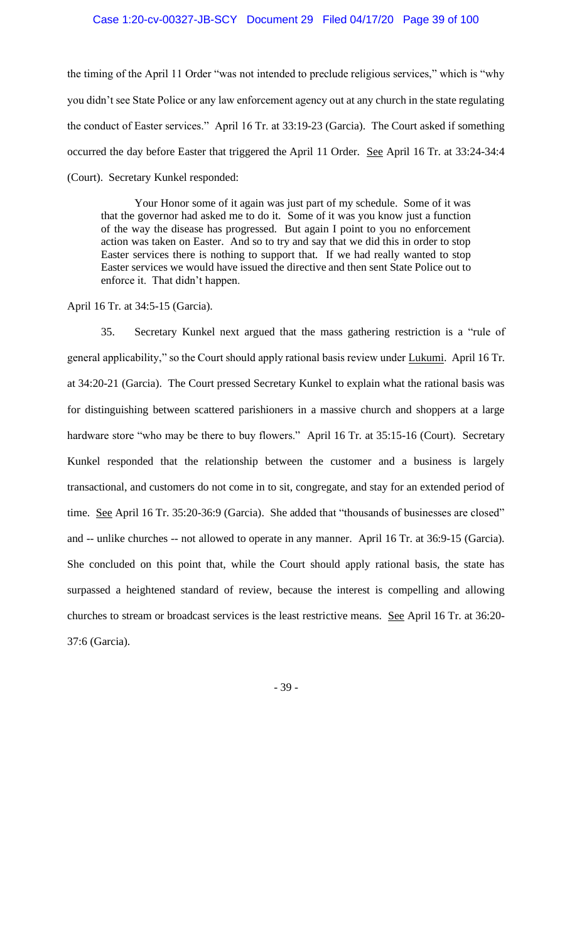### Case 1:20-cv-00327-JB-SCY Document 29 Filed 04/17/20 Page 39 of 100

the timing of the April 11 Order "was not intended to preclude religious services," which is "why you didn't see State Police or any law enforcement agency out at any church in the state regulating the conduct of Easter services." April 16 Tr. at 33:19-23 (Garcia). The Court asked if something occurred the day before Easter that triggered the April 11 Order. See April 16 Tr. at 33:24-34:4 (Court). Secretary Kunkel responded:

Your Honor some of it again was just part of my schedule. Some of it was that the governor had asked me to do it. Some of it was you know just a function of the way the disease has progressed. But again I point to you no enforcement action was taken on Easter. And so to try and say that we did this in order to stop Easter services there is nothing to support that. If we had really wanted to stop Easter services we would have issued the directive and then sent State Police out to enforce it. That didn't happen.

April 16 Tr. at 34:5-15 (Garcia).

35. Secretary Kunkel next argued that the mass gathering restriction is a "rule of general applicability," so the Court should apply rational basis review under Lukumi. April 16 Tr. at 34:20-21 (Garcia). The Court pressed Secretary Kunkel to explain what the rational basis was for distinguishing between scattered parishioners in a massive church and shoppers at a large hardware store "who may be there to buy flowers." April 16 Tr. at 35:15-16 (Court). Secretary Kunkel responded that the relationship between the customer and a business is largely transactional, and customers do not come in to sit, congregate, and stay for an extended period of time. See April 16 Tr. 35:20-36:9 (Garcia). She added that "thousands of businesses are closed" and -- unlike churches -- not allowed to operate in any manner. April 16 Tr. at 36:9-15 (Garcia). She concluded on this point that, while the Court should apply rational basis, the state has surpassed a heightened standard of review, because the interest is compelling and allowing churches to stream or broadcast services is the least restrictive means. See April 16 Tr. at 36:20- 37:6 (Garcia).

- 39 -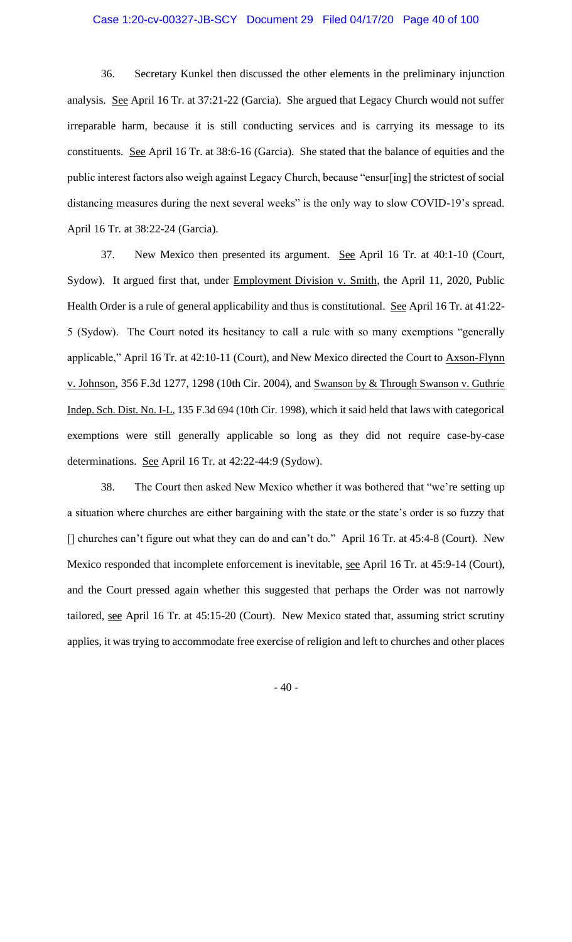36. Secretary Kunkel then discussed the other elements in the preliminary injunction analysis. See April 16 Tr. at 37:21-22 (Garcia). She argued that Legacy Church would not suffer irreparable harm, because it is still conducting services and is carrying its message to its constituents. See April 16 Tr. at 38:6-16 (Garcia). She stated that the balance of equities and the public interest factors also weigh against Legacy Church, because "ensur[ing] the strictest of social distancing measures during the next several weeks" is the only way to slow COVID-19's spread. April 16 Tr. at 38:22-24 (Garcia).

37. New Mexico then presented its argument. See April 16 Tr. at 40:1-10 (Court, Sydow). It argued first that, under Employment Division v. Smith, the April 11, 2020, Public Health Order is a rule of general applicability and thus is constitutional. See April 16 Tr. at 41:22-5 (Sydow). The Court noted its hesitancy to call a rule with so many exemptions "generally applicable," April 16 Tr. at 42:10-11 (Court), and New Mexico directed the Court to Axson-Flynn v. Johnson, 356 F.3d 1277, 1298 (10th Cir. 2004), and Swanson by & Through Swanson v. Guthrie Indep. Sch. Dist. No. I-L, 135 F.3d 694 (10th Cir. 1998), which it said held that laws with categorical exemptions were still generally applicable so long as they did not require case-by-case determinations. See April 16 Tr. at 42:22-44:9 (Sydow).

38. The Court then asked New Mexico whether it was bothered that "we're setting up a situation where churches are either bargaining with the state or the state's order is so fuzzy that [] churches can't figure out what they can do and can't do." April 16 Tr. at 45:4-8 (Court). New Mexico responded that incomplete enforcement is inevitable, see April 16 Tr. at 45:9-14 (Court), and the Court pressed again whether this suggested that perhaps the Order was not narrowly tailored, see April 16 Tr. at 45:15-20 (Court). New Mexico stated that, assuming strict scrutiny applies, it was trying to accommodate free exercise of religion and left to churches and other places

- 40 -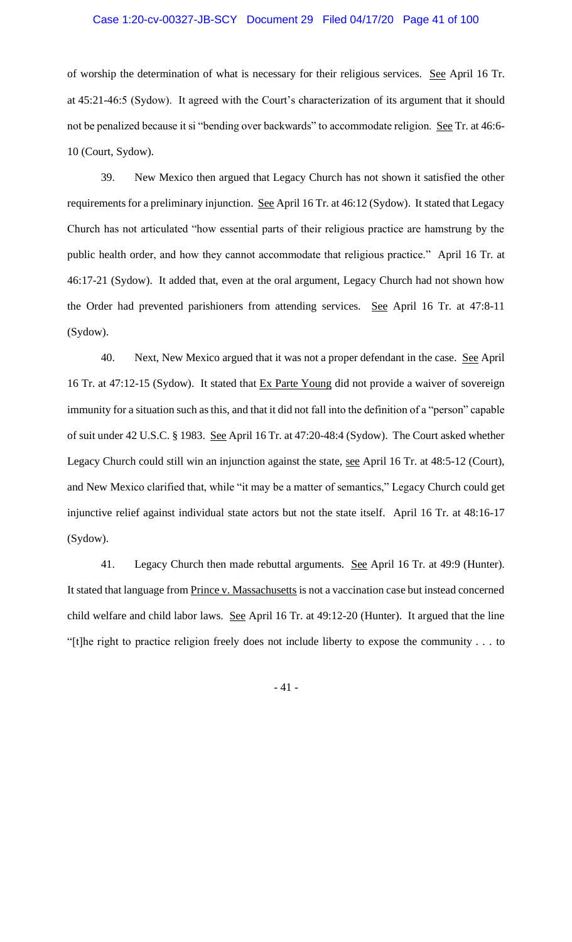### Case 1:20-cv-00327-JB-SCY Document 29 Filed 04/17/20 Page 41 of 100

of worship the determination of what is necessary for their religious services. See April 16 Tr. at 45:21-46:5 (Sydow). It agreed with the Court's characterization of its argument that it should not be penalized because it si "bending over backwards" to accommodate religion. See Tr. at 46:6-10 (Court, Sydow).

39. New Mexico then argued that Legacy Church has not shown it satisfied the other requirements for a preliminary injunction. See April 16 Tr. at 46:12 (Sydow). It stated that Legacy Church has not articulated "how essential parts of their religious practice are hamstrung by the public health order, and how they cannot accommodate that religious practice." April 16 Tr. at 46:17-21 (Sydow). It added that, even at the oral argument, Legacy Church had not shown how the Order had prevented parishioners from attending services. See April 16 Tr. at 47:8-11 (Sydow).

40. Next, New Mexico argued that it was not a proper defendant in the case. See April 16 Tr. at 47:12-15 (Sydow). It stated that Ex Parte Young did not provide a waiver of sovereign immunity for a situation such as this, and that it did not fall into the definition of a "person" capable of suit under 42 U.S.C. § 1983. See April 16 Tr. at 47:20-48:4 (Sydow). The Court asked whether Legacy Church could still win an injunction against the state, see April 16 Tr. at 48:5-12 (Court), and New Mexico clarified that, while "it may be a matter of semantics," Legacy Church could get injunctive relief against individual state actors but not the state itself. April 16 Tr. at 48:16-17 (Sydow).

41. Legacy Church then made rebuttal arguments. See April 16 Tr. at 49:9 (Hunter). It stated that language from Prince v. Massachusetts is not a vaccination case but instead concerned child welfare and child labor laws. See April 16 Tr. at 49:12-20 (Hunter). It argued that the line "[t]he right to practice religion freely does not include liberty to expose the community . . . to

- 41 -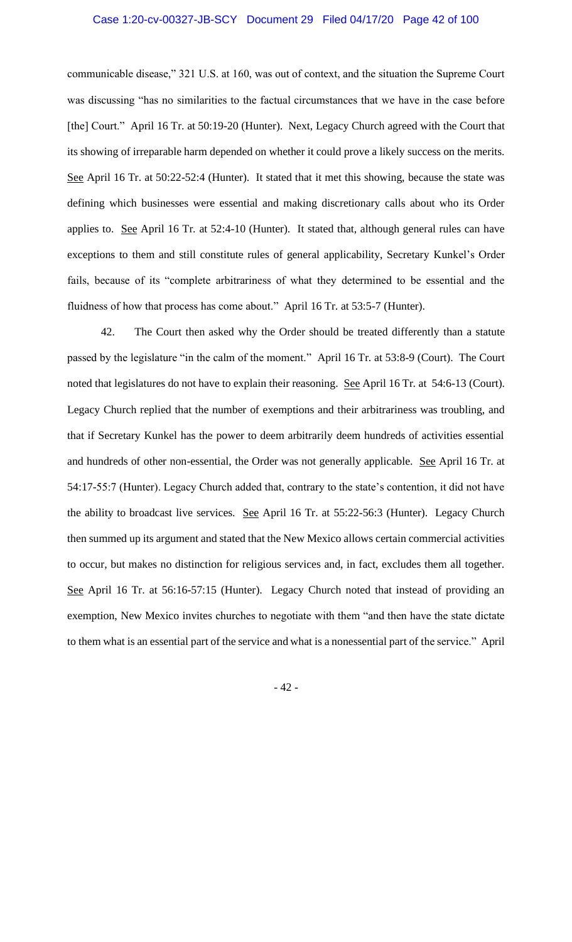communicable disease," 321 U.S. at 160, was out of context, and the situation the Supreme Court was discussing "has no similarities to the factual circumstances that we have in the case before [the] Court." April 16 Tr. at 50:19-20 (Hunter). Next, Legacy Church agreed with the Court that its showing of irreparable harm depended on whether it could prove a likely success on the merits. See April 16 Tr. at 50:22-52:4 (Hunter). It stated that it met this showing, because the state was defining which businesses were essential and making discretionary calls about who its Order applies to. See April 16 Tr. at 52:4-10 (Hunter). It stated that, although general rules can have exceptions to them and still constitute rules of general applicability, Secretary Kunkel's Order fails, because of its "complete arbitrariness of what they determined to be essential and the fluidness of how that process has come about." April 16 Tr. at 53:5-7 (Hunter).

42. The Court then asked why the Order should be treated differently than a statute passed by the legislature "in the calm of the moment." April 16 Tr. at 53:8-9 (Court). The Court noted that legislatures do not have to explain their reasoning. See April 16 Tr. at 54:6-13 (Court). Legacy Church replied that the number of exemptions and their arbitrariness was troubling, and that if Secretary Kunkel has the power to deem arbitrarily deem hundreds of activities essential and hundreds of other non-essential, the Order was not generally applicable. See April 16 Tr. at 54:17-55:7 (Hunter). Legacy Church added that, contrary to the state's contention, it did not have the ability to broadcast live services. See April 16 Tr. at 55:22-56:3 (Hunter). Legacy Church then summed up its argument and stated that the New Mexico allows certain commercial activities to occur, but makes no distinction for religious services and, in fact, excludes them all together. See April 16 Tr. at 56:16-57:15 (Hunter). Legacy Church noted that instead of providing an exemption, New Mexico invites churches to negotiate with them "and then have the state dictate to them what is an essential part of the service and what is a nonessential part of the service." April

- 42 -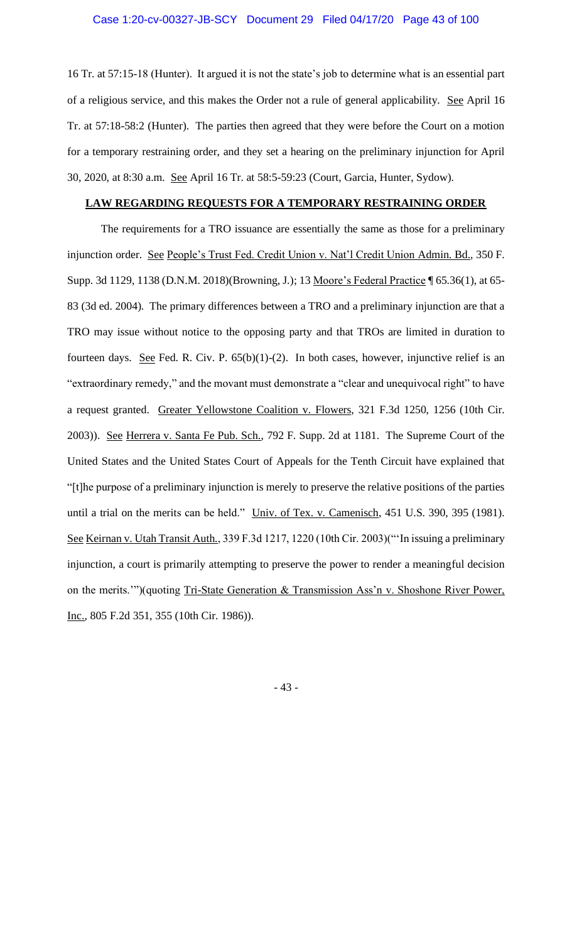16 Tr. at 57:15-18 (Hunter). It argued it is not the state's job to determine what is an essential part of a religious service, and this makes the Order not a rule of general applicability. See April 16 Tr. at 57:18-58:2 (Hunter). The parties then agreed that they were before the Court on a motion for a temporary restraining order, and they set a hearing on the preliminary injunction for April 30, 2020, at 8:30 a.m. See April 16 Tr. at 58:5-59:23 (Court, Garcia, Hunter, Sydow).

### **LAW REGARDING REQUESTS FOR A TEMPORARY RESTRAINING ORDER**

The requirements for a TRO issuance are essentially the same as those for a preliminary injunction order. See People's Trust Fed. Credit Union v. Nat'l Credit Union Admin. Bd., 350 F. Supp. 3d 1129, 1138 (D.N.M. 2018)(Browning, J.); 13 Moore's Federal Practice ¶ 65.36(1), at 65- 83 (3d ed. 2004). The primary differences between a TRO and a preliminary injunction are that a TRO may issue without notice to the opposing party and that TROs are limited in duration to fourteen days. See Fed. R. Civ. P.  $65(b)(1)-(2)$ . In both cases, however, injunctive relief is an "extraordinary remedy," and the movant must demonstrate a "clear and unequivocal right" to have a request granted.Greater Yellowstone Coalition v. Flowers, 321 F.3d 1250, 1256 (10th Cir. 2003)). See Herrera v. Santa Fe Pub. Sch., 792 F. Supp. 2d at 1181. The Supreme Court of the United States and the United States Court of Appeals for the Tenth Circuit have explained that "[t]he purpose of a preliminary injunction is merely to preserve the relative positions of the parties until a trial on the merits can be held." Univ. of Tex. v. Camenisch, 451 U.S. 390, 395 (1981). See Keirnan v. Utah Transit Auth., 339 F.3d 1217, 1220 (10th Cir. 2003)("'In issuing a preliminary injunction, a court is primarily attempting to preserve the power to render a meaningful decision on the merits.'")(quoting Tri-State Generation & Transmission Ass'n v. Shoshone River Power, Inc., 805 F.2d 351, 355 (10th Cir. 1986)).

- 43 -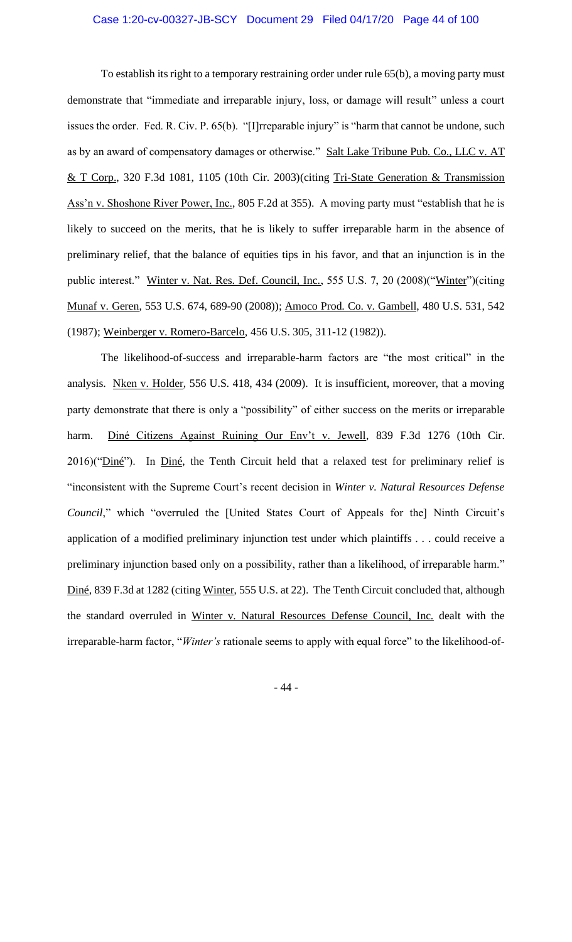### Case 1:20-cv-00327-JB-SCY Document 29 Filed 04/17/20 Page 44 of 100

To establish its right to a temporary restraining order under rule 65(b), a moving party must demonstrate that "immediate and irreparable injury, loss, or damage will result" unless a court issues the order. Fed. R. Civ. P. 65(b). "[I]rreparable injury" is "harm that cannot be undone, such as by an award of compensatory damages or otherwise." Salt Lake Tribune Pub. Co., LLC v. AT & T Corp., 320 F.3d 1081, 1105 (10th Cir. 2003)(citing Tri-State Generation & Transmission Ass'n v. Shoshone River Power, Inc., 805 F.2d at 355). A moving party must "establish that he is likely to succeed on the merits, that he is likely to suffer irreparable harm in the absence of preliminary relief, that the balance of equities tips in his favor, and that an injunction is in the public interest." Winter v. Nat. Res. Def. Council, Inc., 555 U.S. 7, 20 (2008)("Winter")(citing Munaf v. Geren, 553 U.S. 674, 689-90 (2008)); Amoco Prod. Co. v. Gambell, 480 U.S. 531, 542 (1987); Weinberger v. Romero-Barcelo, 456 U.S. 305, 311-12 (1982)).

The likelihood-of-success and irreparable-harm factors are "the most critical" in the analysis. Nken v. Holder, 556 U.S. 418, 434 (2009). It is insufficient, moreover, that a moving party demonstrate that there is only a "possibility" of either success on the merits or irreparable harm. Diné Citizens Against Ruining Our Env't v. Jewell, 839 F.3d 1276 (10th Cir. 2016)("Diné"). In Diné, the Tenth Circuit held that a relaxed test for preliminary relief is "inconsistent with the Supreme Court's recent decision in *Winter v. Natural Resources Defense Council*," which "overruled the [United States Court of Appeals for the] Ninth Circuit's application of a modified preliminary injunction test under which plaintiffs . . . could receive a preliminary injunction based only on a possibility, rather than a likelihood, of irreparable harm." Diné, 839 F.3d at 1282 (citing Winter, 555 U.S. at 22). The Tenth Circuit concluded that, although the standard overruled in Winter v. Natural Resources Defense Council, Inc. dealt with the irreparable-harm factor, "*Winter's* rationale seems to apply with equal force" to the likelihood-of-

- 44 -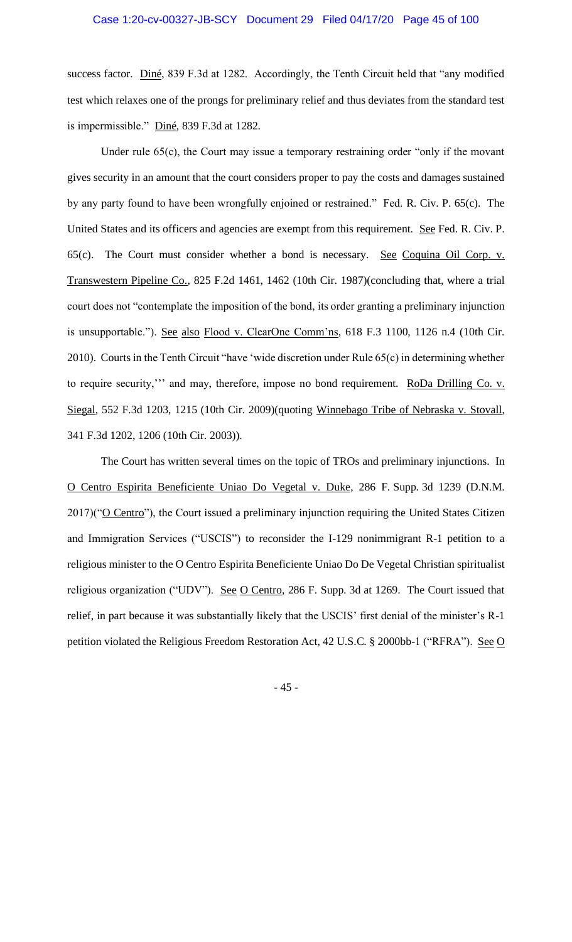success factor. Diné, 839 F.3d at 1282. Accordingly, the Tenth Circuit held that "any modified test which relaxes one of the prongs for preliminary relief and thus deviates from the standard test is impermissible." Diné, 839 F.3d at 1282.

Under rule 65(c), the Court may issue a temporary restraining order "only if the movant gives security in an amount that the court considers proper to pay the costs and damages sustained by any party found to have been wrongfully enjoined or restrained." Fed. R. Civ. P. 65(c). The United States and its officers and agencies are exempt from this requirement. See Fed. R. Civ. P. 65(c). The Court must consider whether a bond is necessary. See Coquina Oil Corp. v. Transwestern Pipeline Co., 825 F.2d 1461, 1462 (10th Cir. 1987)(concluding that, where a trial court does not "contemplate the imposition of the bond, its order granting a preliminary injunction is unsupportable."). See also Flood v. ClearOne Comm'ns, 618 F.3 1100, 1126 n.4 (10th Cir. 2010). Courts in the Tenth Circuit "have 'wide discretion under Rule 65(c) in determining whether to require security," and may, therefore, impose no bond requirement. RoDa Drilling Co. v. Siegal, 552 F.3d 1203, 1215 (10th Cir. 2009)(quoting Winnebago Tribe of Nebraska v. Stovall, 341 F.3d 1202, 1206 (10th Cir. 2003)).

The Court has written several times on the topic of TROs and preliminary injunctions. In O Centro Espirita Beneficiente Uniao Do Vegetal v. Duke, 286 F. Supp. 3d 1239 (D.N.M.  $2017$ )(" $\underline{O}$  Centro"), the Court issued a preliminary injunction requiring the United States Citizen and Immigration Services ("USCIS") to reconsider the I-129 nonimmigrant R-1 petition to a religious minister to the O Centro Espirita Beneficiente Uniao Do De Vegetal Christian spiritualist religious organization ("UDV"). See O Centro, 286 F. Supp. 3d at 1269. The Court issued that relief, in part because it was substantially likely that the USCIS' first denial of the minister's R-1 petition violated the Religious Freedom Restoration Act, 42 U.S.C. § 2000bb-1 ("RFRA"). See O

- 45 -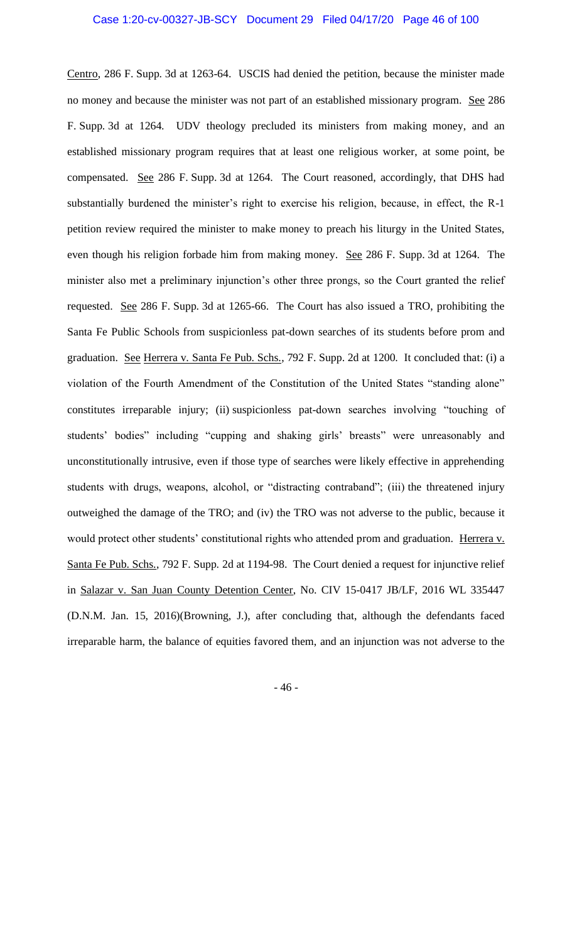Centro, 286 F. Supp. 3d at 1263-64. USCIS had denied the petition, because the minister made no money and because the minister was not part of an established missionary program. See 286 F. Supp. 3d at 1264. UDV theology precluded its ministers from making money, and an established missionary program requires that at least one religious worker, at some point, be compensated. See 286 F. Supp. 3d at 1264. The Court reasoned, accordingly, that DHS had substantially burdened the minister's right to exercise his religion, because, in effect, the R-1 petition review required the minister to make money to preach his liturgy in the United States, even though his religion forbade him from making money. See 286 F. Supp. 3d at 1264. The minister also met a preliminary injunction's other three prongs, so the Court granted the relief requested. See 286 F. Supp. 3d at 1265-66. The Court has also issued a TRO, prohibiting the Santa Fe Public Schools from suspicionless pat-down searches of its students before prom and graduation. See Herrera v. Santa Fe Pub. Schs., 792 F. Supp. 2d at 1200. It concluded that: (i) a violation of the Fourth Amendment of the Constitution of the United States "standing alone" constitutes irreparable injury; (ii) suspicionless pat-down searches involving "touching of students' bodies" including "cupping and shaking girls' breasts" were unreasonably and unconstitutionally intrusive, even if those type of searches were likely effective in apprehending students with drugs, weapons, alcohol, or "distracting contraband"; (iii) the threatened injury outweighed the damage of the TRO; and (iv) the TRO was not adverse to the public, because it would protect other students' constitutional rights who attended prom and graduation. Herrera v. Santa Fe Pub. Schs., 792 F. Supp. 2d at 1194-98. The Court denied a request for injunctive relief in Salazar v. San Juan County Detention Center, No. CIV 15-0417 JB/LF, 2016 WL 335447 (D.N.M. Jan. 15, 2016)(Browning, J.), after concluding that, although the defendants faced irreparable harm, the balance of equities favored them, and an injunction was not adverse to the

- 46 -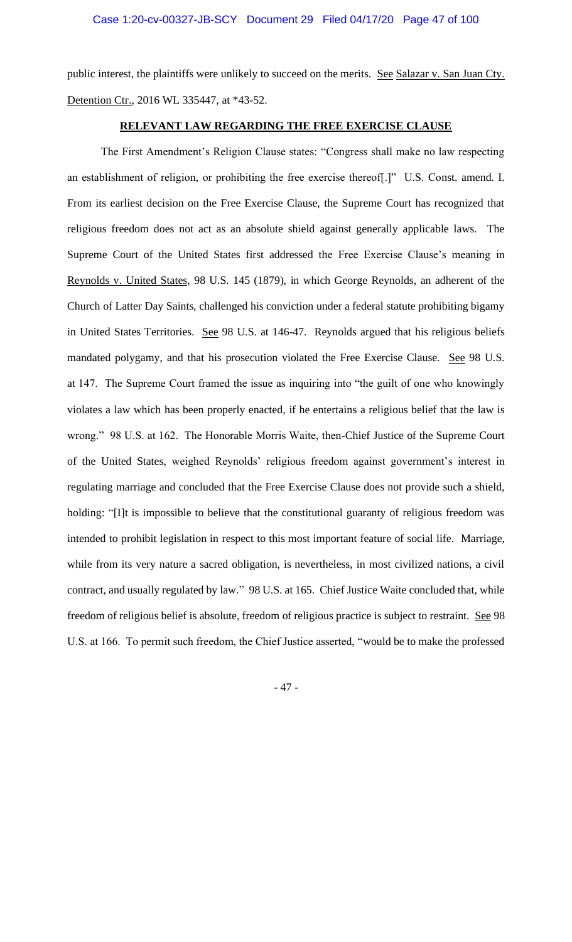public interest, the plaintiffs were unlikely to succeed on the merits. See Salazar v. San Juan Cty. Detention Ctr., 2016 WL 335447, at \*43-52.

### **RELEVANT LAW REGARDING THE FREE EXERCISE CLAUSE**

The First Amendment's Religion Clause states: "Congress shall make no law respecting an establishment of religion, or prohibiting the free exercise thereof[.]" U.S. Const. amend. I. From its earliest decision on the Free Exercise Clause, the Supreme Court has recognized that religious freedom does not act as an absolute shield against generally applicable laws. The Supreme Court of the United States first addressed the Free Exercise Clause's meaning in Reynolds v. United States, 98 U.S. 145 (1879), in which George Reynolds, an adherent of the Church of Latter Day Saints, challenged his conviction under a federal statute prohibiting bigamy in United States Territories. See 98 U.S. at 146-47. Reynolds argued that his religious beliefs mandated polygamy, and that his prosecution violated the Free Exercise Clause. See 98 U.S. at 147. The Supreme Court framed the issue as inquiring into "the guilt of one who knowingly violates a law which has been properly enacted, if he entertains a religious belief that the law is wrong." 98 U.S. at 162. The Honorable Morris Waite, then-Chief Justice of the Supreme Court of the United States, weighed Reynolds' religious freedom against government's interest in regulating marriage and concluded that the Free Exercise Clause does not provide such a shield, holding: "[I]t is impossible to believe that the constitutional guaranty of religious freedom was intended to prohibit legislation in respect to this most important feature of social life. Marriage, while from its very nature a sacred obligation, is nevertheless, in most civilized nations, a civil contract, and usually regulated by law." 98 U.S. at 165. Chief Justice Waite concluded that, while freedom of religious belief is absolute, freedom of religious practice is subject to restraint. See 98 U.S. at 166. To permit such freedom, the Chief Justice asserted, "would be to make the professed

- 47 -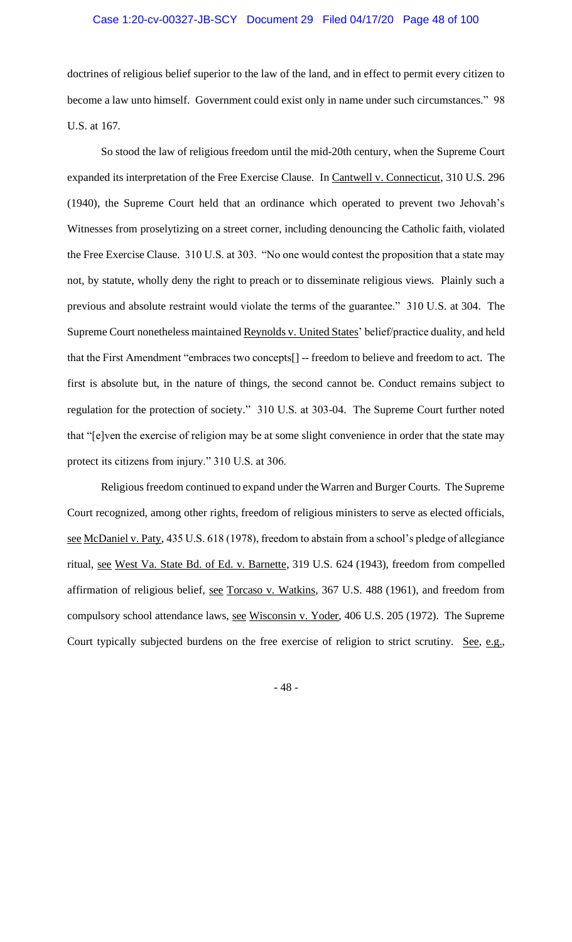doctrines of religious belief superior to the law of the land, and in effect to permit every citizen to become a law unto himself. Government could exist only in name under such circumstances." 98 U.S. at 167.

So stood the law of religious freedom until the mid-20th century, when the Supreme Court expanded its interpretation of the Free Exercise Clause. In Cantwell v. Connecticut, 310 U.S. 296 (1940), the Supreme Court held that an ordinance which operated to prevent two Jehovah's Witnesses from proselytizing on a street corner, including denouncing the Catholic faith, violated the Free Exercise Clause. 310 U.S. at 303. "No one would contest the proposition that a state may not, by statute, wholly deny the right to preach or to disseminate religious views. Plainly such a previous and absolute restraint would violate the terms of the guarantee." 310 U.S. at 304. The Supreme Court nonetheless maintained Reynolds v. United States' belief/practice duality, and held that the First Amendment "embraces two concepts[] -- freedom to believe and freedom to act. The first is absolute but, in the nature of things, the second cannot be. Conduct remains subject to regulation for the protection of society." 310 U.S. at 303-04. The Supreme Court further noted that "[e]ven the exercise of religion may be at some slight convenience in order that the state may protect its citizens from injury." 310 U.S. at 306.

Religious freedom continued to expand under the Warren and Burger Courts. The Supreme Court recognized, among other rights, freedom of religious ministers to serve as elected officials, see McDaniel v. Paty, 435 U.S. 618 (1978), freedom to abstain from a school's pledge of allegiance ritual, see West Va. State Bd. of Ed. v. Barnette, 319 U.S. 624 (1943), freedom from compelled affirmation of religious belief, see Torcaso v. Watkins, 367 U.S. 488 (1961), and freedom from compulsory school attendance laws, see Wisconsin v. Yoder, 406 U.S. 205 (1972). The Supreme Court typically subjected burdens on the free exercise of religion to strict scrutiny. See, e.g.,

- 48 -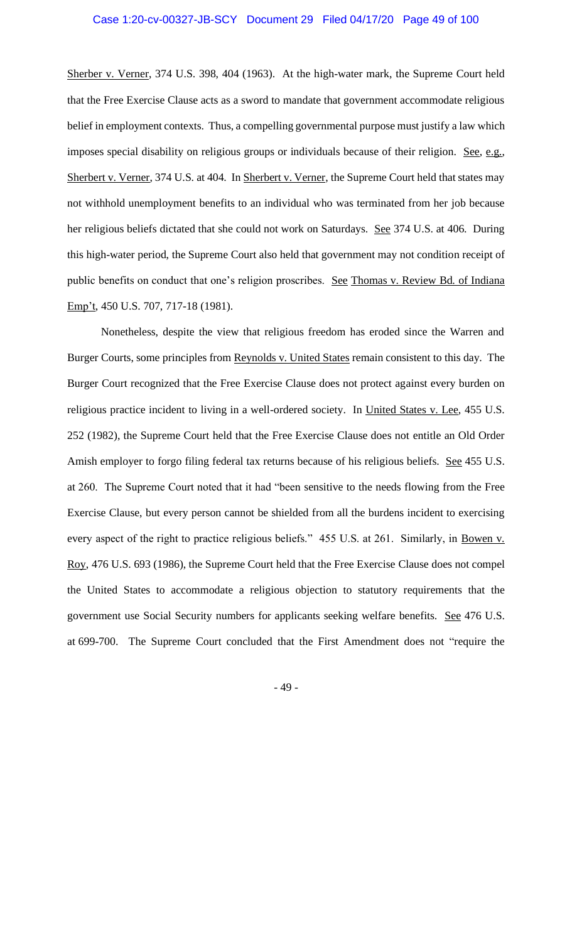Sherber v. Verner, 374 U.S. 398, 404 (1963). At the high-water mark, the Supreme Court held that the Free Exercise Clause acts as a sword to mandate that government accommodate religious belief in employment contexts. Thus, a compelling governmental purpose must justify a law which imposes special disability on religious groups or individuals because of their religion. See, e.g., Sherbert v. Verner, 374 U.S. at 404. In Sherbert v. Verner, the Supreme Court held that states may not withhold unemployment benefits to an individual who was terminated from her job because her religious beliefs dictated that she could not work on Saturdays. See 374 U.S. at 406. During this high-water period, the Supreme Court also held that government may not condition receipt of public benefits on conduct that one's religion proscribes. See Thomas v. Review Bd. of Indiana Emp't, 450 U.S. 707, 717-18 (1981).

Nonetheless, despite the view that religious freedom has eroded since the Warren and Burger Courts, some principles from Reynolds v. United States remain consistent to this day. The Burger Court recognized that the Free Exercise Clause does not protect against every burden on religious practice incident to living in a well-ordered society. In United States v. Lee, 455 U.S. 252 (1982), the Supreme Court held that the Free Exercise Clause does not entitle an Old Order Amish employer to forgo filing federal tax returns because of his religious beliefs. See 455 U.S. at 260. The Supreme Court noted that it had "been sensitive to the needs flowing from the Free Exercise Clause, but every person cannot be shielded from all the burdens incident to exercising every aspect of the right to practice religious beliefs." 455 U.S. at 261. Similarly, in Bowen v. Roy, 476 U.S. 693 (1986), the Supreme Court held that the Free Exercise Clause does not compel the United States to accommodate a religious objection to statutory requirements that the government use Social Security numbers for applicants seeking welfare benefits. See 476 U.S. at 699-700. The Supreme Court concluded that the First Amendment does not "require the

- 49 -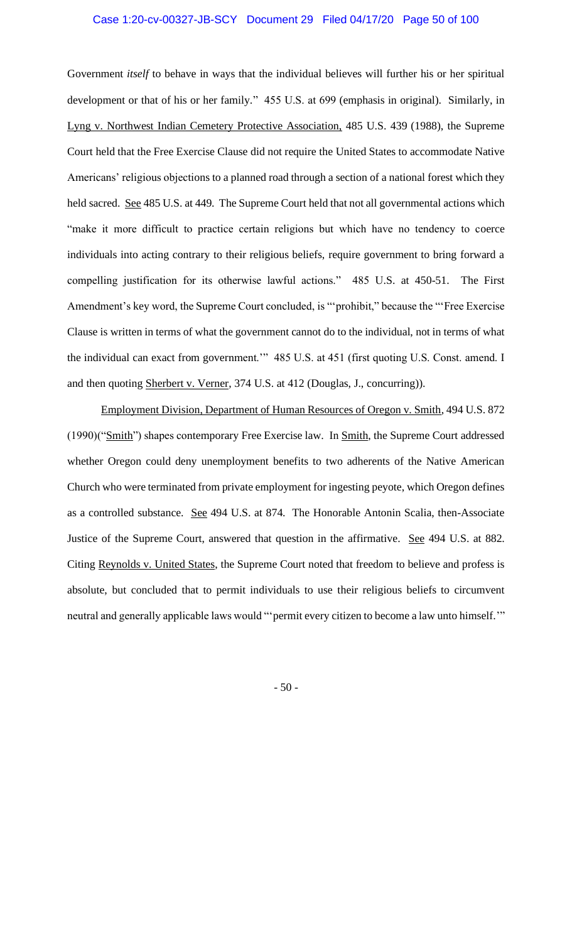Government *itself* to behave in ways that the individual believes will further his or her spiritual development or that of his or her family." 455 U.S. at 699 (emphasis in original). Similarly, in Lyng v. Northwest Indian Cemetery Protective Association, 485 U.S. 439 (1988), the Supreme Court held that the Free Exercise Clause did not require the United States to accommodate Native Americans' religious objections to a planned road through a section of a national forest which they held sacred. See 485 U.S. at 449. The Supreme Court held that not all governmental actions which "make it more difficult to practice certain religions but which have no tendency to coerce individuals into acting contrary to their religious beliefs, require government to bring forward a compelling justification for its otherwise lawful actions." 485 U.S. at 450-51. The First Amendment's key word, the Supreme Court concluded, is "'prohibit," because the "'Free Exercise Clause is written in terms of what the government cannot do to the individual, not in terms of what the individual can exact from government." 485 U.S. at 451 (first quoting U.S. Const. amend. I and then quoting Sherbert v. Verner, 374 U.S. at 412 (Douglas, J., concurring)).

Employment Division, Department of Human Resources of Oregon v. Smith, 494 U.S. 872 (1990)("Smith") shapes contemporary Free Exercise law. In Smith, the Supreme Court addressed whether Oregon could deny unemployment benefits to two adherents of the Native American Church who were terminated from private employment for ingesting peyote, which Oregon defines as a controlled substance. See 494 U.S. at 874. The Honorable Antonin Scalia, then-Associate Justice of the Supreme Court, answered that question in the affirmative. See 494 U.S. at 882. Citing Reynolds v. United States, the Supreme Court noted that freedom to believe and profess is absolute, but concluded that to permit individuals to use their religious beliefs to circumvent neutral and generally applicable laws would "'permit every citizen to become a law unto himself.'"

- 50 -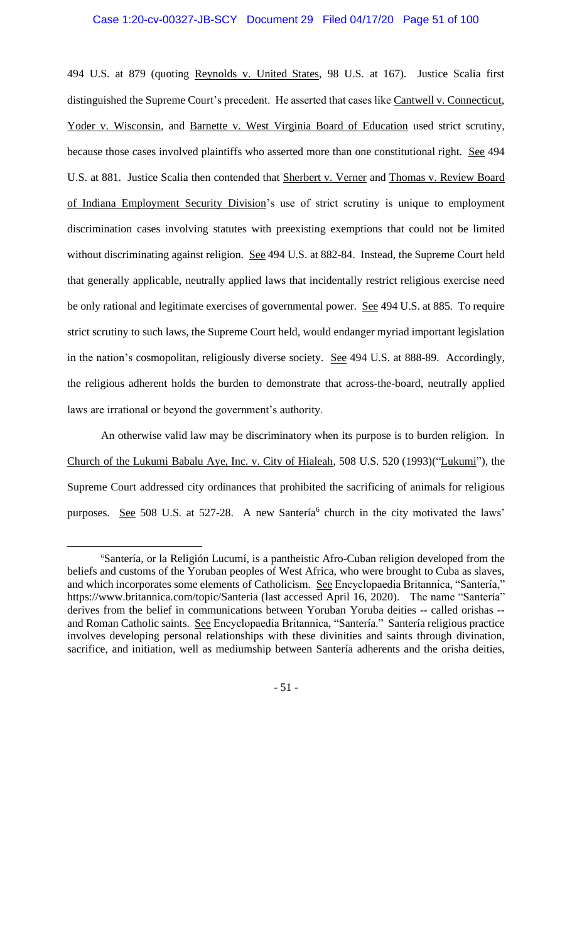494 U.S. at 879 (quoting Reynolds v. United States, 98 U.S. at 167). Justice Scalia first distinguished the Supreme Court's precedent. He asserted that cases like Cantwell v. Connecticut, Yoder v. Wisconsin, and Barnette v. West Virginia Board of Education used strict scrutiny, because those cases involved plaintiffs who asserted more than one constitutional right. See 494 U.S. at 881. Justice Scalia then contended that Sherbert v. Verner and Thomas v. Review Board of Indiana Employment Security Division's use of strict scrutiny is unique to employment discrimination cases involving statutes with preexisting exemptions that could not be limited without discriminating against religion. See 494 U.S. at 882-84. Instead, the Supreme Court held that generally applicable, neutrally applied laws that incidentally restrict religious exercise need be only rational and legitimate exercises of governmental power. See 494 U.S. at 885. To require strict scrutiny to such laws, the Supreme Court held, would endanger myriad important legislation in the nation's cosmopolitan, religiously diverse society. See 494 U.S. at 888-89. Accordingly, the religious adherent holds the burden to demonstrate that across-the-board, neutrally applied laws are irrational or beyond the government's authority.

An otherwise valid law may be discriminatory when its purpose is to burden religion. In Church of the Lukumi Babalu Aye, Inc. v. City of Hialeah, 508 U.S. 520 (1993)("Lukumi"), the Supreme Court addressed city ordinances that prohibited the sacrificing of animals for religious purposes. See 508 U.S. at 527-28. A new Santería<sup>6</sup> church in the city motivated the laws'

- 51 -

<sup>6</sup>Santería, or la Religión Lucumí, is a pantheistic Afro-Cuban religion developed from the beliefs and customs of the Yoruban peoples of West Africa, who were brought to Cuba as slaves, and which incorporates some elements of Catholicism. See Encyclopaedia Britannica, "Santería," https://www.britannica.com/topic/Santeria (last accessed April 16, 2020). The name "Santería" derives from the belief in communications between Yoruban Yoruba deities -- called orishas - and Roman Catholic saints. See Encyclopaedia Britannica, "Santería." Santería religious practice involves developing personal relationships with these divinities and saints through divination, sacrifice, and initiation, well as mediumship between Santería adherents and the orisha deities,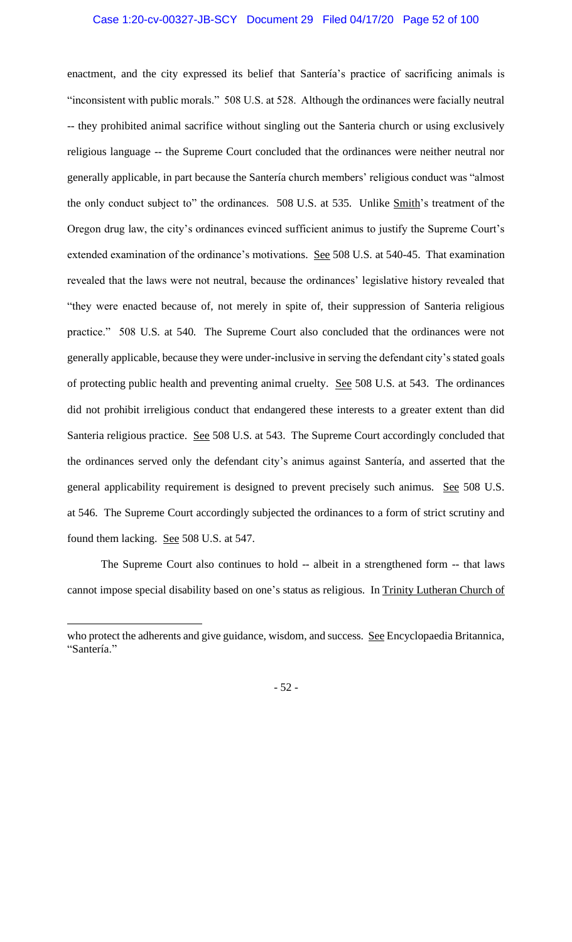### Case 1:20-cv-00327-JB-SCY Document 29 Filed 04/17/20 Page 52 of 100

enactment, and the city expressed its belief that Santería's practice of sacrificing animals is "inconsistent with public morals." 508 U.S. at 528. Although the ordinances were facially neutral -- they prohibited animal sacrifice without singling out the Santeria church or using exclusively religious language -- the Supreme Court concluded that the ordinances were neither neutral nor generally applicable, in part because the Santería church members' religious conduct was "almost the only conduct subject to" the ordinances. 508 U.S. at 535. Unlike Smith's treatment of the Oregon drug law, the city's ordinances evinced sufficient animus to justify the Supreme Court's extended examination of the ordinance's motivations. See 508 U.S. at 540-45. That examination revealed that the laws were not neutral, because the ordinances' legislative history revealed that "they were enacted because of, not merely in spite of, their suppression of Santeria religious practice." 508 U.S. at 540. The Supreme Court also concluded that the ordinances were not generally applicable, because they were under-inclusive in serving the defendant city's stated goals of protecting public health and preventing animal cruelty. See 508 U.S. at 543. The ordinances did not prohibit irreligious conduct that endangered these interests to a greater extent than did Santeria religious practice. See 508 U.S. at 543. The Supreme Court accordingly concluded that the ordinances served only the defendant city's animus against Santería, and asserted that the general applicability requirement is designed to prevent precisely such animus. See 508 U.S. at 546. The Supreme Court accordingly subjected the ordinances to a form of strict scrutiny and found them lacking. See 508 U.S. at 547.

The Supreme Court also continues to hold -- albeit in a strengthened form -- that laws cannot impose special disability based on one's status as religious. In Trinity Lutheran Church of

who protect the adherents and give guidance, wisdom, and success. See Encyclopaedia Britannica, "Santería."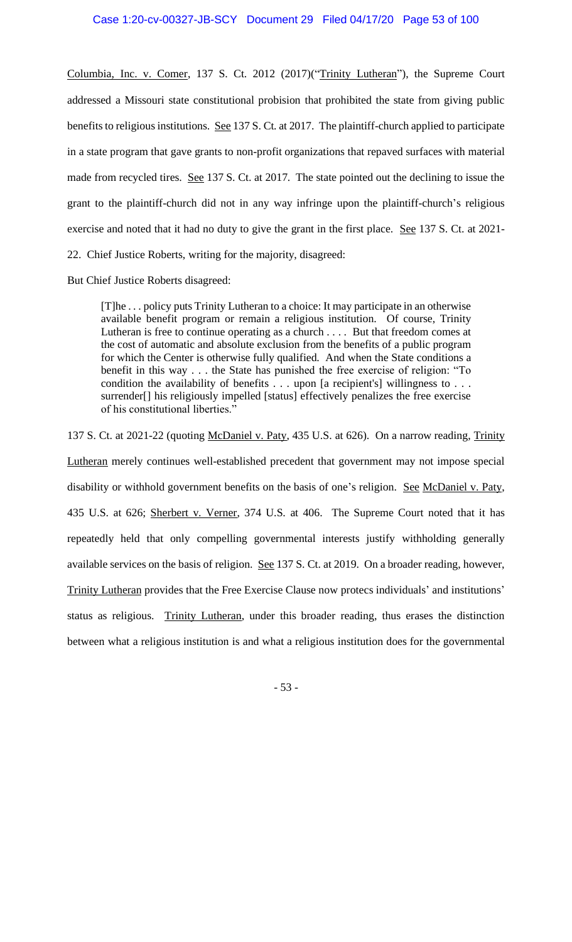Columbia, Inc. v. Comer, 137 S. Ct. 2012 (2017)("Trinity Lutheran"), the Supreme Court addressed a Missouri state constitutional probision that prohibited the state from giving public benefits to religious institutions. See 137 S. Ct. at 2017. The plaintiff-church applied to participate in a state program that gave grants to non-profit organizations that repaved surfaces with material made from recycled tires. See 137 S. Ct. at 2017. The state pointed out the declining to issue the grant to the plaintiff-church did not in any way infringe upon the plaintiff-church's religious exercise and noted that it had no duty to give the grant in the first place. See 137 S. Ct. at 2021-22. Chief Justice Roberts, writing for the majority, disagreed:

But Chief Justice Roberts disagreed:

[T]he . . . policy puts Trinity Lutheran to a choice: It may participate in an otherwise available benefit program or remain a religious institution. Of course, Trinity Lutheran is free to continue operating as a church . . . . But that freedom comes at the cost of automatic and absolute exclusion from the benefits of a public program for which the Center is otherwise fully qualified. And when the State conditions a benefit in this way . . . the State has punished the free exercise of religion: "To condition the availability of benefits . . . upon [a recipient's] willingness to . . . surrender[] his religiously impelled [status] effectively penalizes the free exercise of his constitutional liberties."

137 S. Ct. at 2021-22 (quoting McDaniel v. Paty, 435 U.S. at 626). On a narrow reading, Trinity Lutheran merely continues well-established precedent that government may not impose special disability or withhold government benefits on the basis of one's religion. See McDaniel v. Paty, 435 U.S. at 626; Sherbert v. Verner, 374 U.S. at 406. The Supreme Court noted that it has repeatedly held that only compelling governmental interests justify withholding generally available services on the basis of religion. See 137 S. Ct. at 2019. On a broader reading, however, Trinity Lutheran provides that the Free Exercise Clause now protecs individuals' and institutions' status as religious. Trinity Lutheran, under this broader reading, thus erases the distinction between what a religious institution is and what a religious institution does for the governmental

- 53 -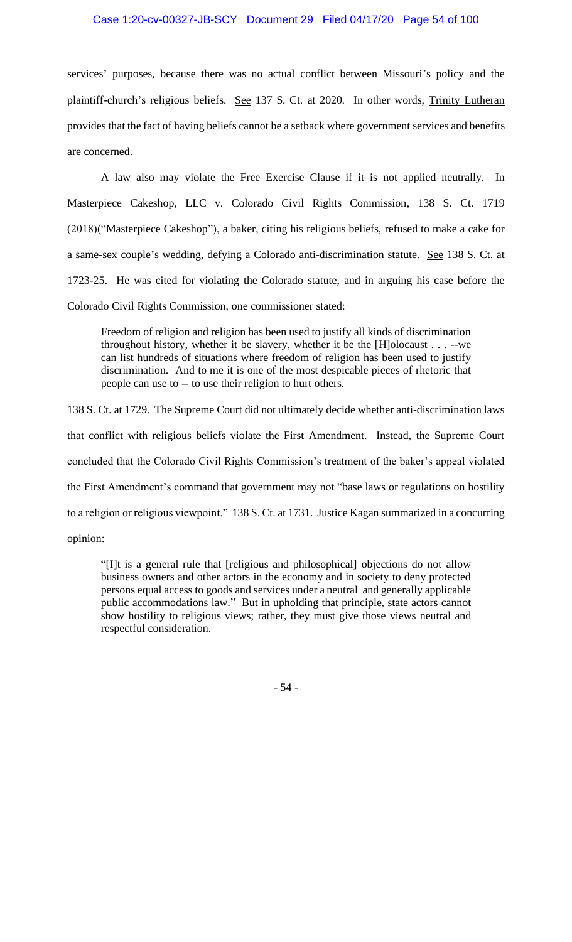services' purposes, because there was no actual conflict between Missouri's policy and the plaintiff-church's religious beliefs. See 137 S. Ct. at 2020. In other words, Trinity Lutheran provides that the fact of having beliefs cannot be a setback where government services and benefits are concerned.

A law also may violate the Free Exercise Clause if it is not applied neutrally. In Masterpiece Cakeshop, LLC v. Colorado Civil Rights Commission, 138 S. Ct. 1719 (2018)("Masterpiece Cakeshop"), a baker, citing his religious beliefs, refused to make a cake for a same-sex couple's wedding, defying a Colorado anti-discrimination statute. See 138 S. Ct. at 1723-25. He was cited for violating the Colorado statute, and in arguing his case before the Colorado Civil Rights Commission, one commissioner stated:

Freedom of religion and religion has been used to justify all kinds of discrimination throughout history, whether it be slavery, whether it be the [H]olocaust . . . --we can list hundreds of situations where freedom of religion has been used to justify discrimination. And to me it is one of the most despicable pieces of rhetoric that people can use to -- to use their religion to hurt others.

138 S. Ct. at 1729. The Supreme Court did not ultimately decide whether anti-discrimination laws that conflict with religious beliefs violate the First Amendment. Instead, the Supreme Court concluded that the Colorado Civil Rights Commission's treatment of the baker's appeal violated the First Amendment's command that government may not "base laws or regulations on hostility to a religion or religious viewpoint." 138 S. Ct. at 1731. Justice Kagan summarized in a concurring opinion:

"[I]t is a general rule that [religious and philosophical] objections do not allow business owners and other actors in the economy and in society to deny protected persons equal access to goods and services under a neutral and generally applicable public accommodations law." But in upholding that principle, state actors cannot show hostility to religious views; rather, they must give those views neutral and respectful consideration.

- 54 -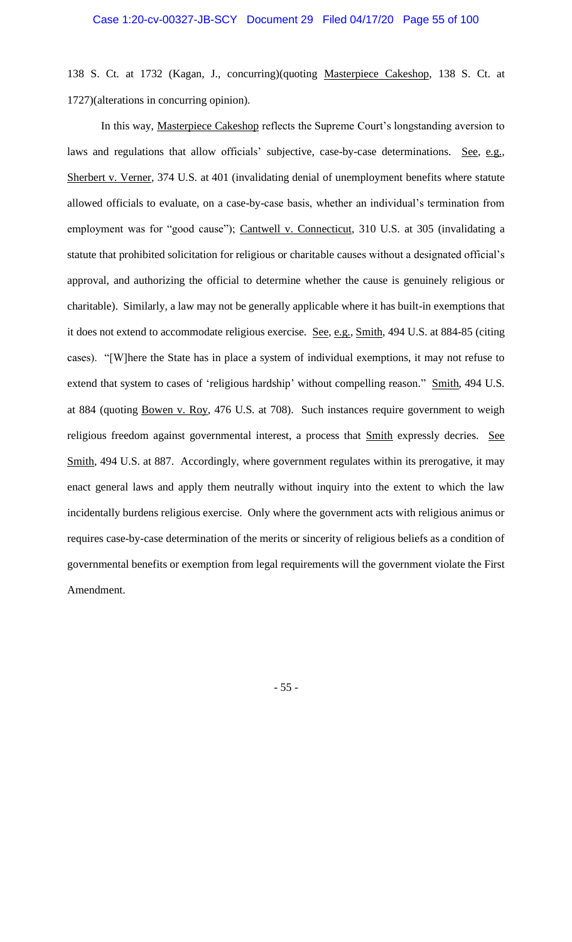138 S. Ct. at 1732 (Kagan, J., concurring)(quoting Masterpiece Cakeshop, 138 S. Ct. at 1727)(alterations in concurring opinion).

In this way, Masterpiece Cakeshop reflects the Supreme Court's longstanding aversion to laws and regulations that allow officials' subjective, case-by-case determinations. See, e.g., Sherbert v. Verner, 374 U.S. at 401 (invalidating denial of unemployment benefits where statute allowed officials to evaluate, on a case-by-case basis, whether an individual's termination from employment was for "good cause"); Cantwell v. Connecticut, 310 U.S. at 305 (invalidating a statute that prohibited solicitation for religious or charitable causes without a designated official's approval, and authorizing the official to determine whether the cause is genuinely religious or charitable). Similarly, a law may not be generally applicable where it has built-in exemptions that it does not extend to accommodate religious exercise. See, e.g., Smith, 494 U.S. at 884-85 (citing cases). "[W]here the State has in place a system of individual exemptions, it may not refuse to extend that system to cases of 'religious hardship' without compelling reason." Smith, 494 U.S. at 884 (quoting Bowen v. Roy, 476 U.S. at 708). Such instances require government to weigh religious freedom against governmental interest, a process that **Smith expressly decries**. See Smith, 494 U.S. at 887. Accordingly, where government regulates within its prerogative, it may enact general laws and apply them neutrally without inquiry into the extent to which the law incidentally burdens religious exercise. Only where the government acts with religious animus or requires case-by-case determination of the merits or sincerity of religious beliefs as a condition of governmental benefits or exemption from legal requirements will the government violate the First Amendment.

- 55 -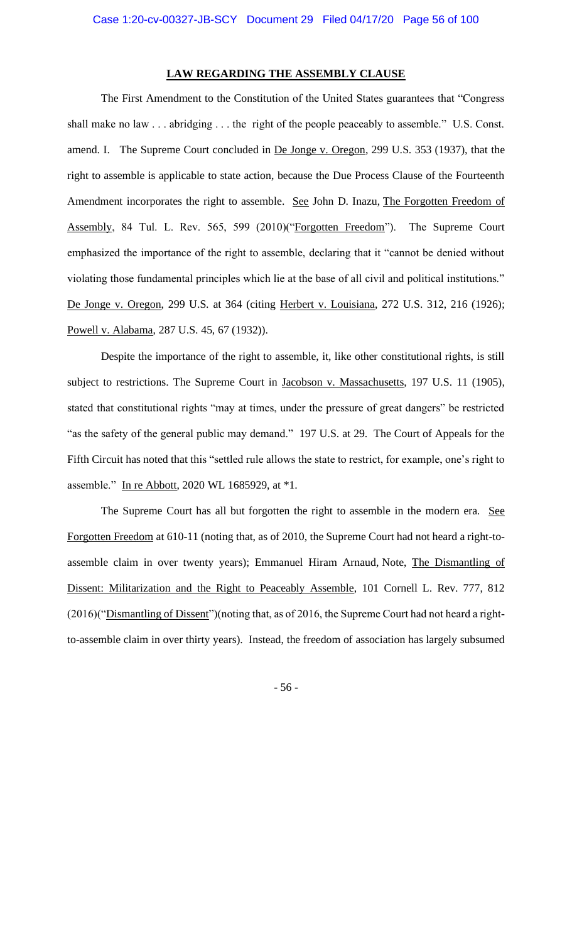## **LAW REGARDING THE ASSEMBLY CLAUSE**

The First Amendment to the Constitution of the United States guarantees that "Congress shall make no law . . . abridging . . . the right of the people peaceably to assemble." U.S. Const. amend. I. The Supreme Court concluded in De Jonge v. Oregon, 299 U.S. 353 (1937), that the right to assemble is applicable to state action, because the Due Process Clause of the Fourteenth Amendment incorporates the right to assemble. See John D. Inazu, The Forgotten Freedom of Assembly, 84 Tul. L. Rev. 565, 599 (2010)("Forgotten Freedom"). The Supreme Court emphasized the importance of the right to assemble, declaring that it "cannot be denied without violating those fundamental principles which lie at the base of all civil and political institutions." De Jonge v. Oregon, 299 U.S. at 364 (citing Herbert v. Louisiana, 272 U.S. 312, 216 (1926); Powell v. Alabama, 287 U.S. 45, 67 (1932)).

Despite the importance of the right to assemble, it, like other constitutional rights, is still subject to restrictions. The Supreme Court in Jacobson v. Massachusetts, 197 U.S. 11 (1905), stated that constitutional rights "may at times, under the pressure of great dangers" be restricted "as the safety of the general public may demand." 197 U.S. at 29. The Court of Appeals for the Fifth Circuit has noted that this "settled rule allows the state to restrict, for example, one's right to assemble." In re Abbott, 2020 WL 1685929, at \*1.

The Supreme Court has all but forgotten the right to assemble in the modern era. See Forgotten Freedom at 610-11 (noting that, as of 2010, the Supreme Court had not heard a right-toassemble claim in over twenty years); Emmanuel Hiram Arnaud, Note, The Dismantling of Dissent: Militarization and the Right to Peaceably Assemble, 101 Cornell L. Rev. 777, 812 (2016)("Dismantling of Dissent")(noting that, as of 2016, the Supreme Court had not heard a rightto-assemble claim in over thirty years). Instead, the freedom of association has largely subsumed

- 56 -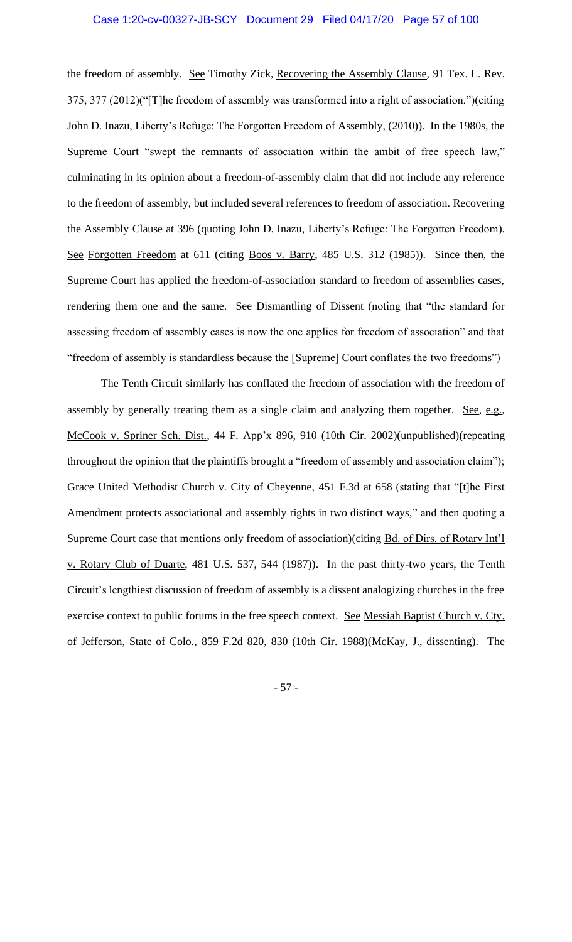the freedom of assembly. See Timothy Zick, Recovering the Assembly Clause, 91 Tex. L. Rev. 375, 377 (2012)("[T]he freedom of assembly was transformed into a right of association.")(citing John D. Inazu, Liberty's Refuge: The Forgotten Freedom of Assembly, (2010)). In the 1980s, the Supreme Court "swept the remnants of association within the ambit of free speech law," culminating in its opinion about a freedom-of-assembly claim that did not include any reference to the freedom of assembly, but included several references to freedom of association. Recovering the Assembly Clause at 396 (quoting John D. Inazu, Liberty's Refuge: The Forgotten Freedom). See Forgotten Freedom at 611 (citing Boos v. Barry, 485 U.S. 312 (1985)). Since then, the Supreme Court has applied the freedom-of-association standard to freedom of assemblies cases, rendering them one and the same. See Dismantling of Dissent (noting that "the standard for assessing freedom of assembly cases is now the one applies for freedom of association" and that "freedom of assembly is standardless because the [Supreme] Court conflates the two freedoms")

The Tenth Circuit similarly has conflated the freedom of association with the freedom of assembly by generally treating them as a single claim and analyzing them together. See, e.g., McCook v. Spriner Sch. Dist., 44 F. App'x 896, 910 (10th Cir. 2002)(unpublished)(repeating throughout the opinion that the plaintiffs brought a "freedom of assembly and association claim"); Grace United Methodist Church v. City of Cheyenne, 451 F.3d at 658 (stating that "[t]he First Amendment protects associational and assembly rights in two distinct ways," and then quoting a Supreme Court case that mentions only freedom of association)(citing Bd. of Dirs. of Rotary Int'l v. Rotary Club of Duarte, 481 U.S. 537, 544 (1987)). In the past thirty-two years, the Tenth Circuit's lengthiest discussion of freedom of assembly is a dissent analogizing churches in the free exercise context to public forums in the free speech context. See Messiah Baptist Church v. Cty. of Jefferson, State of Colo., 859 F.2d 820, 830 (10th Cir. 1988)(McKay, J., dissenting). The

- 57 -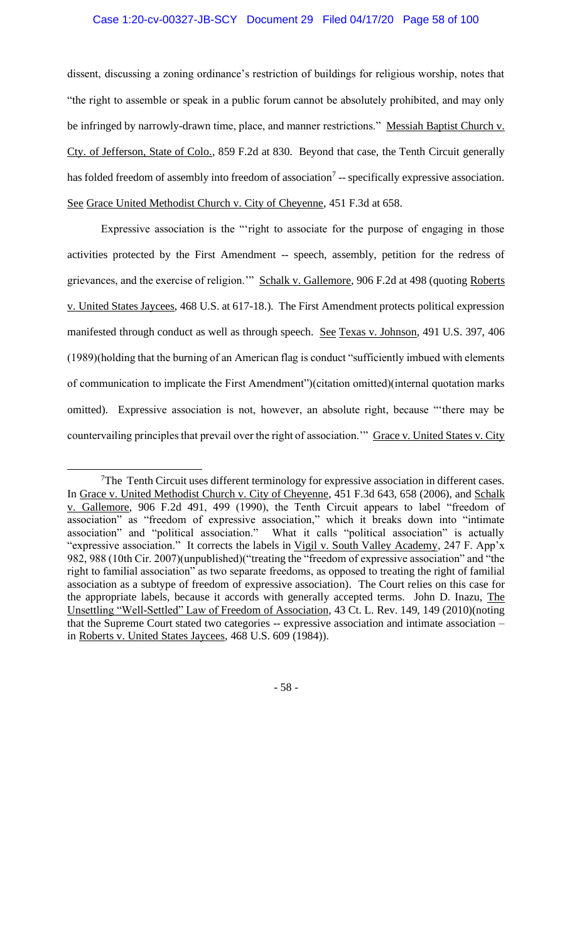dissent, discussing a zoning ordinance's restriction of buildings for religious worship, notes that "the right to assemble or speak in a public forum cannot be absolutely prohibited, and may only be infringed by narrowly-drawn time, place, and manner restrictions." Messiah Baptist Church v. Cty. of Jefferson, State of Colo., 859 F.2d at 830. Beyond that case, the Tenth Circuit generally has folded freedom of assembly into freedom of association<sup>7</sup> -- specifically expressive association. See Grace United Methodist Church v. City of Cheyenne, 451 F.3d at 658.

Expressive association is the "'right to associate for the purpose of engaging in those activities protected by the First Amendment -- speech, assembly, petition for the redress of grievances, and the exercise of religion." Schalk v. Gallemore, 906 F.2d at 498 (quoting Roberts v. United States Jaycees, 468 U.S. at 617-18.). The First Amendment protects political expression manifested through conduct as well as through speech. See Texas v. Johnson*,* 491 U.S. 397, 406 (1989)(holding that the burning of an American flag is conduct "sufficiently imbued with elements of communication to implicate the First Amendment")(citation omitted)(internal quotation marks omitted). Expressive association is not, however, an absolute right, because "'there may be countervailing principles that prevail over the right of association." Grace v. United States v. City

- 58 -

<sup>&</sup>lt;sup>7</sup>The Tenth Circuit uses different terminology for expressive association in different cases. In Grace v. United Methodist Church v. City of Cheyenne, 451 F.3d 643, 658 (2006), and Schalk v. Gallemore, 906 F.2d 491, 499 (1990), the Tenth Circuit appears to label "freedom of association" as "freedom of expressive association," which it breaks down into "intimate association" and "political association." What it calls "political association" is actually "expressive association." It corrects the labels in Vigil v. South Valley Academy, 247 F. App'x 982, 988 (10th Cir. 2007)(unpublished)("treating the "freedom of expressive association" and "the right to familial association" as two separate freedoms, as opposed to treating the right of familial association as a subtype of freedom of expressive association). The Court relies on this case for the appropriate labels, because it accords with generally accepted terms. John D. Inazu, The Unsettling "Well-Settled" Law of Freedom of Association, 43 Ct. L. Rev. 149, 149 (2010)(noting that the Supreme Court stated two categories -- expressive association and intimate association – in Roberts v. United States Jaycees, 468 U.S. 609 (1984)).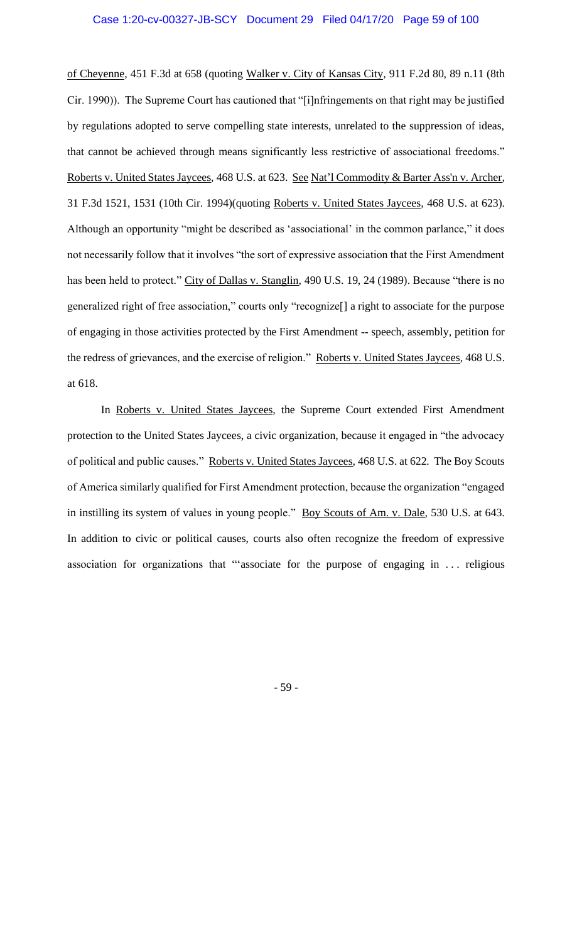of Cheyenne, 451 F.3d at 658 (quoting Walker v. City of Kansas City, 911 F.2d 80, 89 n.11 (8th Cir. 1990)). The Supreme Court has cautioned that "[i]nfringements on that right may be justified by regulations adopted to serve compelling state interests, unrelated to the suppression of ideas, that cannot be achieved through means significantly less restrictive of associational freedoms." Roberts v. United States Jaycees*,* 468 U.S. at 623. See Nat'l Commodity & Barter Ass'n v. Archer*,* 31 F.3d 1521, 1531 (10th Cir. 1994)(quoting Roberts v. United States Jaycees*,* 468 U.S. at 623). Although an opportunity "might be described as 'associational' in the common parlance," it does not necessarily follow that it involves "the sort of expressive association that the First Amendment has been held to protect." City of Dallas v. Stanglin*,* 490 U.S. 19, 24 (1989). Because "there is no generalized right of free association," courts only "recognize[] a right to associate for the purpose of engaging in those activities protected by the First Amendment -- speech, assembly, petition for the redress of grievances, and the exercise of religion." Roberts v. United States Jaycees*,* 468 U.S. at 618.

In Roberts v. United States Jaycees*,* the Supreme Court extended First Amendment protection to the United States Jaycees, a civic organization, because it engaged in "the advocacy of political and public causes." Roberts v. United States Jaycees*,* 468 U.S. at 622. The Boy Scouts of America similarly qualified for First Amendment protection, because the organization "engaged in instilling its system of values in young people." Boy Scouts of Am. v. Dale*,* 530 U.S. at 643. In addition to civic or political causes, courts also often recognize the freedom of expressive association for organizations that "'associate for the purpose of engaging in . . . religious

- 59 -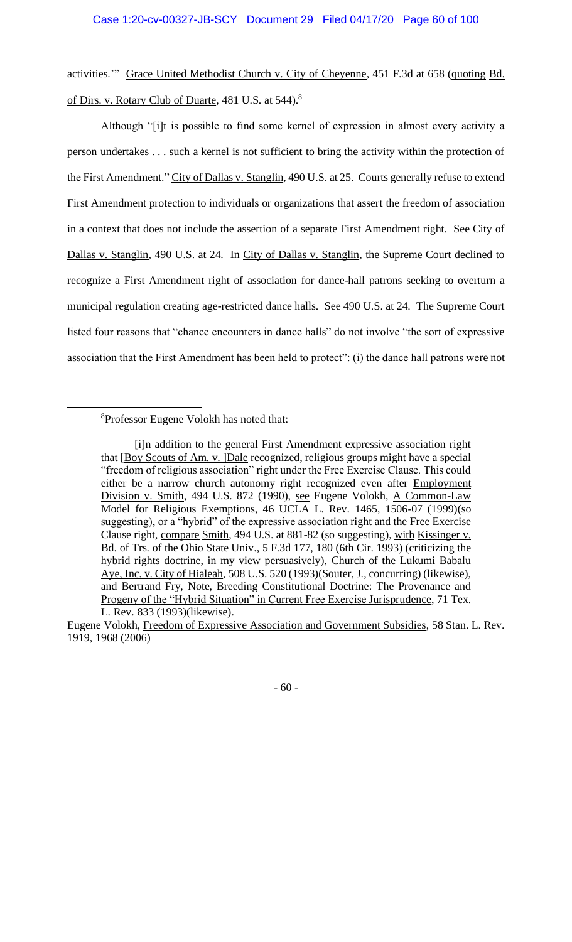activities.'" Grace United Methodist Church v. City of Cheyenne*,* 451 F.3d at 658 (quoting Bd. of Dirs. v. Rotary Club of Duarte*,* 481 U.S. at 544).<sup>8</sup>

Although "[i]t is possible to find some kernel of expression in almost every activity a person undertakes . . . such a kernel is not sufficient to bring the activity within the protection of the First Amendment." City of Dallas v. Stanglin*,* 490 U.S. at 25. Courts generally refuse to extend First Amendment protection to individuals or organizations that assert the freedom of association in a context that does not include the assertion of a separate First Amendment right. See City of Dallas v. Stanglin*,* 490 U.S. at 24. In City of Dallas v. Stanglin*,* the Supreme Court declined to recognize a First Amendment right of association for dance-hall patrons seeking to overturn a municipal regulation creating age-restricted dance halls. See 490 U.S. at 24. The Supreme Court listed four reasons that "chance encounters in dance halls" do not involve "the sort of expressive association that the First Amendment has been held to protect": (i) the dance hall patrons were not

### <sup>8</sup>Professor Eugene Volokh has noted that:

Eugene Volokh, Freedom of Expressive Association and Government Subsidies, 58 Stan. L. Rev. 1919, 1968 (2006)



<sup>[</sup>i]n addition to the general First Amendment expressive association right that [Boy Scouts of Am. v. ]Dale recognized, religious groups might have a special "freedom of religious association" right under the Free Exercise Clause. This could either be a narrow church autonomy right recognized even after Employment Division v. Smith, 494 U.S. 872 (1990), see Eugene Volokh, A Common-Law Model for Religious Exemptions, 46 UCLA L. Rev. 1465, 1506-07 (1999)(so suggesting), or a "hybrid" of the expressive association right and the Free Exercise Clause right, compare Smith, 494 U.S. at 881-82 (so suggesting), with Kissinger v. Bd. of Trs. of the Ohio State Univ., 5 F.3d 177, 180 (6th Cir. 1993) (criticizing the hybrid rights doctrine, in my view persuasively), Church of the Lukumi Babalu Aye, Inc. v. City of Hialeah, 508 U.S. 520 (1993)(Souter, J., concurring) (likewise), and Bertrand Fry, Note, Breeding Constitutional Doctrine: The Provenance and Progeny of the "Hybrid Situation" in Current Free Exercise Jurisprudence, 71 Tex. L. Rev. 833 (1993)(likewise).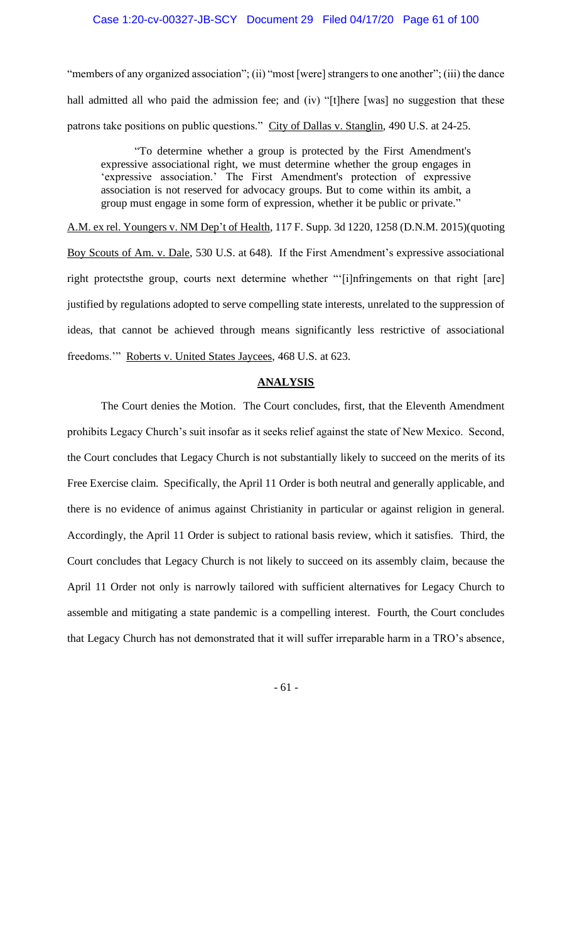"members of any organized association"; (ii) "most [were] strangers to one another"; (iii) the dance hall admitted all who paid the admission fee; and (iv) "[t]here [was] no suggestion that these patrons take positions on public questions." City of Dallas v. Stanglin*,* 490 U.S. at 24-25.

"To determine whether a group is protected by the First Amendment's expressive associational right, we must determine whether the group engages in 'expressive association.' The First Amendment's protection of expressive association is not reserved for advocacy groups. But to come within its ambit, a group must engage in some form of expression, whether it be public or private."

A.M. ex rel. Youngers v. NM Dep't of Health, 117 F. Supp. 3d 1220, 1258 (D.N.M. 2015)(quoting Boy Scouts of Am. v. Dale, 530 U.S. at 648). If the First Amendment's expressive associational right protectsthe group, courts next determine whether "'[i]nfringements on that right [are] justified by regulations adopted to serve compelling state interests, unrelated to the suppression of ideas, that cannot be achieved through means significantly less restrictive of associational freedoms." Roberts v. United States Jaycees, 468 U.S. at 623.

### **ANALYSIS**

The Court denies the Motion. The Court concludes, first, that the Eleventh Amendment prohibits Legacy Church's suit insofar as it seeks relief against the state of New Mexico. Second, the Court concludes that Legacy Church is not substantially likely to succeed on the merits of its Free Exercise claim. Specifically, the April 11 Order is both neutral and generally applicable, and there is no evidence of animus against Christianity in particular or against religion in general. Accordingly, the April 11 Order is subject to rational basis review, which it satisfies. Third, the Court concludes that Legacy Church is not likely to succeed on its assembly claim, because the April 11 Order not only is narrowly tailored with sufficient alternatives for Legacy Church to assemble and mitigating a state pandemic is a compelling interest. Fourth, the Court concludes that Legacy Church has not demonstrated that it will suffer irreparable harm in a TRO's absence,

- 61 -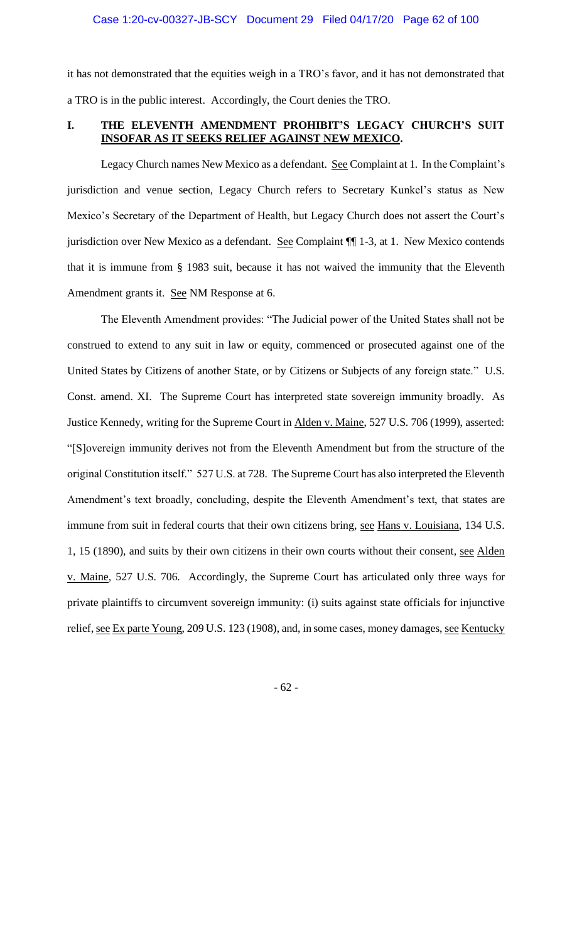it has not demonstrated that the equities weigh in a TRO's favor, and it has not demonstrated that a TRO is in the public interest. Accordingly, the Court denies the TRO.

### **I. THE ELEVENTH AMENDMENT PROHIBIT'S LEGACY CHURCH'S SUIT INSOFAR AS IT SEEKS RELIEF AGAINST NEW MEXICO.**

Legacy Church names New Mexico as a defendant. See Complaint at 1. In the Complaint's jurisdiction and venue section, Legacy Church refers to Secretary Kunkel's status as New Mexico's Secretary of the Department of Health, but Legacy Church does not assert the Court's jurisdiction over New Mexico as a defendant. See Complaint ¶¶ 1-3, at 1. New Mexico contends that it is immune from § 1983 suit, because it has not waived the immunity that the Eleventh Amendment grants it. See NM Response at 6.

The Eleventh Amendment provides: "The Judicial power of the United States shall not be construed to extend to any suit in law or equity, commenced or prosecuted against one of the United States by Citizens of another State, or by Citizens or Subjects of any foreign state." U.S. Const. amend. XI. The Supreme Court has interpreted state sovereign immunity broadly. As Justice Kennedy, writing for the Supreme Court in Alden v. Maine, 527 U.S. 706 (1999), asserted: "[S]overeign immunity derives not from the Eleventh Amendment but from the structure of the original Constitution itself." 527 U.S. at 728. The Supreme Court has also interpreted the Eleventh Amendment's text broadly, concluding, despite the Eleventh Amendment's text, that states are immune from suit in federal courts that their own citizens bring, see Hans v. Louisiana, 134 U.S. 1, 15 (1890), and suits by their own citizens in their own courts without their consent, see Alden v. Maine, 527 U.S. 706. Accordingly, the Supreme Court has articulated only three ways for private plaintiffs to circumvent sovereign immunity: (i) suits against state officials for injunctive relief, <u>see Ex parte Young</u>, 209 U.S. 123 (1908), and, in some cases, money damages, see Kentucky

- 62 -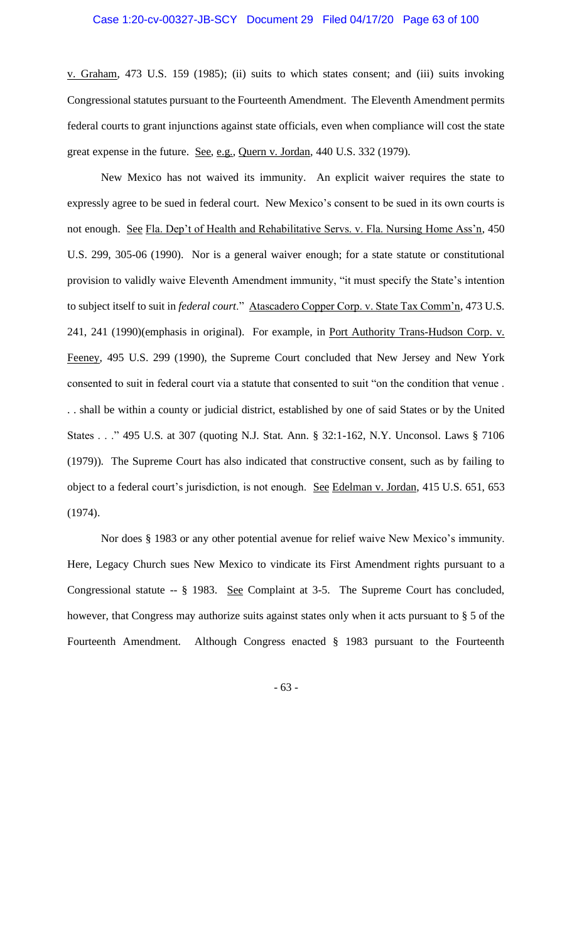v. Graham, 473 U.S. 159 (1985); (ii) suits to which states consent; and (iii) suits invoking Congressional statutes pursuant to the Fourteenth Amendment. The Eleventh Amendment permits federal courts to grant injunctions against state officials, even when compliance will cost the state great expense in the future. See, e.g., Quern v. Jordan, 440 U.S. 332 (1979).

New Mexico has not waived its immunity. An explicit waiver requires the state to expressly agree to be sued in federal court. New Mexico's consent to be sued in its own courts is not enough. See Fla. Dep't of Health and Rehabilitative Servs. v. Fla. Nursing Home Ass'n, 450 U.S. 299, 305-06 (1990). Nor is a general waiver enough; for a state statute or constitutional provision to validly waive Eleventh Amendment immunity, "it must specify the State's intention to subject itself to suit in *federal court*." Atascadero Copper Corp. v. State Tax Comm'n, 473 U.S. 241, 241 (1990)(emphasis in original). For example, in Port Authority Trans-Hudson Corp. v. Feeney, 495 U.S. 299 (1990), the Supreme Court concluded that New Jersey and New York consented to suit in federal court via a statute that consented to suit "on the condition that venue . . . shall be within a county or judicial district, established by one of said States or by the United States . . ." 495 U.S. at 307 (quoting N.J. Stat. Ann. § 32:1-162, N.Y. Unconsol. Laws § 7106 (1979)). The Supreme Court has also indicated that constructive consent, such as by failing to object to a federal court's jurisdiction, is not enough. See Edelman v. Jordan, 415 U.S. 651, 653 (1974).

Nor does § 1983 or any other potential avenue for relief waive New Mexico's immunity. Here, Legacy Church sues New Mexico to vindicate its First Amendment rights pursuant to a Congressional statute -- § 1983. See Complaint at 3-5. The Supreme Court has concluded, however, that Congress may authorize suits against states only when it acts pursuant to § 5 of the Fourteenth Amendment. Although Congress enacted § 1983 pursuant to the Fourteenth

- 63 -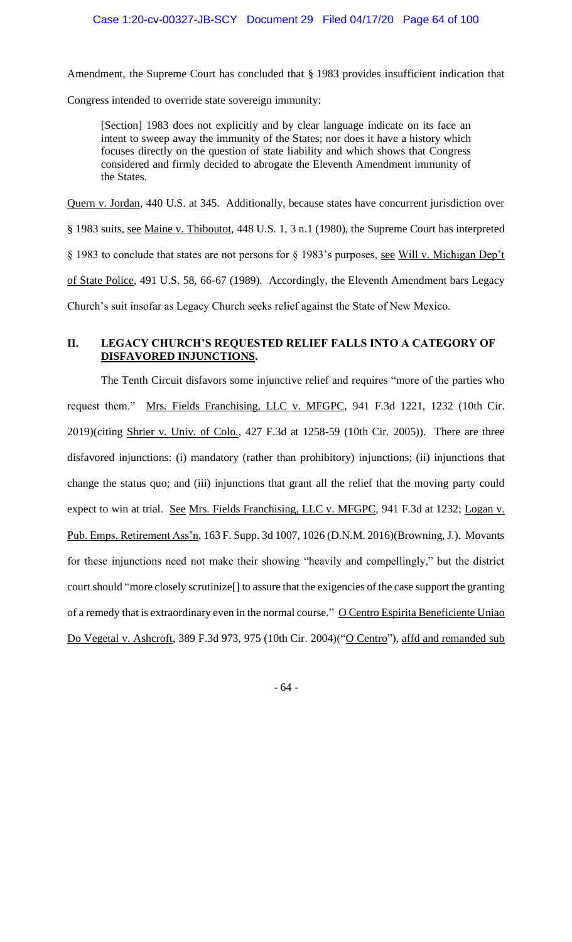Amendment, the Supreme Court has concluded that § 1983 provides insufficient indication that Congress intended to override state sovereign immunity:

[Section] 1983 does not explicitly and by clear language indicate on its face an intent to sweep away the immunity of the States; nor does it have a history which focuses directly on the question of state liability and which shows that Congress considered and firmly decided to abrogate the Eleventh Amendment immunity of the States.

Quern v. Jordan, 440 U.S. at 345. Additionally, because states have concurrent jurisdiction over

§ 1983 suits, see Maine v. Thiboutot, 448 U.S. 1, 3 n.1 (1980), the Supreme Court has interpreted

§ 1983 to conclude that states are not persons for § 1983's purposes, <u>see Will v. Michigan Dep't</u>

of State Police, 491 U.S. 58, 66-67 (1989). Accordingly, the Eleventh Amendment bars Legacy

Church's suit insofar as Legacy Church seeks relief against the State of New Mexico.

# **II. LEGACY CHURCH'S REQUESTED RELIEF FALLS INTO A CATEGORY OF DISFAVORED INJUNCTIONS.**

The Tenth Circuit disfavors some injunctive relief and requires "more of the parties who request them." Mrs. Fields Franchising, LLC v. MFGPC, 941 F.3d 1221, 1232 (10th Cir. 2019)(citing Shrier v. Univ. of Colo., 427 F.3d at 1258-59 (10th Cir. 2005)). There are three disfavored injunctions: (i) mandatory (rather than prohibitory) injunctions; (ii) injunctions that change the status quo; and (iii) injunctions that grant all the relief that the moving party could expect to win at trial. See Mrs. Fields Franchising, LLC v. MFGPC, 941 F.3d at 1232; Logan v. Pub. Emps. Retirement Ass'n, 163 F. Supp. 3d 1007, 1026 (D.N.M. 2016)(Browning, J.). Movants for these injunctions need not make their showing "heavily and compellingly," but the district court should "more closely scrutinize[] to assure that the exigencies of the case support the granting of a remedy that is extraordinary even in the normal course." O Centro Espirita Beneficiente Uniao Do Vegetal v. Ashcroft, 389 F.3d 973, 975 (10th Cir. 2004)("O Centro"), affd and remanded sub

- 64 -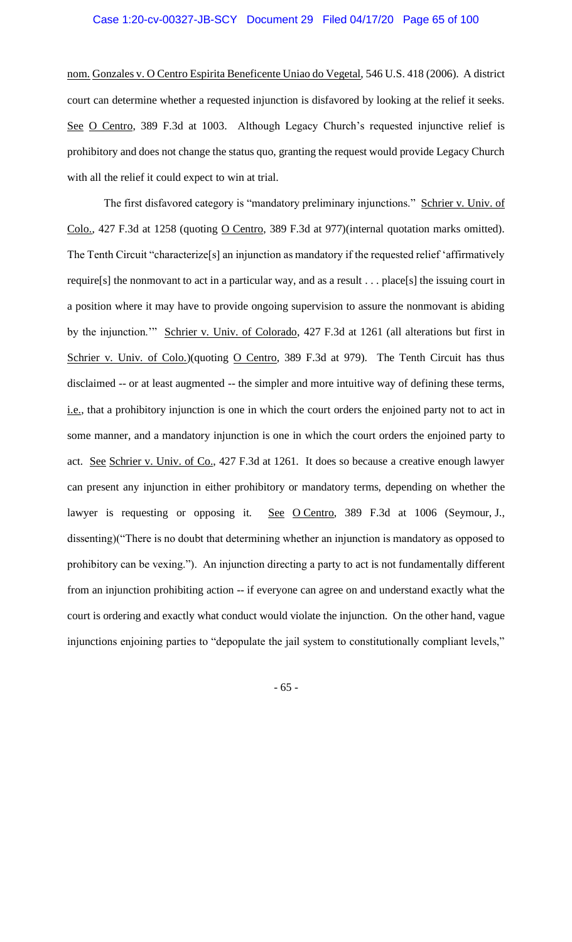nom. Gonzales v. O Centro Espirita Beneficente Uniao do Vegetal, 546 U.S. 418 (2006). A district court can determine whether a requested injunction is disfavored by looking at the relief it seeks. See O Centro, 389 F.3d at 1003. Although Legacy Church's requested injunctive relief is prohibitory and does not change the status quo, granting the request would provide Legacy Church with all the relief it could expect to win at trial.

The first disfavored category is "mandatory preliminary injunctions." Schrier v. Univ. of Colo., 427 F.3d at 1258 (quoting O Centro, 389 F.3d at 977)(internal quotation marks omitted). The Tenth Circuit "characterize[s] an injunction as mandatory if the requested relief 'affirmatively require[s] the nonmovant to act in a particular way, and as a result . . . place[s] the issuing court in a position where it may have to provide ongoing supervision to assure the nonmovant is abiding by the injunction."" Schrier v. Univ. of Colorado, 427 F.3d at 1261 (all alterations but first in Schrier v. Univ. of Colo.)(quoting O Centro, 389 F.3d at 979). The Tenth Circuit has thus disclaimed -- or at least augmented -- the simpler and more intuitive way of defining these terms, i.e., that a prohibitory injunction is one in which the court orders the enjoined party not to act in some manner, and a mandatory injunction is one in which the court orders the enjoined party to act. See Schrier v. Univ. of Co., 427 F.3d at 1261. It does so because a creative enough lawyer can present any injunction in either prohibitory or mandatory terms, depending on whether the lawyer is requesting or opposing it. See O Centro, 389 F.3d at 1006 (Seymour, J., dissenting)("There is no doubt that determining whether an injunction is mandatory as opposed to prohibitory can be vexing."). An injunction directing a party to act is not fundamentally different from an injunction prohibiting action -- if everyone can agree on and understand exactly what the court is ordering and exactly what conduct would violate the injunction. On the other hand, vague injunctions enjoining parties to "depopulate the jail system to constitutionally compliant levels,"

- 65 -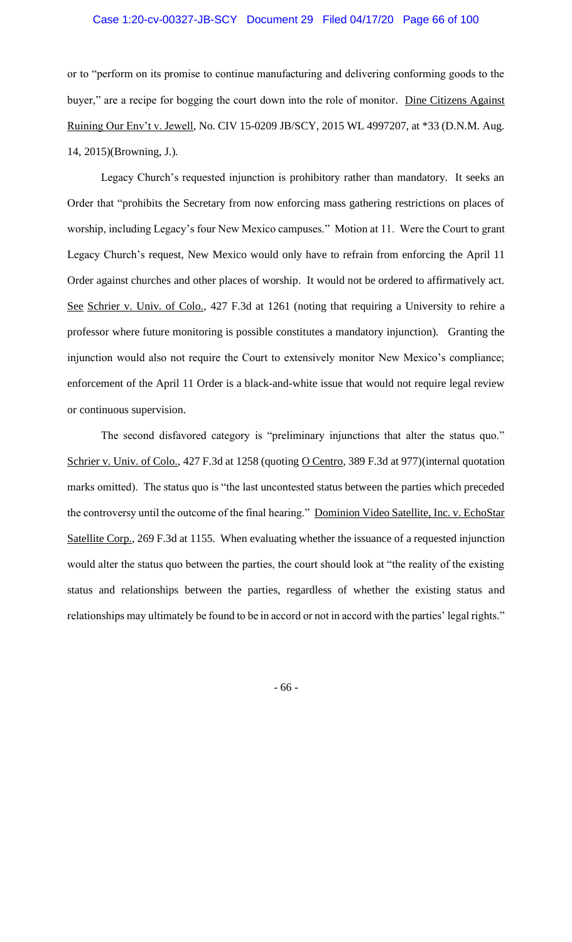or to "perform on its promise to continue manufacturing and delivering conforming goods to the buyer," are a recipe for bogging the court down into the role of monitor. Dine Citizens Against Ruining Our Env't v. Jewell, No. CIV 15-0209 JB/SCY, 2015 WL 4997207, at \*33 (D.N.M. Aug. 14, 2015)(Browning, J.).

Legacy Church's requested injunction is prohibitory rather than mandatory. It seeks an Order that "prohibits the Secretary from now enforcing mass gathering restrictions on places of worship, including Legacy's four New Mexico campuses." Motion at 11. Were the Court to grant Legacy Church's request, New Mexico would only have to refrain from enforcing the April 11 Order against churches and other places of worship. It would not be ordered to affirmatively act. See Schrier v. Univ. of Colo., 427 F.3d at 1261 (noting that requiring a University to rehire a professor where future monitoring is possible constitutes a mandatory injunction). Granting the injunction would also not require the Court to extensively monitor New Mexico's compliance; enforcement of the April 11 Order is a black-and-white issue that would not require legal review or continuous supervision.

The second disfavored category is "preliminary injunctions that alter the status quo." Schrier v. Univ. of Colo., 427 F.3d at 1258 (quoting O Centro, 389 F.3d at 977) (internal quotation marks omitted). The status quo is "the last uncontested status between the parties which preceded the controversy until the outcome of the final hearing." Dominion Video Satellite, Inc. v. EchoStar Satellite Corp., 269 F.3d at 1155. When evaluating whether the issuance of a requested injunction would alter the status quo between the parties, the court should look at "the reality of the existing status and relationships between the parties, regardless of whether the existing status and relationships may ultimately be found to be in accord or not in accord with the parties' legal rights."

- 66 -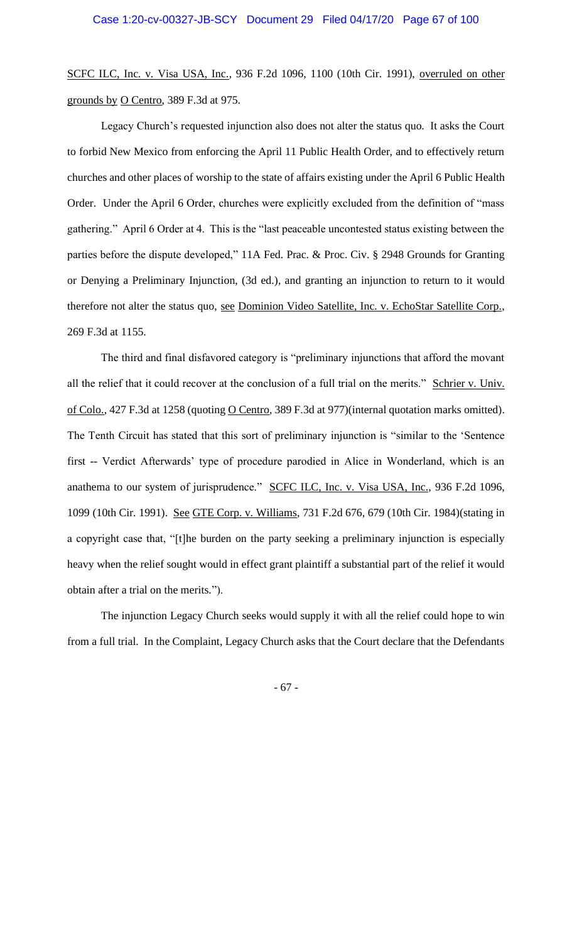SCFC ILC, Inc. v. Visa USA, Inc., 936 F.2d 1096, 1100 (10th Cir. 1991), overruled on other grounds by O Centro, 389 F.3d at 975.

Legacy Church's requested injunction also does not alter the status quo. It asks the Court to forbid New Mexico from enforcing the April 11 Public Health Order, and to effectively return churches and other places of worship to the state of affairs existing under the April 6 Public Health Order. Under the April 6 Order, churches were explicitly excluded from the definition of "mass gathering." April 6 Order at 4. This is the "last peaceable uncontested status existing between the parties before the dispute developed," 11A Fed. Prac. & Proc. Civ. § 2948 Grounds for Granting or Denying a Preliminary Injunction, (3d ed.), and granting an injunction to return to it would therefore not alter the status quo, see Dominion Video Satellite, Inc. v. EchoStar Satellite Corp., 269 F.3d at 1155.

The third and final disfavored category is "preliminary injunctions that afford the movant all the relief that it could recover at the conclusion of a full trial on the merits." Schrier v. Univ. of Colo., 427 F.3d at 1258 (quoting O Centro, 389 F.3d at 977) (internal quotation marks omitted). The Tenth Circuit has stated that this sort of preliminary injunction is "similar to the 'Sentence first -- Verdict Afterwards' type of procedure parodied in Alice in Wonderland, which is an anathema to our system of jurisprudence." SCFC ILC, Inc. v. Visa USA, Inc., 936 F.2d 1096, 1099 (10th Cir. 1991). See GTE Corp. v. Williams, 731 F.2d 676, 679 (10th Cir. 1984)(stating in a copyright case that, "[t]he burden on the party seeking a preliminary injunction is especially heavy when the relief sought would in effect grant plaintiff a substantial part of the relief it would obtain after a trial on the merits.").

The injunction Legacy Church seeks would supply it with all the relief could hope to win from a full trial. In the Complaint, Legacy Church asks that the Court declare that the Defendants

- 67 -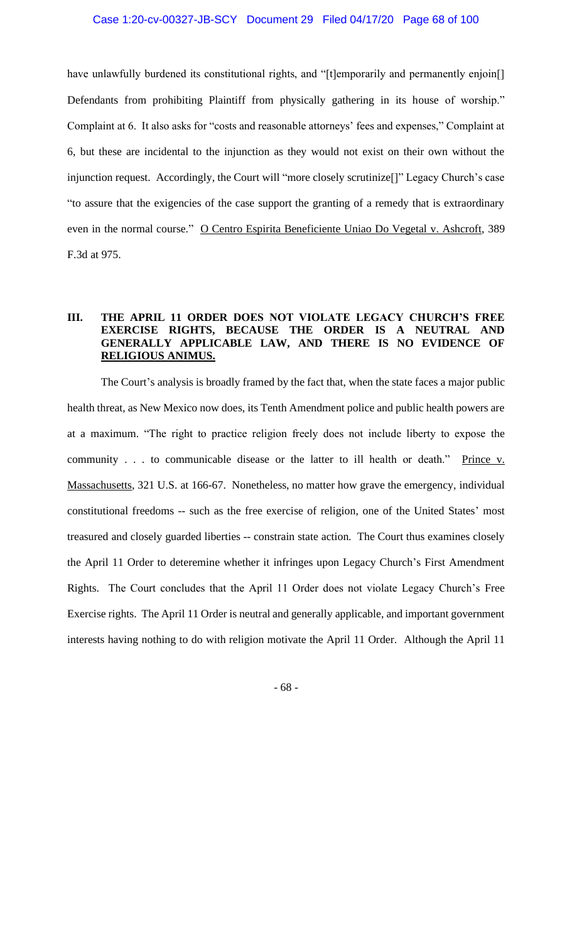have unlawfully burdened its constitutional rights, and "[t]emporarily and permanently enjoin[] Defendants from prohibiting Plaintiff from physically gathering in its house of worship." Complaint at 6. It also asks for "costs and reasonable attorneys' fees and expenses," Complaint at 6, but these are incidental to the injunction as they would not exist on their own without the injunction request. Accordingly, the Court will "more closely scrutinize[]" Legacy Church's case "to assure that the exigencies of the case support the granting of a remedy that is extraordinary even in the normal course." O Centro Espirita Beneficiente Uniao Do Vegetal v. Ashcroft, 389 F.3d at 975.

## **III. THE APRIL 11 ORDER DOES NOT VIOLATE LEGACY CHURCH'S FREE EXERCISE RIGHTS, BECAUSE THE ORDER IS A NEUTRAL AND GENERALLY APPLICABLE LAW, AND THERE IS NO EVIDENCE OF RELIGIOUS ANIMUS.**

The Court's analysis is broadly framed by the fact that, when the state faces a major public health threat, as New Mexico now does, its Tenth Amendment police and public health powers are at a maximum. "The right to practice religion freely does not include liberty to expose the community . . . to communicable disease or the latter to ill health or death." Prince v. Massachusetts, 321 U.S. at 166-67. Nonetheless, no matter how grave the emergency, individual constitutional freedoms -- such as the free exercise of religion, one of the United States' most treasured and closely guarded liberties -- constrain state action. The Court thus examines closely the April 11 Order to deteremine whether it infringes upon Legacy Church's First Amendment Rights. The Court concludes that the April 11 Order does not violate Legacy Church's Free Exercise rights. The April 11 Order is neutral and generally applicable, and important government interests having nothing to do with religion motivate the April 11 Order. Although the April 11

- 68 -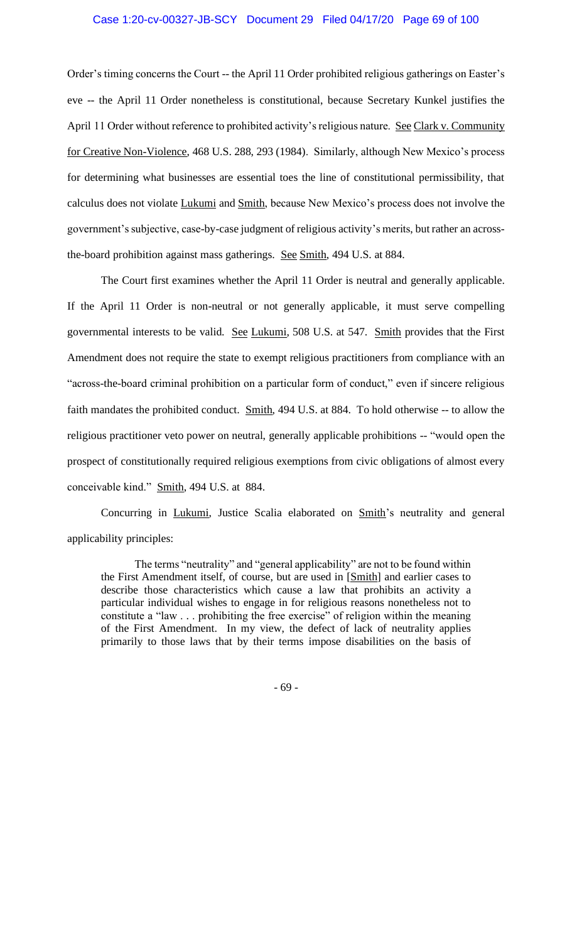Order's timing concerns the Court -- the April 11 Order prohibited religious gatherings on Easter's eve -- the April 11 Order nonetheless is constitutional, because Secretary Kunkel justifies the April 11 Order without reference to prohibited activity's religious nature. See Clark v. Community for Creative Non-Violence, 468 U.S. 288, 293 (1984). Similarly, although New Mexico's process for determining what businesses are essential toes the line of constitutional permissibility, that calculus does not violate Lukumi and Smith, because New Mexico's process does not involve the government's subjective, case-by-case judgment of religious activity's merits, but rather an acrossthe-board prohibition against mass gatherings. See Smith, 494 U.S. at 884.

The Court first examines whether the April 11 Order is neutral and generally applicable. If the April 11 Order is non-neutral or not generally applicable, it must serve compelling governmental interests to be valid. See Lukumi, 508 U.S. at 547. Smith provides that the First Amendment does not require the state to exempt religious practitioners from compliance with an "across-the-board criminal prohibition on a particular form of conduct," even if sincere religious faith mandates the prohibited conduct. Smith, 494 U.S. at 884. To hold otherwise -- to allow the religious practitioner veto power on neutral, generally applicable prohibitions -- "would open the prospect of constitutionally required religious exemptions from civic obligations of almost every conceivable kind." Smith, 494 U.S. at 884.

Concurring in Lukumi, Justice Scalia elaborated on Smith's neutrality and general applicability principles:

The terms "neutrality" and "general applicability" are not to be found within the First Amendment itself, of course, but are used in [Smith] and earlier cases to describe those characteristics which cause a law that prohibits an activity a particular individual wishes to engage in for religious reasons nonetheless not to constitute a "law . . . prohibiting the free exercise" of religion within the meaning of the First Amendment. In my view, the defect of lack of neutrality applies primarily to those laws that by their terms impose disabilities on the basis of

- 69 -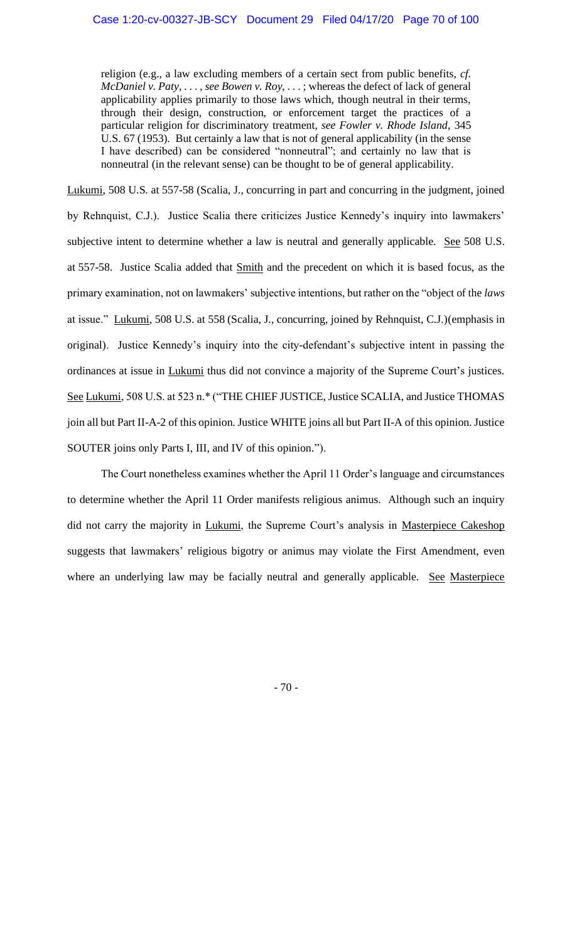religion (e.g., a law excluding members of a certain sect from public benefits, *cf. McDaniel v. Paty*, . . . , *see Bowen v. Roy*, . . . ; whereas the defect of lack of general applicability applies primarily to those laws which, though neutral in their terms, through their design, construction, or enforcement target the practices of a particular religion for discriminatory treatment, *see Fowler v. Rhode Island*, 345 U.S. 67 (1953). But certainly a law that is not of general applicability (in the sense I have described) can be considered "nonneutral"; and certainly no law that is nonneutral (in the relevant sense) can be thought to be of general applicability.

Lukumi, 508 U.S. at 557-58 (Scalia, J., concurring in part and concurring in the judgment, joined by Rehnquist, C.J.). Justice Scalia there criticizes Justice Kennedy's inquiry into lawmakers' subjective intent to determine whether a law is neutral and generally applicable. See 508 U.S. at 557-58. Justice Scalia added that Smith and the precedent on which it is based focus, as the primary examination, not on lawmakers' subjective intentions, but rather on the "object of the *laws* at issue." Lukumi, 508 U.S. at 558 (Scalia, J., concurring, joined by Rehnquist, C.J.)(emphasis in original). Justice Kennedy's inquiry into the city-defendant's subjective intent in passing the ordinances at issue in Lukumi thus did not convince a majority of the Supreme Court's justices. See Lukumi, 508 U.S. at 523 n.\* ("THE CHIEF JUSTICE, Justice SCALIA, and Justice THOMAS join all but Part II-A-2 of this opinion. Justice WHITE joins all but Part II-A of this opinion. Justice SOUTER joins only Parts I, III, and IV of this opinion.").

The Court nonetheless examines whether the April 11 Order's language and circumstances to determine whether the April 11 Order manifests religious animus. Although such an inquiry did not carry the majority in *Lukumi*, the Supreme Court's analysis in *Masterpiece Cakeshop* suggests that lawmakers' religious bigotry or animus may violate the First Amendment, even where an underlying law may be facially neutral and generally applicable. See Masterpiece

- 70 -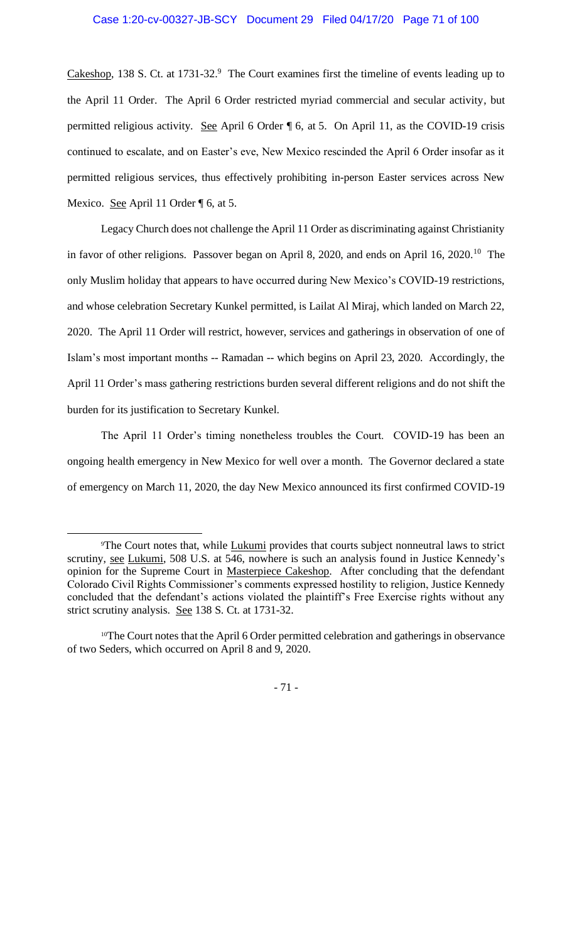Cakeshop, 138 S. Ct. at 1731-32.<sup>9</sup> The Court examines first the timeline of events leading up to the April 11 Order. The April 6 Order restricted myriad commercial and secular activity, but permitted religious activity. See April 6 Order ¶ 6, at 5. On April 11, as the COVID-19 crisis continued to escalate, and on Easter's eve, New Mexico rescinded the April 6 Order insofar as it permitted religious services, thus effectively prohibiting in-person Easter services across New Mexico. See April 11 Order ¶ 6, at 5.

Legacy Church does not challenge the April 11 Order as discriminating against Christianity in favor of other religions. Passover began on April 8, 2020, and ends on April 16, 2020.<sup>10</sup> The only Muslim holiday that appears to have occurred during New Mexico's COVID-19 restrictions, and whose celebration Secretary Kunkel permitted, is Lailat Al Miraj, which landed on March 22, 2020. The April 11 Order will restrict, however, services and gatherings in observation of one of Islam's most important months -- Ramadan -- which begins on April 23, 2020. Accordingly, the April 11 Order's mass gathering restrictions burden several different religions and do not shift the burden for its justification to Secretary Kunkel.

The April 11 Order's timing nonetheless troubles the Court. COVID-19 has been an ongoing health emergency in New Mexico for well over a month. The Governor declared a state of emergency on March 11, 2020, the day New Mexico announced its first confirmed COVID-19

- 71 -

<sup>&</sup>lt;sup>9</sup>The Court notes that, while Lukumi provides that courts subject nonneutral laws to strict scrutiny, see Lukumi, 508 U.S. at 546, nowhere is such an analysis found in Justice Kennedy's opinion for the Supreme Court in Masterpiece Cakeshop. After concluding that the defendant Colorado Civil Rights Commissioner's comments expressed hostility to religion, Justice Kennedy concluded that the defendant's actions violated the plaintiff's Free Exercise rights without any strict scrutiny analysis. See 138 S. Ct. at 1731-32.

<sup>&</sup>lt;sup>10</sup>The Court notes that the April 6 Order permitted celebration and gatherings in observance of two Seders, which occurred on April 8 and 9, 2020.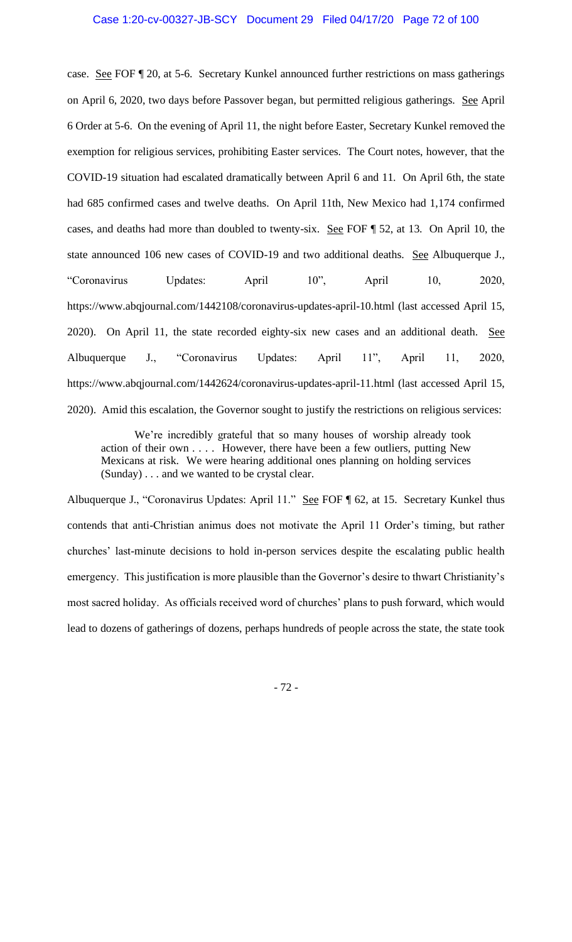case. See FOF ¶ 20, at 5-6. Secretary Kunkel announced further restrictions on mass gatherings on April 6, 2020, two days before Passover began, but permitted religious gatherings. See April 6 Order at 5-6. On the evening of April 11, the night before Easter, Secretary Kunkel removed the exemption for religious services, prohibiting Easter services. The Court notes, however, that the COVID-19 situation had escalated dramatically between April 6 and 11. On April 6th, the state had 685 confirmed cases and twelve deaths. On April 11th, New Mexico had 1,174 confirmed cases, and deaths had more than doubled to twenty-six. See FOF ¶ 52, at 13. On April 10, the state announced 106 new cases of COVID-19 and two additional deaths. See Albuquerque J., "Coronavirus Updates: April 10", April 10, 2020, https://www.abqjournal.com/1442108/coronavirus-updates-april-10.html (last accessed April 15, 2020). On April 11, the state recorded eighty-six new cases and an additional death. See Albuquerque J., "Coronavirus Updates: April 11", April 11, 2020, https://www.abqjournal.com/1442624/coronavirus-updates-april-11.html (last accessed April 15, 2020). Amid this escalation, the Governor sought to justify the restrictions on religious services:

We're incredibly grateful that so many houses of worship already took action of their own . . . . However, there have been a few outliers, putting New Mexicans at risk. We were hearing additional ones planning on holding services (Sunday) . . . and we wanted to be crystal clear.

Albuquerque J., "Coronavirus Updates: April 11." See FOF ¶ 62, at 15. Secretary Kunkel thus contends that anti-Christian animus does not motivate the April 11 Order's timing, but rather churches' last-minute decisions to hold in-person services despite the escalating public health emergency. This justification is more plausible than the Governor's desire to thwart Christianity's most sacred holiday. As officials received word of churches' plans to push forward, which would lead to dozens of gatherings of dozens, perhaps hundreds of people across the state, the state took

- 72 -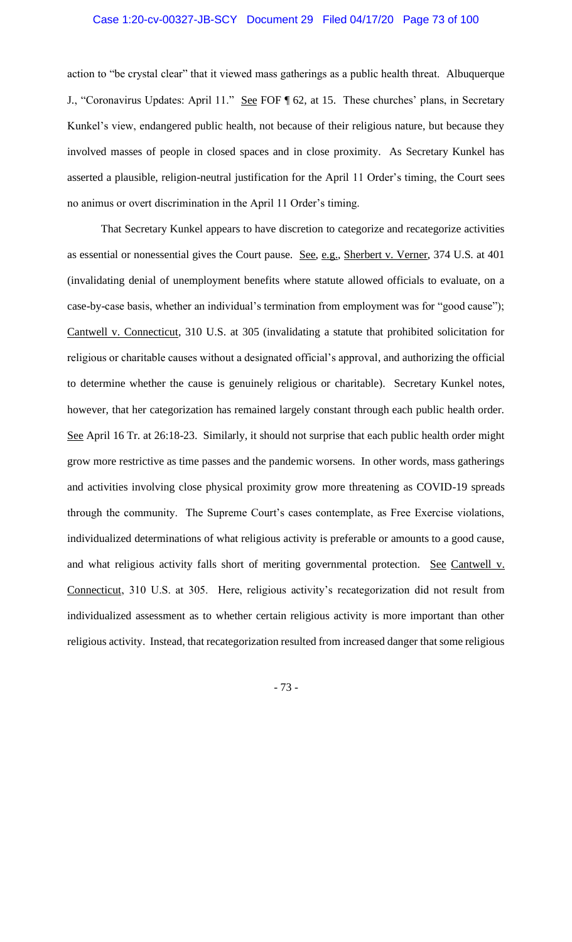action to "be crystal clear" that it viewed mass gatherings as a public health threat. Albuquerque J., "Coronavirus Updates: April 11." See FOF [ 62, at 15. These churches' plans, in Secretary Kunkel's view, endangered public health, not because of their religious nature, but because they involved masses of people in closed spaces and in close proximity. As Secretary Kunkel has asserted a plausible, religion-neutral justification for the April 11 Order's timing, the Court sees no animus or overt discrimination in the April 11 Order's timing.

That Secretary Kunkel appears to have discretion to categorize and recategorize activities as essential or nonessential gives the Court pause. See, e.g., Sherbert v. Verner, 374 U.S. at 401 (invalidating denial of unemployment benefits where statute allowed officials to evaluate, on a case-by-case basis, whether an individual's termination from employment was for "good cause"); Cantwell v. Connecticut, 310 U.S. at 305 (invalidating a statute that prohibited solicitation for religious or charitable causes without a designated official's approval, and authorizing the official to determine whether the cause is genuinely religious or charitable). Secretary Kunkel notes, however, that her categorization has remained largely constant through each public health order. See April 16 Tr. at 26:18-23. Similarly, it should not surprise that each public health order might grow more restrictive as time passes and the pandemic worsens. In other words, mass gatherings and activities involving close physical proximity grow more threatening as COVID-19 spreads through the community. The Supreme Court's cases contemplate, as Free Exercise violations, individualized determinations of what religious activity is preferable or amounts to a good cause, and what religious activity falls short of meriting governmental protection. See Cantwell v. Connecticut, 310 U.S. at 305. Here, religious activity's recategorization did not result from individualized assessment as to whether certain religious activity is more important than other religious activity. Instead, that recategorization resulted from increased danger that some religious

- 73 -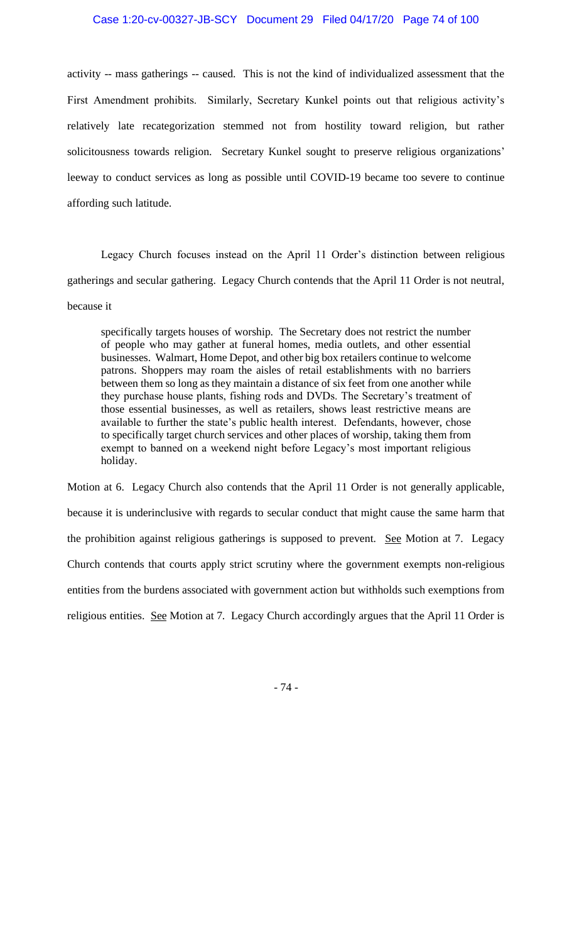activity -- mass gatherings -- caused. This is not the kind of individualized assessment that the First Amendment prohibits. Similarly, Secretary Kunkel points out that religious activity's relatively late recategorization stemmed not from hostility toward religion, but rather solicitousness towards religion. Secretary Kunkel sought to preserve religious organizations' leeway to conduct services as long as possible until COVID-19 became too severe to continue affording such latitude.

Legacy Church focuses instead on the April 11 Order's distinction between religious gatherings and secular gathering. Legacy Church contends that the April 11 Order is not neutral, because it

specifically targets houses of worship. The Secretary does not restrict the number of people who may gather at funeral homes, media outlets, and other essential businesses. Walmart, Home Depot, and other big box retailers continue to welcome patrons. Shoppers may roam the aisles of retail establishments with no barriers between them so long as they maintain a distance of six feet from one another while they purchase house plants, fishing rods and DVDs. The Secretary's treatment of those essential businesses, as well as retailers, shows least restrictive means are available to further the state's public health interest. Defendants, however, chose to specifically target church services and other places of worship, taking them from exempt to banned on a weekend night before Legacy's most important religious holiday.

Motion at 6. Legacy Church also contends that the April 11 Order is not generally applicable, because it is underinclusive with regards to secular conduct that might cause the same harm that the prohibition against religious gatherings is supposed to prevent. See Motion at 7. Legacy Church contends that courts apply strict scrutiny where the government exempts non-religious entities from the burdens associated with government action but withholds such exemptions from religious entities. See Motion at 7. Legacy Church accordingly argues that the April 11 Order is

- 74 -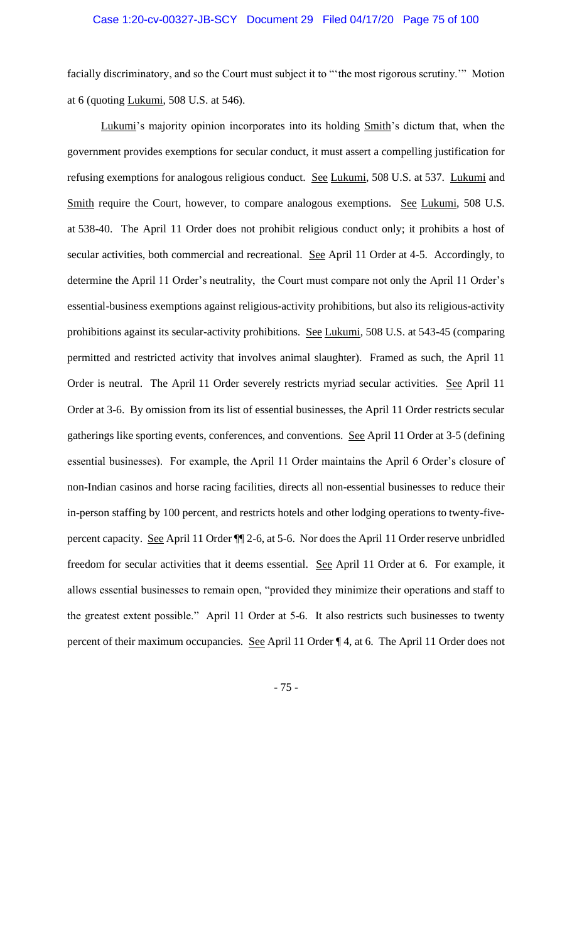facially discriminatory, and so the Court must subject it to "'the most rigorous scrutiny.'" Motion at 6 (quoting Lukumi, 508 U.S. at 546).

Lukumi's majority opinion incorporates into its holding Smith's dictum that, when the government provides exemptions for secular conduct, it must assert a compelling justification for refusing exemptions for analogous religious conduct. See Lukumi, 508 U.S. at 537. Lukumi and Smith require the Court, however, to compare analogous exemptions. See Lukumi, 508 U.S. at 538-40. The April 11 Order does not prohibit religious conduct only; it prohibits a host of secular activities, both commercial and recreational. See April 11 Order at 4-5. Accordingly, to determine the April 11 Order's neutrality, the Court must compare not only the April 11 Order's essential-business exemptions against religious-activity prohibitions, but also its religious-activity prohibitions against its secular-activity prohibitions. See Lukumi, 508 U.S. at 543-45 (comparing permitted and restricted activity that involves animal slaughter). Framed as such, the April 11 Order is neutral. The April 11 Order severely restricts myriad secular activities. See April 11 Order at 3-6. By omission from its list of essential businesses, the April 11 Order restricts secular gatherings like sporting events, conferences, and conventions. See April 11 Order at 3-5 (defining essential businesses). For example, the April 11 Order maintains the April 6 Order's closure of non-Indian casinos and horse racing facilities, directs all non-essential businesses to reduce their in-person staffing by 100 percent, and restricts hotels and other lodging operations to twenty-fivepercent capacity. See April 11 Order ¶¶ 2-6, at 5-6. Nor does the April 11 Order reserve unbridled freedom for secular activities that it deems essential. See April 11 Order at 6. For example, it allows essential businesses to remain open, "provided they minimize their operations and staff to the greatest extent possible." April 11 Order at 5-6. It also restricts such businesses to twenty percent of their maximum occupancies. See April 11 Order ¶ 4, at 6. The April 11 Order does not

- 75 -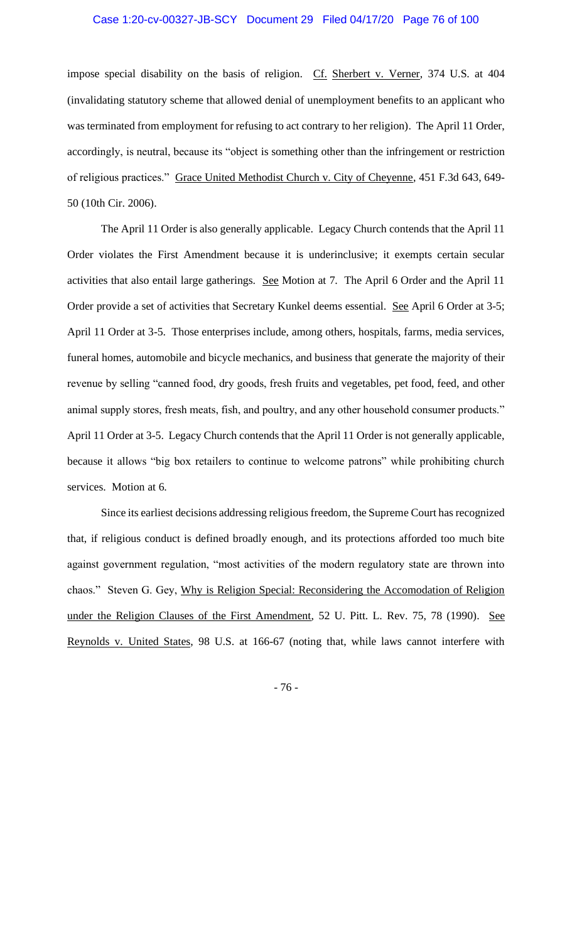#### Case 1:20-cv-00327-JB-SCY Document 29 Filed 04/17/20 Page 76 of 100

impose special disability on the basis of religion. Cf. Sherbert v. Verner, 374 U.S. at 404 (invalidating statutory scheme that allowed denial of unemployment benefits to an applicant who was terminated from employment for refusing to act contrary to her religion). The April 11 Order, accordingly, is neutral, because its "object is something other than the infringement or restriction of religious practices." Grace United Methodist Church v. City of Cheyenne, 451 F.3d 643, 649-50 (10th Cir. 2006).

The April 11 Order is also generally applicable. Legacy Church contends that the April 11 Order violates the First Amendment because it is underinclusive; it exempts certain secular activities that also entail large gatherings. See Motion at 7. The April 6 Order and the April 11 Order provide a set of activities that Secretary Kunkel deems essential. See April 6 Order at 3-5; April 11 Order at 3-5. Those enterprises include, among others, hospitals, farms, media services, funeral homes, automobile and bicycle mechanics, and business that generate the majority of their revenue by selling "canned food, dry goods, fresh fruits and vegetables, pet food, feed, and other animal supply stores, fresh meats, fish, and poultry, and any other household consumer products." April 11 Order at 3-5. Legacy Church contends that the April 11 Order is not generally applicable, because it allows "big box retailers to continue to welcome patrons" while prohibiting church services. Motion at 6.

Since its earliest decisions addressing religious freedom, the Supreme Court has recognized that, if religious conduct is defined broadly enough, and its protections afforded too much bite against government regulation, "most activities of the modern regulatory state are thrown into chaos." Steven G. Gey, Why is Religion Special: Reconsidering the Accomodation of Religion under the Religion Clauses of the First Amendment, 52 U. Pitt. L. Rev. 75, 78 (1990). See Reynolds v. United States, 98 U.S. at 166-67 (noting that, while laws cannot interfere with

- 76 -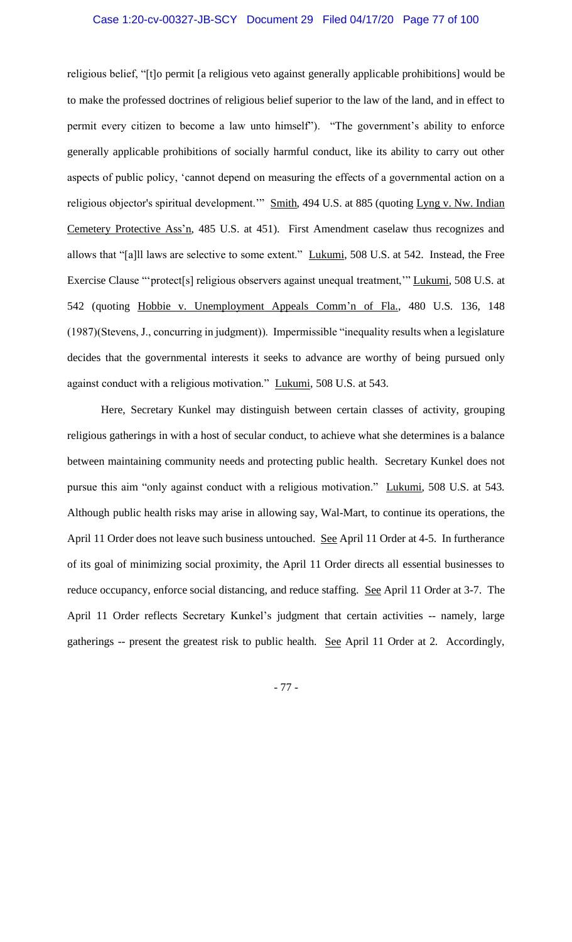#### Case 1:20-cv-00327-JB-SCY Document 29 Filed 04/17/20 Page 77 of 100

religious belief, "[t]o permit [a religious veto against generally applicable prohibitions] would be to make the professed doctrines of religious belief superior to the law of the land, and in effect to permit every citizen to become a law unto himself"). "The government's ability to enforce generally applicable prohibitions of socially harmful conduct, like its ability to carry out other aspects of public policy, 'cannot depend on measuring the effects of a governmental action on a religious objector's spiritual development." Smith, 494 U.S. at 885 (quoting Lyng v. Nw. Indian Cemetery Protective Ass'n, 485 U.S. at 451). First Amendment caselaw thus recognizes and allows that "[a]ll laws are selective to some extent." Lukumi, 508 U.S. at 542. Instead, the Free Exercise Clause "'protect[s] religious observers against unequal treatment," Lukumi, 508 U.S. at 542 (quoting Hobbie v. Unemployment Appeals Comm'n of Fla., 480 U.S. 136, 148 (1987)(Stevens, J., concurring in judgment)). Impermissible "inequality results when a legislature decides that the governmental interests it seeks to advance are worthy of being pursued only against conduct with a religious motivation." Lukumi, 508 U.S. at 543.

Here, Secretary Kunkel may distinguish between certain classes of activity, grouping religious gatherings in with a host of secular conduct, to achieve what she determines is a balance between maintaining community needs and protecting public health. Secretary Kunkel does not pursue this aim "only against conduct with a religious motivation." Lukumi, 508 U.S. at 543. Although public health risks may arise in allowing say, Wal-Mart, to continue its operations, the April 11 Order does not leave such business untouched. See April 11 Order at 4-5. In furtherance of its goal of minimizing social proximity, the April 11 Order directs all essential businesses to reduce occupancy, enforce social distancing, and reduce staffing. See April 11 Order at 3-7. The April 11 Order reflects Secretary Kunkel's judgment that certain activities -- namely, large gatherings -- present the greatest risk to public health. See April 11 Order at 2. Accordingly,

- 77 -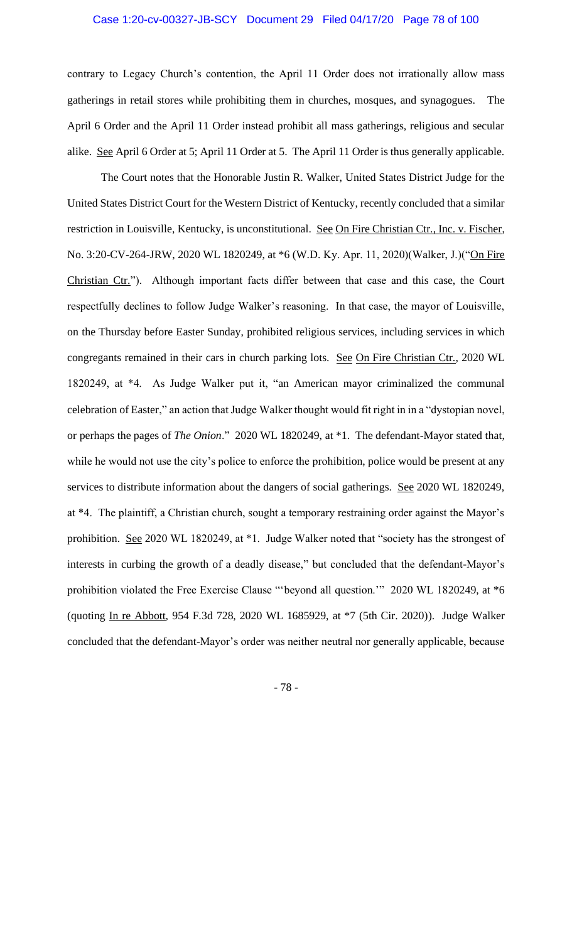contrary to Legacy Church's contention, the April 11 Order does not irrationally allow mass gatherings in retail stores while prohibiting them in churches, mosques, and synagogues. The April 6 Order and the April 11 Order instead prohibit all mass gatherings, religious and secular alike. See April 6 Order at 5; April 11 Order at 5. The April 11 Order is thus generally applicable.

The Court notes that the Honorable Justin R. Walker, United States District Judge for the United States District Court for the Western District of Kentucky, recently concluded that a similar restriction in Louisville, Kentucky, is unconstitutional. See On Fire Christian Ctr., Inc. v. Fischer, No. 3:20-CV-264-JRW, 2020 WL 1820249, at \*6 (W.D. Ky. Apr. 11, 2020)(Walker, J.)("On Fire Christian Ctr."). Although important facts differ between that case and this case, the Court respectfully declines to follow Judge Walker's reasoning. In that case, the mayor of Louisville, on the Thursday before Easter Sunday, prohibited religious services, including services in which congregants remained in their cars in church parking lots. See On Fire Christian Ctr., 2020 WL 1820249, at \*4. As Judge Walker put it, "an American mayor criminalized the communal celebration of Easter," an action that Judge Walker thought would fit right in in a "dystopian novel, or perhaps the pages of *The Onion*." 2020 WL 1820249, at \*1. The defendant-Mayor stated that, while he would not use the city's police to enforce the prohibition, police would be present at any services to distribute information about the dangers of social gatherings. See 2020 WL 1820249, at \*4. The plaintiff, a Christian church, sought a temporary restraining order against the Mayor's prohibition. See 2020 WL 1820249, at \*1. Judge Walker noted that "society has the strongest of interests in curbing the growth of a deadly disease," but concluded that the defendant-Mayor's prohibition violated the Free Exercise Clause "'beyond all question.'" 2020 WL 1820249, at \*6 (quoting In re Abbott, 954 F.3d 728, 2020 WL 1685929, at \*7 (5th Cir. 2020)). Judge Walker concluded that the defendant-Mayor's order was neither neutral nor generally applicable, because

- 78 -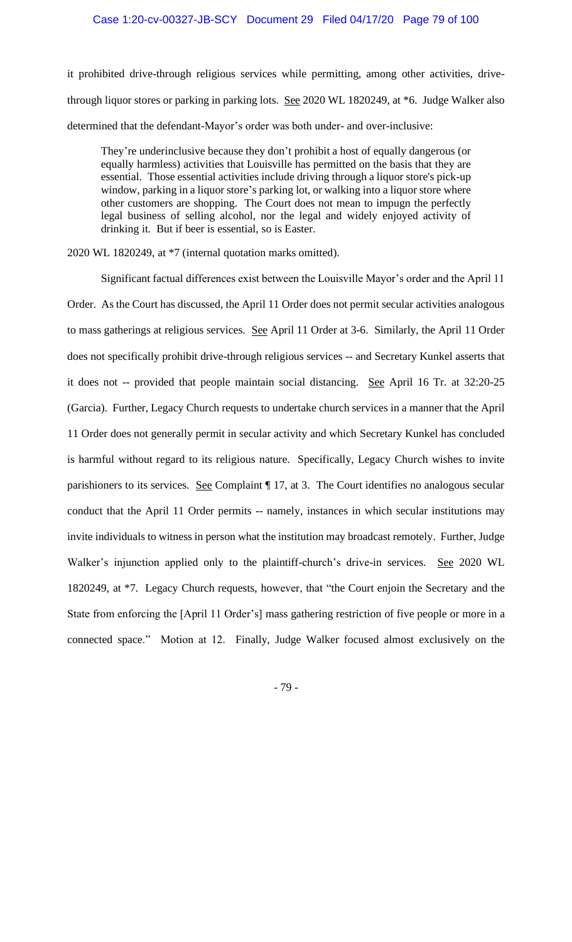it prohibited drive-through religious services while permitting, among other activities, drivethrough liquor stores or parking in parking lots. See 2020 WL 1820249, at \*6. Judge Walker also determined that the defendant-Mayor's order was both under- and over-inclusive:

They're underinclusive because they don't prohibit a host of equally dangerous (or equally harmless) activities that Louisville has permitted on the basis that they are essential. Those essential activities include driving through a liquor store's pick-up window, parking in a liquor store's parking lot, or walking into a liquor store where other customers are shopping. The Court does not mean to impugn the perfectly legal business of selling alcohol, nor the legal and widely enjoyed activity of drinking it. But if beer is essential, so is Easter.

2020 WL 1820249, at \*7 (internal quotation marks omitted).

Significant factual differences exist between the Louisville Mayor's order and the April 11 Order. As the Court has discussed, the April 11 Order does not permit secular activities analogous to mass gatherings at religious services. See April 11 Order at 3-6. Similarly, the April 11 Order does not specifically prohibit drive-through religious services -- and Secretary Kunkel asserts that it does not -- provided that people maintain social distancing. See April 16 Tr. at 32:20-25 (Garcia). Further, Legacy Church requests to undertake church services in a manner that the April 11 Order does not generally permit in secular activity and which Secretary Kunkel has concluded is harmful without regard to its religious nature. Specifically, Legacy Church wishes to invite parishioners to its services. See Complaint 17, at 3. The Court identifies no analogous secular conduct that the April 11 Order permits -- namely, instances in which secular institutions may invite individuals to witness in person what the institution may broadcast remotely. Further, Judge Walker's injunction applied only to the plaintiff-church's drive-in services. See 2020 WL 1820249, at \*7. Legacy Church requests, however, that "the Court enjoin the Secretary and the State from enforcing the [April 11 Order's] mass gathering restriction of five people or more in a connected space." Motion at 12. Finally, Judge Walker focused almost exclusively on the

- 79 -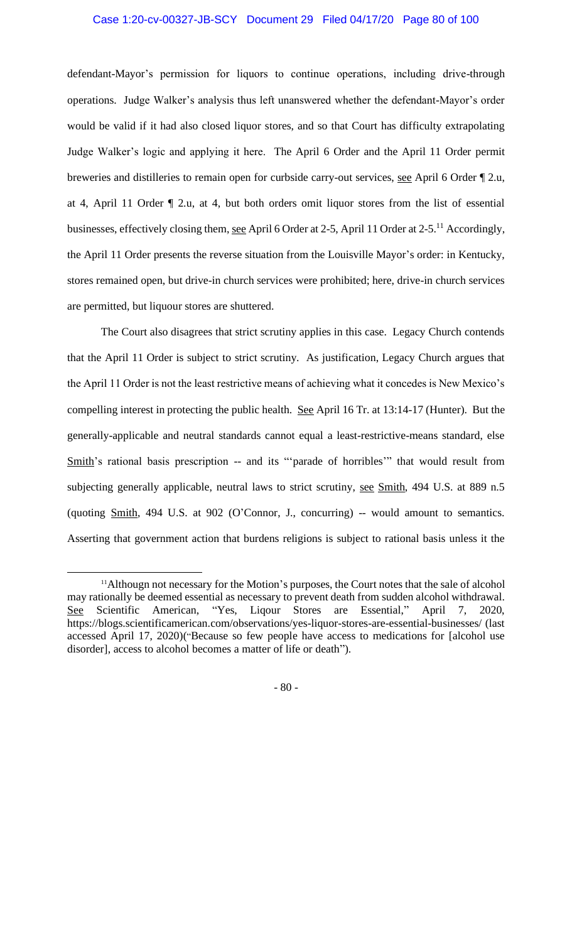### Case 1:20-cv-00327-JB-SCY Document 29 Filed 04/17/20 Page 80 of 100

defendant-Mayor's permission for liquors to continue operations, including drive-through operations. Judge Walker's analysis thus left unanswered whether the defendant-Mayor's order would be valid if it had also closed liquor stores, and so that Court has difficulty extrapolating Judge Walker's logic and applying it here. The April 6 Order and the April 11 Order permit breweries and distilleries to remain open for curbside carry-out services, see April 6 Order ¶ 2.u, at 4, April 11 Order ¶ 2.u, at 4, but both orders omit liquor stores from the list of essential businesses, effectively closing them, see April 6 Order at 2-5, April 11 Order at 2-5.<sup>11</sup> Accordingly, the April 11 Order presents the reverse situation from the Louisville Mayor's order: in Kentucky, stores remained open, but drive-in church services were prohibited; here, drive-in church services are permitted, but liquour stores are shuttered.

The Court also disagrees that strict scrutiny applies in this case. Legacy Church contends that the April 11 Order is subject to strict scrutiny. As justification, Legacy Church argues that the April 11 Order is not the least restrictive means of achieving what it concedes is New Mexico's compelling interest in protecting the public health. See April 16 Tr. at 13:14-17 (Hunter). But the generally-applicable and neutral standards cannot equal a least-restrictive-means standard, else Smith's rational basis prescription -- and its "'parade of horribles'" that would result from subjecting generally applicable, neutral laws to strict scrutiny, see Smith, 494 U.S. at 889 n.5 (quoting Smith, 494 U.S. at 902 (O'Connor, J., concurring) -- would amount to semantics. Asserting that government action that burdens religions is subject to rational basis unless it the

- 80 -

<sup>&</sup>lt;sup>11</sup>Althougn not necessary for the Motion's purposes, the Court notes that the sale of alcohol may rationally be deemed essential as necessary to prevent death from sudden alcohol withdrawal. See Scientific American, "Yes, Liqour Stores are Essential," April 7, 2020, https://blogs.scientificamerican.com/observations/yes-liquor-stores-are-essential-businesses/ (last accessed April 17, 2020)("Because so few people have access to medications for [alcohol use disorder], access to alcohol becomes a matter of life or death").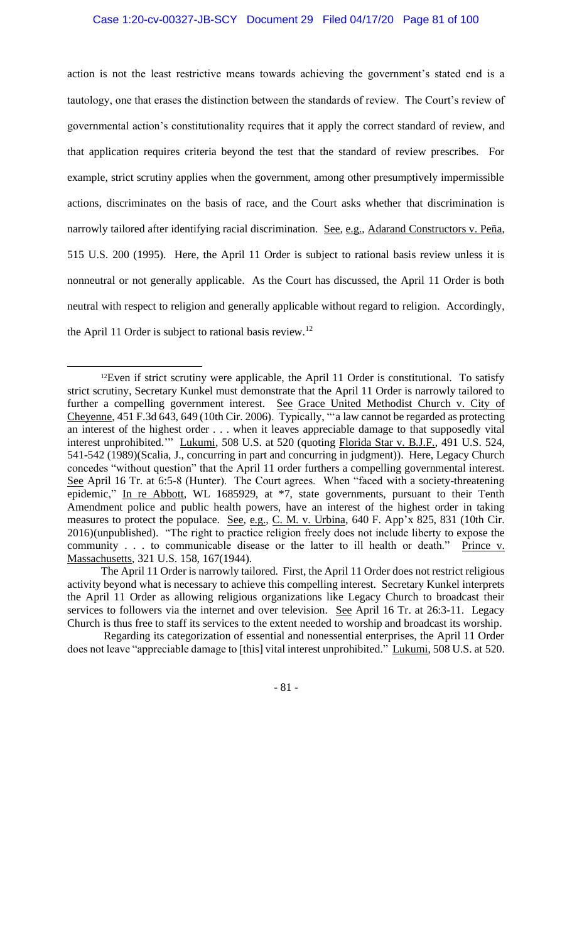action is not the least restrictive means towards achieving the government's stated end is a tautology, one that erases the distinction between the standards of review. The Court's review of governmental action's constitutionality requires that it apply the correct standard of review, and that application requires criteria beyond the test that the standard of review prescribes. For example, strict scrutiny applies when the government, among other presumptively impermissible actions, discriminates on the basis of race, and the Court asks whether that discrimination is narrowly tailored after identifying racial discrimination. See, e.g., Adarand Constructors v. Peña, 515 U.S. 200 (1995). Here, the April 11 Order is subject to rational basis review unless it is nonneutral or not generally applicable. As the Court has discussed, the April 11 Order is both neutral with respect to religion and generally applicable without regard to religion. Accordingly, the April 11 Order is subject to rational basis review.<sup>12</sup>

- 81 -

 $12$ Even if strict scrutiny were applicable, the April 11 Order is constitutional. To satisfy strict scrutiny, Secretary Kunkel must demonstrate that the April 11 Order is narrowly tailored to further a compelling government interest. See Grace United Methodist Church v. City of Cheyenne, 451 F.3d 643, 649 (10th Cir. 2006). Typically, "'a law cannot be regarded as protecting an interest of the highest order . . . when it leaves appreciable damage to that supposedly vital interest unprohibited." Lukumi, 508 U.S. at 520 (quoting Florida Star v. B.J.F., 491 U.S. 524, 541-542 (1989)(Scalia, J., concurring in part and concurring in judgment)). Here, Legacy Church concedes "without question" that the April 11 order furthers a compelling governmental interest. See April 16 Tr. at 6:5-8 (Hunter). The Court agrees. When "faced with a society-threatening epidemic," In re Abbott, WL 1685929, at \*7, state governments, pursuant to their Tenth Amendment police and public health powers, have an interest of the highest order in taking measures to protect the populace. See, e.g., C. M. v. Urbina, 640 F. App'x 825, 831 (10th Cir. 2016)(unpublished). "The right to practice religion freely does not include liberty to expose the community . . . to communicable disease or the latter to ill health or death." Prince v. Massachusetts, 321 U.S. 158, 167(1944).

The April 11 Order is narrowly tailored. First, the April 11 Order does not restrict religious activity beyond what is necessary to achieve this compelling interest. Secretary Kunkel interprets the April 11 Order as allowing religious organizations like Legacy Church to broadcast their services to followers via the internet and over television. See April 16 Tr. at 26:3-11. Legacy Church is thus free to staff its services to the extent needed to worship and broadcast its worship.

Regarding its categorization of essential and nonessential enterprises, the April 11 Order does not leave "appreciable damage to [this] vital interest unprohibited." Lukumi, 508 U.S. at 520.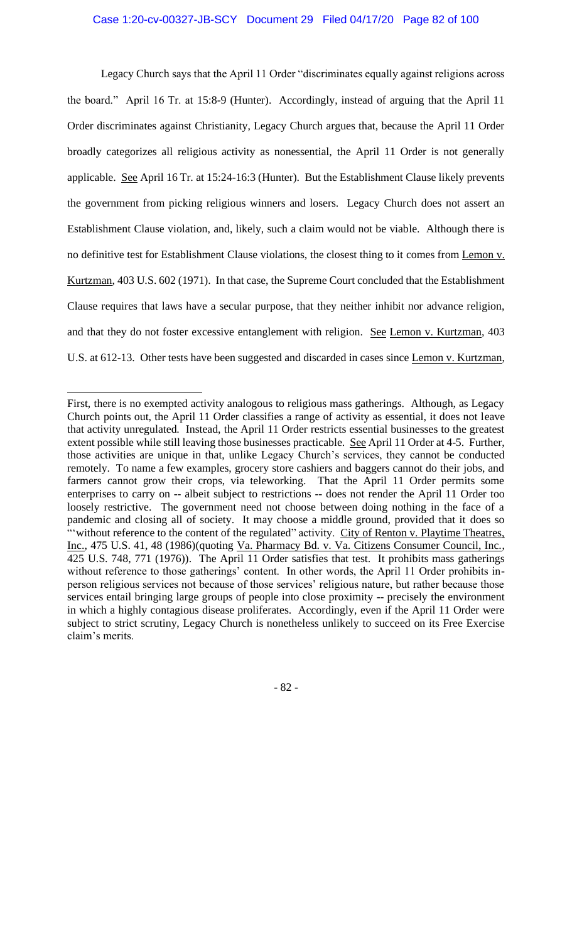Legacy Church says that the April 11 Order "discriminates equally against religions across the board." April 16 Tr. at 15:8-9 (Hunter). Accordingly, instead of arguing that the April 11 Order discriminates against Christianity, Legacy Church argues that, because the April 11 Order broadly categorizes all religious activity as nonessential, the April 11 Order is not generally applicable. See April 16 Tr. at 15:24-16:3 (Hunter). But the Establishment Clause likely prevents the government from picking religious winners and losers. Legacy Church does not assert an Establishment Clause violation, and, likely, such a claim would not be viable. Although there is no definitive test for Establishment Clause violations, the closest thing to it comes from Lemon v. Kurtzman, 403 U.S. 602 (1971). In that case, the Supreme Court concluded that the Establishment Clause requires that laws have a secular purpose, that they neither inhibit nor advance religion, and that they do not foster excessive entanglement with religion. See Lemon v. Kurtzman, 403 U.S. at 612-13. Other tests have been suggested and discarded in cases since Lemon v. Kurtzman,

First, there is no exempted activity analogous to religious mass gatherings. Although, as Legacy Church points out, the April 11 Order classifies a range of activity as essential, it does not leave that activity unregulated. Instead, the April 11 Order restricts essential businesses to the greatest extent possible while still leaving those businesses practicable. See April 11 Order at 4-5. Further, those activities are unique in that, unlike Legacy Church's services, they cannot be conducted remotely. To name a few examples, grocery store cashiers and baggers cannot do their jobs, and farmers cannot grow their crops, via teleworking. That the April 11 Order permits some enterprises to carry on -- albeit subject to restrictions -- does not render the April 11 Order too loosely restrictive. The government need not choose between doing nothing in the face of a pandemic and closing all of society. It may choose a middle ground, provided that it does so "without reference to the content of the regulated" activity. City of Renton v. Playtime Theatres, Inc., 475 U.S. 41, 48 (1986)(quoting Va. Pharmacy Bd. v. Va. Citizens Consumer Council, Inc., 425 U.S. 748, 771 (1976)). The April 11 Order satisfies that test. It prohibits mass gatherings without reference to those gatherings' content. In other words, the April 11 Order prohibits inperson religious services not because of those services' religious nature, but rather because those services entail bringing large groups of people into close proximity -- precisely the environment in which a highly contagious disease proliferates. Accordingly, even if the April 11 Order were subject to strict scrutiny, Legacy Church is nonetheless unlikely to succeed on its Free Exercise claim's merits.

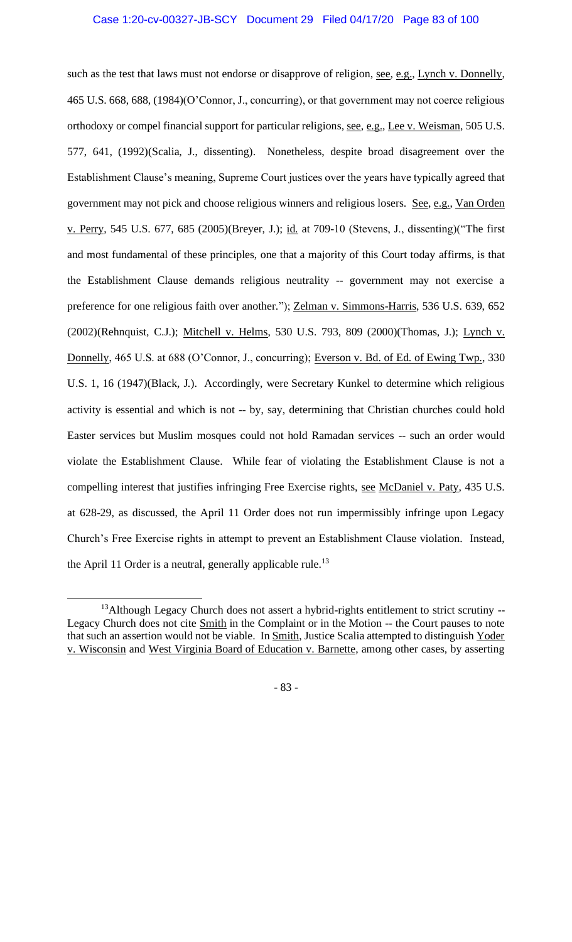such as the test that laws must not endorse or disapprove of religion, see, e.g., Lynch v. Donnelly, 465 U.S. 668, 688, (1984)(O'Connor, J., concurring), or that government may not coerce religious orthodoxy or compel financial support for particular religions, see, e.g., Lee v. Weisman, 505 U.S. 577, 641, (1992)(Scalia, J., dissenting). Nonetheless, despite broad disagreement over the Establishment Clause's meaning, Supreme Court justices over the years have typically agreed that government may not pick and choose religious winners and religious losers. See, e.g., Van Orden v. Perry, 545 U.S. 677, 685 (2005)(Breyer, J.); id. at 709-10 (Stevens, J., dissenting)("The first and most fundamental of these principles, one that a majority of this Court today affirms, is that the Establishment Clause demands religious neutrality -- government may not exercise a preference for one religious faith over another."); Zelman v. Simmons-Harris, 536 U.S. 639, 652 (2002)(Rehnquist, C.J.); Mitchell v. Helms, 530 U.S. 793, 809 (2000)(Thomas, J.); Lynch v. Donnelly, 465 U.S. at 688 (O'Connor, J., concurring); Everson v. Bd. of Ed. of Ewing Twp., 330 U.S. 1, 16 (1947)(Black, J.). Accordingly, were Secretary Kunkel to determine which religious activity is essential and which is not -- by, say, determining that Christian churches could hold Easter services but Muslim mosques could not hold Ramadan services -- such an order would violate the Establishment Clause. While fear of violating the Establishment Clause is not a compelling interest that justifies infringing Free Exercise rights, see McDaniel v. Paty, 435 U.S. at 628-29, as discussed, the April 11 Order does not run impermissibly infringe upon Legacy Church's Free Exercise rights in attempt to prevent an Establishment Clause violation. Instead, the April 11 Order is a neutral, generally applicable rule.<sup>13</sup>

- 83 -

<sup>&</sup>lt;sup>13</sup>Although Legacy Church does not assert a hybrid-rights entitlement to strict scrutiny --Legacy Church does not cite Smith in the Complaint or in the Motion -- the Court pauses to note that such an assertion would not be viable. In Smith, Justice Scalia attempted to distinguish Yoder v. Wisconsin and West Virginia Board of Education v. Barnette, among other cases, by asserting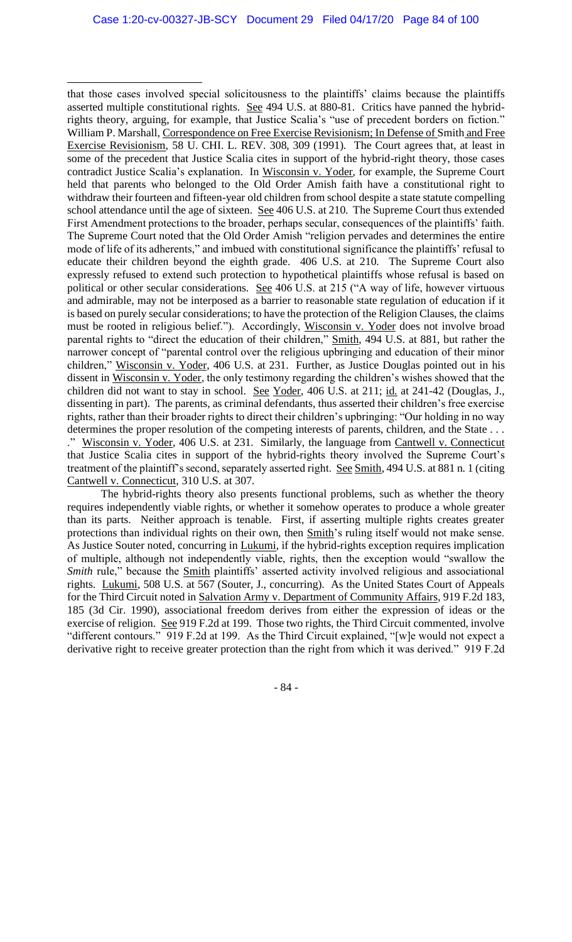that those cases involved special solicitousness to the plaintiffs' claims because the plaintiffs asserted multiple constitutional rights. See 494 U.S. at 880-81. Critics have panned the hybridrights theory, arguing, for example, that Justice Scalia's "use of precedent borders on fiction." William P. Marshall, Correspondence on Free Exercise Revisionism; In Defense of Smith and Free Exercise Revisionism, 58 U. CHI. L. REV. 308, 309 (1991). The Court agrees that, at least in some of the precedent that Justice Scalia cites in support of the hybrid-right theory, those cases contradict Justice Scalia's explanation. In Wisconsin v. Yoder, for example, the Supreme Court held that parents who belonged to the Old Order Amish faith have a constitutional right to withdraw their fourteen and fifteen-year old children from school despite a state statute compelling school attendance until the age of sixteen. See 406 U.S. at 210. The Supreme Court thus extended First Amendment protections to the broader, perhaps secular, consequences of the plaintiffs' faith. The Supreme Court noted that the Old Order Amish "religion pervades and determines the entire mode of life of its adherents," and imbued with constitutional significance the plaintiffs' refusal to educate their children beyond the eighth grade. 406 U.S. at 210. The Supreme Court also expressly refused to extend such protection to hypothetical plaintiffs whose refusal is based on political or other secular considerations. See 406 U.S. at 215 ("A way of life, however virtuous and admirable, may not be interposed as a barrier to reasonable state regulation of education if it is based on purely secular considerations; to have the protection of the Religion Clauses, the claims must be rooted in religious belief."). Accordingly, Wisconsin v. Yoder does not involve broad parental rights to "direct the education of their children," Smith, 494 U.S. at 881, but rather the narrower concept of "parental control over the religious upbringing and education of their minor children," Wisconsin v. Yoder, 406 U.S. at 231. Further, as Justice Douglas pointed out in his dissent in Wisconsin v. Yoder, the only testimony regarding the children's wishes showed that the children did not want to stay in school. See Yoder, 406 U.S. at 211; id. at 241-42 (Douglas, J., dissenting in part). The parents, as criminal defendants, thus asserted their children's free exercise rights, rather than their broader rights to direct their children's upbringing: "Our holding in no way determines the proper resolution of the competing interests of parents, children, and the State . . . ." Wisconsin v. Yoder, 406 U.S. at 231. Similarly, the language from Cantwell v. Connecticut that Justice Scalia cites in support of the hybrid-rights theory involved the Supreme Court's treatment of the plaintiff's second, separately asserted right. See Smith, 494 U.S. at 881 n. 1 (citing Cantwell v. Connecticut, 310 U.S. at 307.

The hybrid-rights theory also presents functional problems, such as whether the theory requires independently viable rights, or whether it somehow operates to produce a whole greater than its parts. Neither approach is tenable. First, if asserting multiple rights creates greater protections than individual rights on their own, then Smith's ruling itself would not make sense. As Justice Souter noted, concurring in Lukumi, if the hybrid-rights exception requires implication of multiple, although not independently viable, rights, then the exception would "swallow the *Smith* rule," because the **Smith plaintiffs**' asserted activity involved religious and associational rights. Lukumi, 508 U.S. at 567 (Souter, J., concurring). As the United States Court of Appeals for the Third Circuit noted in Salvation Army v. Department of Community Affairs, 919 F.2d 183, 185 (3d Cir. 1990), associational freedom derives from either the expression of ideas or the exercise of religion. See 919 F.2d at 199. Those two rights, the Third Circuit commented, involve "different contours." 919 F.2d at 199. As the Third Circuit explained, "[w]e would not expect a derivative right to receive greater protection than the right from which it was derived." 919 F.2d

- 84 -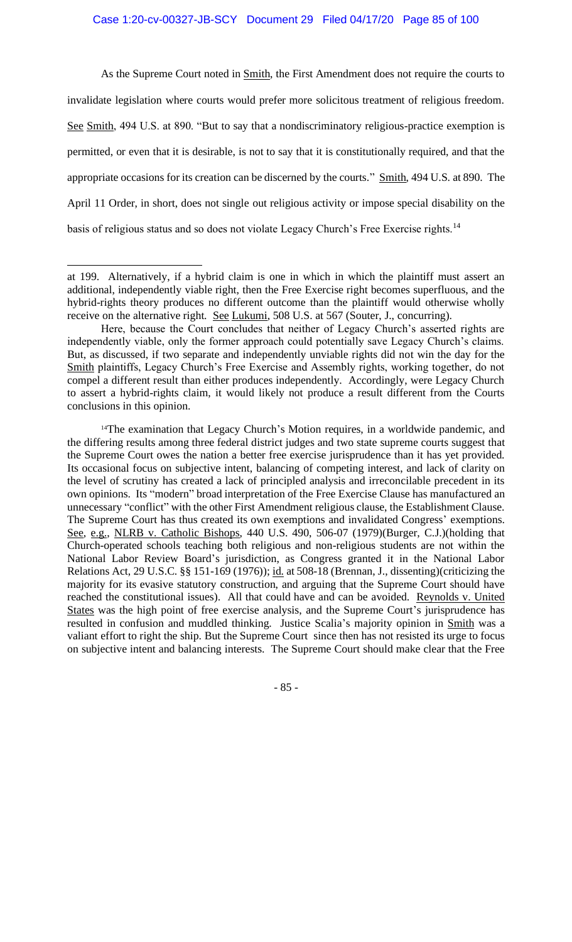As the Supreme Court noted in **Smith**, the First Amendment does not require the courts to invalidate legislation where courts would prefer more solicitous treatment of religious freedom. See Smith, 494 U.S. at 890. "But to say that a nondiscriminatory religious-practice exemption is permitted, or even that it is desirable, is not to say that it is constitutionally required, and that the appropriate occasions for its creation can be discerned by the courts." Smith, 494 U.S. at 890. The April 11 Order, in short, does not single out religious activity or impose special disability on the basis of religious status and so does not violate Legacy Church's Free Exercise rights.<sup>14</sup>

- 85 -

at 199. Alternatively, if a hybrid claim is one in which in which the plaintiff must assert an additional, independently viable right, then the Free Exercise right becomes superfluous, and the hybrid-rights theory produces no different outcome than the plaintiff would otherwise wholly receive on the alternative right. See Lukumi, 508 U.S. at 567 (Souter, J., concurring).

Here, because the Court concludes that neither of Legacy Church's asserted rights are independently viable, only the former approach could potentially save Legacy Church's claims. But, as discussed, if two separate and independently unviable rights did not win the day for the Smith plaintiffs, Legacy Church's Free Exercise and Assembly rights, working together, do not compel a different result than either produces independently. Accordingly, were Legacy Church to assert a hybrid-rights claim, it would likely not produce a result different from the Courts conclusions in this opinion.

<sup>&</sup>lt;sup>14</sup>The examination that Legacy Church's Motion requires, in a worldwide pandemic, and the differing results among three federal district judges and two state supreme courts suggest that the Supreme Court owes the nation a better free exercise jurisprudence than it has yet provided. Its occasional focus on subjective intent, balancing of competing interest, and lack of clarity on the level of scrutiny has created a lack of principled analysis and irreconcilable precedent in its own opinions. Its "modern" broad interpretation of the Free Exercise Clause has manufactured an unnecessary "conflict" with the other First Amendment religious clause, the Establishment Clause. The Supreme Court has thus created its own exemptions and invalidated Congress' exemptions. See, e.g., NLRB v. Catholic Bishops, 440 U.S. 490, 506-07 (1979)(Burger, C.J.)(holding that Church-operated schools teaching both religious and non-religious students are not within the National Labor Review Board's jurisdiction, as Congress granted it in the National Labor Relations Act, 29 U.S.C. §§ 151-169 (1976)); id. at 508-18 (Brennan, J., dissenting)(criticizing the majority for its evasive statutory construction, and arguing that the Supreme Court should have reached the constitutional issues). All that could have and can be avoided. Reynolds v. United States was the high point of free exercise analysis, and the Supreme Court's jurisprudence has resulted in confusion and muddled thinking. Justice Scalia's majority opinion in Smith was a valiant effort to right the ship. But the Supreme Court since then has not resisted its urge to focus on subjective intent and balancing interests. The Supreme Court should make clear that the Free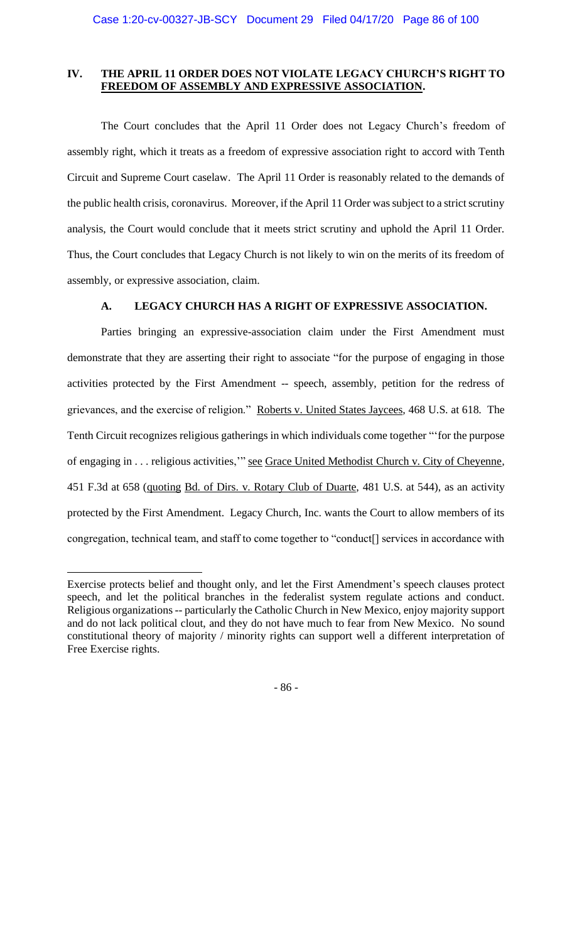# **IV. THE APRIL 11 ORDER DOES NOT VIOLATE LEGACY CHURCH'S RIGHT TO FREEDOM OF ASSEMBLY AND EXPRESSIVE ASSOCIATION.**

The Court concludes that the April 11 Order does not Legacy Church's freedom of assembly right, which it treats as a freedom of expressive association right to accord with Tenth Circuit and Supreme Court caselaw. The April 11 Order is reasonably related to the demands of the public health crisis, coronavirus. Moreover, if the April 11 Order was subject to a strict scrutiny analysis, the Court would conclude that it meets strict scrutiny and uphold the April 11 Order. Thus, the Court concludes that Legacy Church is not likely to win on the merits of its freedom of assembly, or expressive association, claim.

# **A. LEGACY CHURCH HAS A RIGHT OF EXPRESSIVE ASSOCIATION.**

Parties bringing an expressive-association claim under the First Amendment must demonstrate that they are asserting their right to associate "for the purpose of engaging in those activities protected by the First Amendment -- speech, assembly, petition for the redress of grievances, and the exercise of religion." Roberts v. United States Jaycees*,* 468 U.S. at 618. The Tenth Circuit recognizes religious gatherings in which individuals come together "'for the purpose of engaging in . . . religious activities,'" see Grace United Methodist Church v. City of Cheyenne*,* 451 F.3d at 658 (quoting Bd. of Dirs. v. Rotary Club of Duarte*,* 481 U.S. at 544), as an activity protected by the First Amendment. Legacy Church, Inc. wants the Court to allow members of its congregation, technical team, and staff to come together to "conduct[] services in accordance with

- 86 -

Exercise protects belief and thought only, and let the First Amendment's speech clauses protect speech, and let the political branches in the federalist system regulate actions and conduct. Religious organizations-- particularly the Catholic Church in New Mexico, enjoy majority support and do not lack political clout, and they do not have much to fear from New Mexico. No sound constitutional theory of majority / minority rights can support well a different interpretation of Free Exercise rights.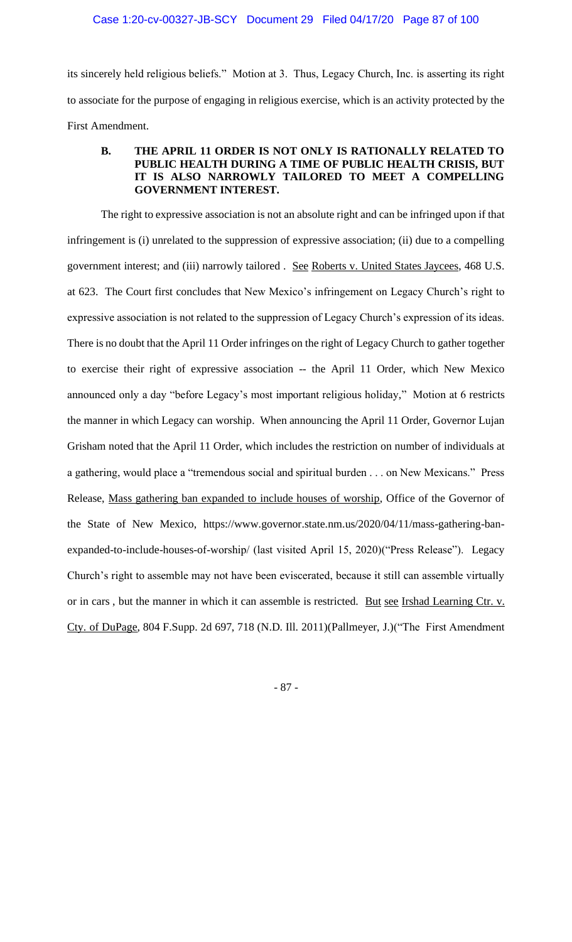its sincerely held religious beliefs." Motion at 3. Thus, Legacy Church, Inc. is asserting its right to associate for the purpose of engaging in religious exercise, which is an activity protected by the First Amendment.

# **B. THE APRIL 11 ORDER IS NOT ONLY IS RATIONALLY RELATED TO PUBLIC HEALTH DURING A TIME OF PUBLIC HEALTH CRISIS, BUT IT IS ALSO NARROWLY TAILORED TO MEET A COMPELLING GOVERNMENT INTEREST.**

The right to expressive association is not an absolute right and can be infringed upon if that infringement is (i) unrelated to the suppression of expressive association; (ii) due to a compelling government interest; and (iii) narrowly tailored . See Roberts v. United States Jaycees, 468 U.S. at 623. The Court first concludes that New Mexico's infringement on Legacy Church's right to expressive association is not related to the suppression of Legacy Church's expression of its ideas. There is no doubt that the April 11 Order infringes on the right of Legacy Church to gather together to exercise their right of expressive association -- the April 11 Order, which New Mexico announced only a day "before Legacy's most important religious holiday," Motion at 6 restricts the manner in which Legacy can worship. When announcing the April 11 Order, Governor Lujan Grisham noted that the April 11 Order, which includes the restriction on number of individuals at a gathering, would place a "tremendous social and spiritual burden . . . on New Mexicans." Press Release, Mass gathering ban expanded to include houses of worship, Office of the Governor of the State of New Mexico, https://www.governor.state.nm.us/2020/04/11/mass-gathering-banexpanded-to-include-houses-of-worship/ (last visited April 15, 2020)("Press Release"). Legacy Church's right to assemble may not have been eviscerated, because it still can assemble virtually or in cars, but the manner in which it can assemble is restricted. But see Irshad Learning Ctr. v. Cty. of DuPage, 804 F.Supp. 2d 697, 718 (N.D. Ill. 2011)(Pallmeyer, J.)("The First Amendment

- 87 -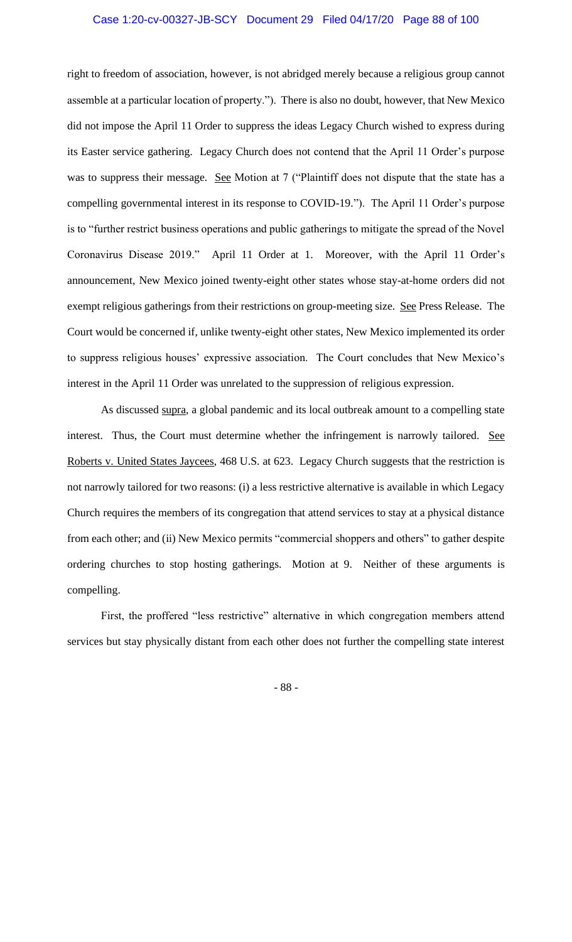right to freedom of association, however, is not abridged merely because a religious group cannot assemble at a particular location of property."). There is also no doubt, however, that New Mexico did not impose the April 11 Order to suppress the ideas Legacy Church wished to express during its Easter service gathering. Legacy Church does not contend that the April 11 Order's purpose was to suppress their message. See Motion at 7 ("Plaintiff does not dispute that the state has a compelling governmental interest in its response to COVID-19."). The April 11 Order's purpose is to "further restrict business operations and public gatherings to mitigate the spread of the Novel Coronavirus Disease 2019." April 11 Order at 1. Moreover, with the April 11 Order's announcement, New Mexico joined twenty-eight other states whose stay-at-home orders did not exempt religious gatherings from their restrictions on group-meeting size. See Press Release. The Court would be concerned if, unlike twenty-eight other states, New Mexico implemented its order to suppress religious houses' expressive association. The Court concludes that New Mexico's interest in the April 11 Order was unrelated to the suppression of religious expression.

As discussed supra, a global pandemic and its local outbreak amount to a compelling state interest. Thus, the Court must determine whether the infringement is narrowly tailored. See Roberts v. United States Jaycees, 468 U.S. at 623. Legacy Church suggests that the restriction is not narrowly tailored for two reasons: (i) a less restrictive alternative is available in which Legacy Church requires the members of its congregation that attend services to stay at a physical distance from each other; and (ii) New Mexico permits "commercial shoppers and others" to gather despite ordering churches to stop hosting gatherings. Motion at 9. Neither of these arguments is compelling.

First, the proffered "less restrictive" alternative in which congregation members attend services but stay physically distant from each other does not further the compelling state interest

- 88 -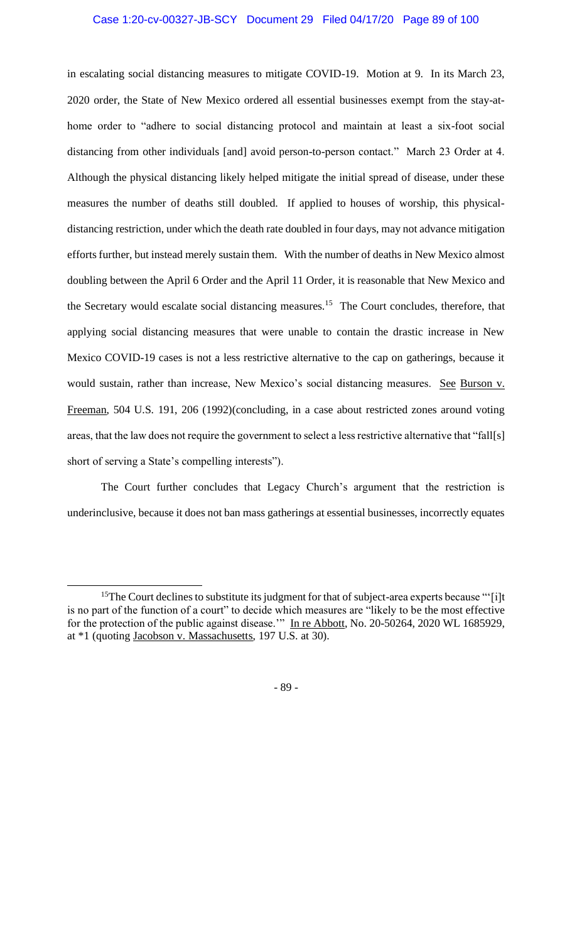#### Case 1:20-cv-00327-JB-SCY Document 29 Filed 04/17/20 Page 89 of 100

in escalating social distancing measures to mitigate COVID-19. Motion at 9. In its March 23, 2020 order, the State of New Mexico ordered all essential businesses exempt from the stay-athome order to "adhere to social distancing protocol and maintain at least a six-foot social distancing from other individuals [and] avoid person-to-person contact." March 23 Order at 4. Although the physical distancing likely helped mitigate the initial spread of disease, under these measures the number of deaths still doubled. If applied to houses of worship, this physicaldistancing restriction, under which the death rate doubled in four days, may not advance mitigation efforts further, but instead merely sustain them. With the number of deaths in New Mexico almost doubling between the April 6 Order and the April 11 Order, it is reasonable that New Mexico and the Secretary would escalate social distancing measures.<sup>15</sup> The Court concludes, therefore, that applying social distancing measures that were unable to contain the drastic increase in New Mexico COVID-19 cases is not a less restrictive alternative to the cap on gatherings, because it would sustain, rather than increase, New Mexico's social distancing measures. See Burson v. Freeman, 504 U.S. 191, 206 (1992)(concluding, in a case about restricted zones around voting areas, that the law does not require the government to select a less restrictive alternative that "fall[s] short of serving a State's compelling interests").

The Court further concludes that Legacy Church's argument that the restriction is underinclusive, because it does not ban mass gatherings at essential businesses, incorrectly equates

- 89 -

<sup>&</sup>lt;sup>15</sup>The Court declines to substitute its judgment for that of subject-area experts because "'[i]t is no part of the function of a court" to decide which measures are "likely to be the most effective for the protection of the public against disease." In re Abbott, No. 20-50264, 2020 WL 1685929, at \*1 (quoting Jacobson v. Massachusetts, 197 U.S. at 30).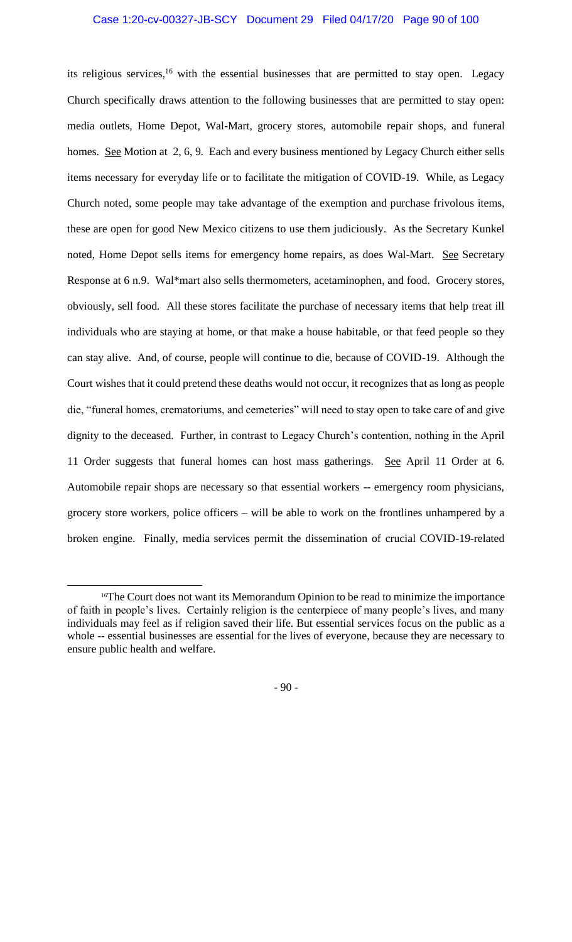### Case 1:20-cv-00327-JB-SCY Document 29 Filed 04/17/20 Page 90 of 100

its religious services,<sup>16</sup> with the essential businesses that are permitted to stay open. Legacy Church specifically draws attention to the following businesses that are permitted to stay open: media outlets, Home Depot, Wal-Mart, grocery stores, automobile repair shops, and funeral homes. See Motion at 2, 6, 9. Each and every business mentioned by Legacy Church either sells items necessary for everyday life or to facilitate the mitigation of COVID-19. While, as Legacy Church noted, some people may take advantage of the exemption and purchase frivolous items, these are open for good New Mexico citizens to use them judiciously. As the Secretary Kunkel noted, Home Depot sells items for emergency home repairs, as does Wal-Mart. See Secretary Response at 6 n.9. Wal\*mart also sells thermometers, acetaminophen, and food. Grocery stores, obviously, sell food. All these stores facilitate the purchase of necessary items that help treat ill individuals who are staying at home, or that make a house habitable, or that feed people so they can stay alive. And, of course, people will continue to die, because of COVID-19. Although the Court wishes that it could pretend these deaths would not occur, it recognizes that as long as people die, "funeral homes, crematoriums, and cemeteries" will need to stay open to take care of and give dignity to the deceased. Further, in contrast to Legacy Church's contention, nothing in the April 11 Order suggests that funeral homes can host mass gatherings. See April 11 Order at 6. Automobile repair shops are necessary so that essential workers -- emergency room physicians, grocery store workers, police officers – will be able to work on the frontlines unhampered by a broken engine. Finally, media services permit the dissemination of crucial COVID-19-related

- 90 -

<sup>&</sup>lt;sup>16</sup>The Court does not want its Memorandum Opinion to be read to minimize the importance of faith in people's lives. Certainly religion is the centerpiece of many people's lives, and many individuals may feel as if religion saved their life. But essential services focus on the public as a whole -- essential businesses are essential for the lives of everyone, because they are necessary to ensure public health and welfare.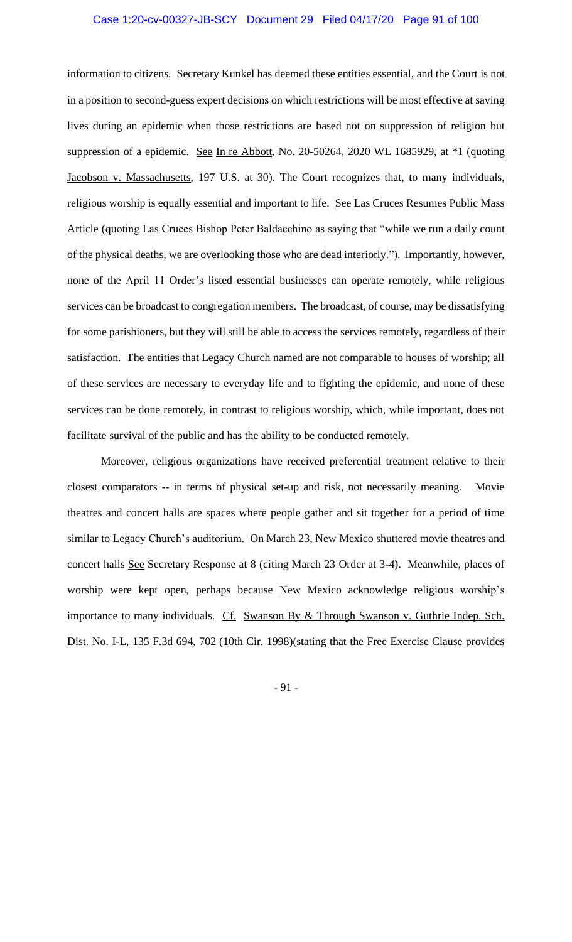#### Case 1:20-cv-00327-JB-SCY Document 29 Filed 04/17/20 Page 91 of 100

information to citizens. Secretary Kunkel has deemed these entities essential, and the Court is not in a position to second-guess expert decisions on which restrictions will be most effective at saving lives during an epidemic when those restrictions are based not on suppression of religion but suppression of a epidemic. See In re Abbott, No. 20-50264, 2020 WL 1685929, at \*1 (quoting Jacobson v. Massachusetts, 197 U.S. at 30). The Court recognizes that, to many individuals, religious worship is equally essential and important to life. See Las Cruces Resumes Public Mass Article (quoting Las Cruces Bishop Peter Baldacchino as saying that "while we run a daily count of the physical deaths, we are overlooking those who are dead interiorly."). Importantly, however, none of the April 11 Order's listed essential businesses can operate remotely, while religious services can be broadcast to congregation members. The broadcast, of course, may be dissatisfying for some parishioners, but they will still be able to access the services remotely, regardless of their satisfaction. The entities that Legacy Church named are not comparable to houses of worship; all of these services are necessary to everyday life and to fighting the epidemic, and none of these services can be done remotely, in contrast to religious worship, which, while important, does not facilitate survival of the public and has the ability to be conducted remotely.

Moreover, religious organizations have received preferential treatment relative to their closest comparators -- in terms of physical set-up and risk, not necessarily meaning. Movie theatres and concert halls are spaces where people gather and sit together for a period of time similar to Legacy Church's auditorium. On March 23, New Mexico shuttered movie theatres and concert halls See Secretary Response at 8 (citing March 23 Order at 3-4). Meanwhile, places of worship were kept open, perhaps because New Mexico acknowledge religious worship's importance to many individuals. Cf. Swanson By & Through Swanson v. Guthrie Indep. Sch. Dist. No. I-L, 135 F.3d 694, 702 (10th Cir. 1998)(stating that the Free Exercise Clause provides

- 91 -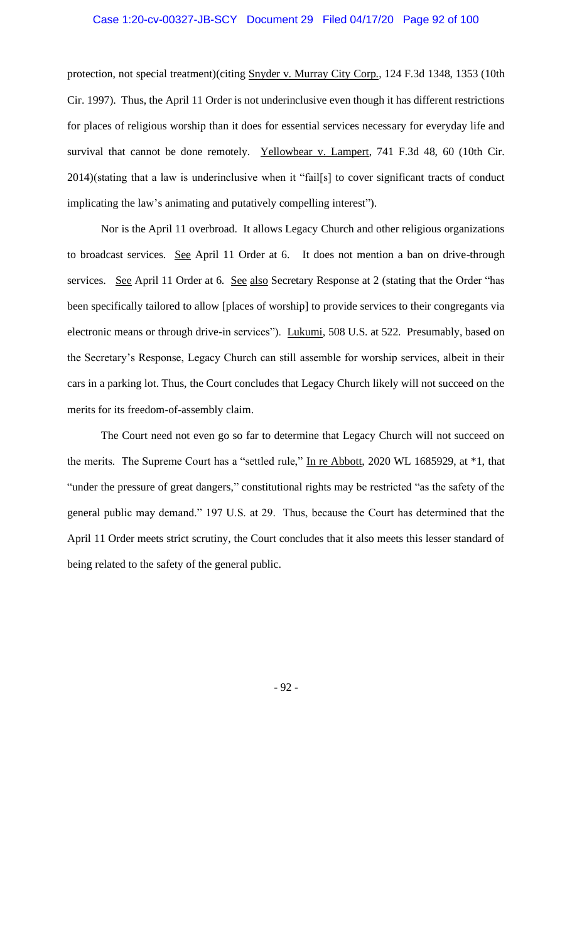protection, not special treatment)(citing Snyder v. Murray City Corp., 124 F.3d 1348, 1353 (10th Cir. 1997). Thus, the April 11 Order is not underinclusive even though it has different restrictions for places of religious worship than it does for essential services necessary for everyday life and survival that cannot be done remotely. Yellowbear v. Lampert, 741 F.3d 48, 60 (10th Cir. 2014)(stating that a law is underinclusive when it "fail[s] to cover significant tracts of conduct implicating the law's animating and putatively compelling interest").

Nor is the April 11 overbroad. It allows Legacy Church and other religious organizations to broadcast services. See April 11 Order at 6. It does not mention a ban on drive-through services. See April 11 Order at 6. See also Secretary Response at 2 (stating that the Order "has been specifically tailored to allow [places of worship] to provide services to their congregants via electronic means or through drive-in services"). Lukumi, 508 U.S. at 522. Presumably, based on the Secretary's Response, Legacy Church can still assemble for worship services, albeit in their cars in a parking lot. Thus, the Court concludes that Legacy Church likely will not succeed on the merits for its freedom-of-assembly claim.

The Court need not even go so far to determine that Legacy Church will not succeed on the merits. The Supreme Court has a "settled rule," In re Abbott, 2020 WL 1685929, at \*1, that "under the pressure of great dangers," constitutional rights may be restricted "as the safety of the general public may demand." 197 U.S. at 29. Thus, because the Court has determined that the April 11 Order meets strict scrutiny, the Court concludes that it also meets this lesser standard of being related to the safety of the general public.

- 92 -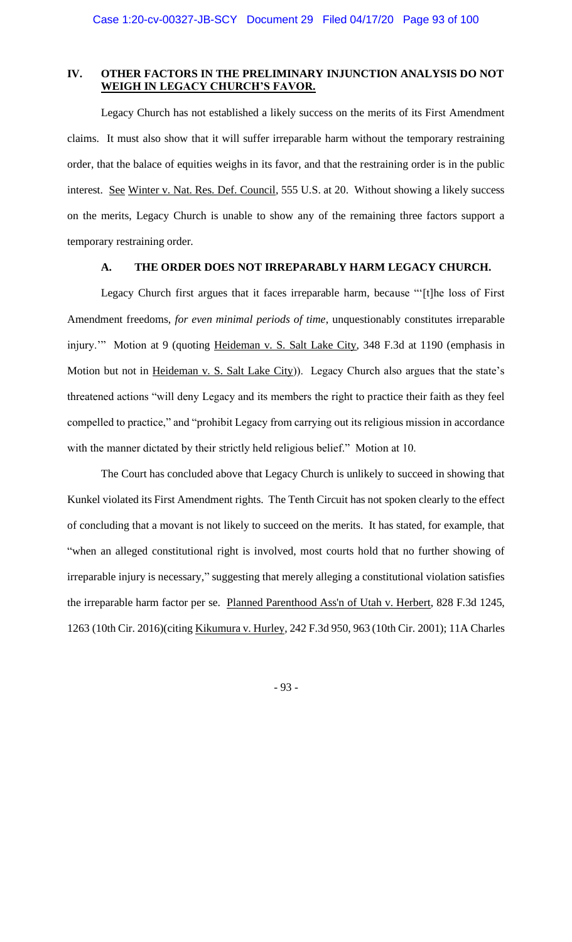# **IV. OTHER FACTORS IN THE PRELIMINARY INJUNCTION ANALYSIS DO NOT WEIGH IN LEGACY CHURCH'S FAVOR.**

Legacy Church has not established a likely success on the merits of its First Amendment claims. It must also show that it will suffer irreparable harm without the temporary restraining order, that the balace of equities weighs in its favor, and that the restraining order is in the public interest. See Winter v. Nat. Res. Def. Council, 555 U.S. at 20. Without showing a likely success on the merits, Legacy Church is unable to show any of the remaining three factors support a temporary restraining order.

#### **A. THE ORDER DOES NOT IRREPARABLY HARM LEGACY CHURCH.**

Legacy Church first argues that it faces irreparable harm, because "'[t]he loss of First Amendment freedoms, *for even minimal periods of time*, unquestionably constitutes irreparable injury."" Motion at 9 (quoting Heideman v. S. Salt Lake City, 348 F.3d at 1190 (emphasis in Motion but not in Heideman v. S. Salt Lake City)). Legacy Church also argues that the state's threatened actions "will deny Legacy and its members the right to practice their faith as they feel compelled to practice," and "prohibit Legacy from carrying out its religious mission in accordance with the manner dictated by their strictly held religious belief." Motion at 10.

The Court has concluded above that Legacy Church is unlikely to succeed in showing that Kunkel violated its First Amendment rights. The Tenth Circuit has not spoken clearly to the effect of concluding that a movant is not likely to succeed on the merits. It has stated, for example, that "when an alleged constitutional right is involved, most courts hold that no further showing of irreparable injury is necessary," suggesting that merely alleging a constitutional violation satisfies the irreparable harm factor per se. Planned Parenthood Ass'n of Utah v. Herbert, 828 F.3d 1245, 1263 (10th Cir. 2016)(citing Kikumura v. Hurley, 242 F.3d 950, 963 (10th Cir. 2001); 11A Charles

- 93 -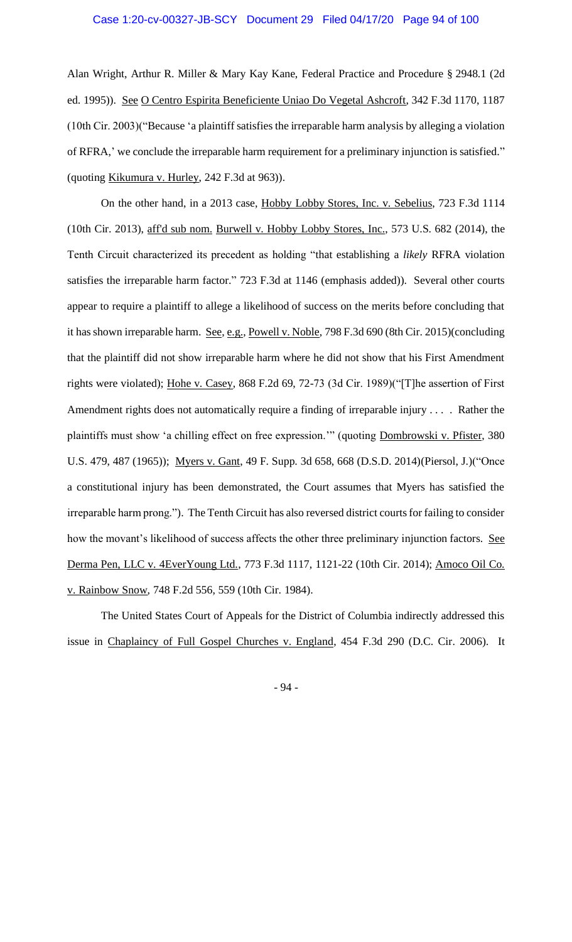Alan Wright, Arthur R. Miller & Mary Kay Kane, Federal Practice and Procedure § 2948.1 (2d ed. 1995)). See O Centro Espirita Beneficiente Uniao Do Vegetal Ashcroft, 342 F.3d 1170, 1187 (10th Cir. 2003)("Because 'a plaintiff satisfies the irreparable harm analysis by alleging a violation of RFRA,' we conclude the irreparable harm requirement for a preliminary injunction is satisfied." (quoting Kikumura v. Hurley, 242 F.3d at 963)).

On the other hand, in a 2013 case, Hobby Lobby Stores, Inc. v. Sebelius, 723 F.3d 1114 (10th Cir. 2013), aff'd sub nom. Burwell v. Hobby Lobby Stores, Inc., 573 U.S. 682 (2014), the Tenth Circuit characterized its precedent as holding "that establishing a *likely* RFRA violation satisfies the irreparable harm factor." 723 F.3d at 1146 (emphasis added)). Several other courts appear to require a plaintiff to allege a likelihood of success on the merits before concluding that it has shown irreparable harm. See, e.g., Powell v. Noble, 798 F.3d 690 (8th Cir. 2015) (concluding that the plaintiff did not show irreparable harm where he did not show that his First Amendment rights were violated); Hohe v. Casey, 868 F.2d 69, 72-73 (3d Cir. 1989)("[T]he assertion of First Amendment rights does not automatically require a finding of irreparable injury . . . . Rather the plaintiffs must show 'a chilling effect on free expression.'" (quoting Dombrowski v. Pfister, 380 U.S. 479, 487 (1965)); Myers v. Gant, 49 F. Supp. 3d 658, 668 (D.S.D. 2014)(Piersol, J.)("Once a constitutional injury has been demonstrated, the Court assumes that Myers has satisfied the irreparable harm prong."). The Tenth Circuit has also reversed district courts for failing to consider how the movant's likelihood of success affects the other three preliminary injunction factors. See Derma Pen, LLC v. 4EverYoung Ltd., 773 F.3d 1117, 1121-22 (10th Cir. 2014); Amoco Oil Co. v. Rainbow Snow*,* 748 F.2d 556, 559 (10th Cir. 1984).

The United States Court of Appeals for the District of Columbia indirectly addressed this issue in Chaplaincy of Full Gospel Churches v. England, 454 F.3d 290 (D.C. Cir. 2006). It

- 94 -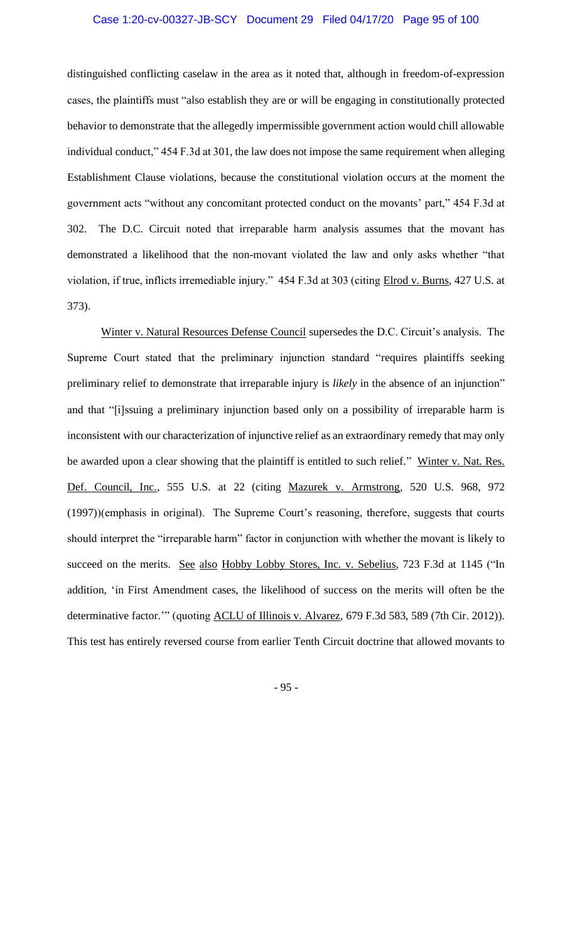#### Case 1:20-cv-00327-JB-SCY Document 29 Filed 04/17/20 Page 95 of 100

distinguished conflicting caselaw in the area as it noted that, although in freedom-of-expression cases, the plaintiffs must "also establish they are or will be engaging in constitutionally protected behavior to demonstrate that the allegedly impermissible government action would chill allowable individual conduct," 454 F.3d at 301, the law does not impose the same requirement when alleging Establishment Clause violations, because the constitutional violation occurs at the moment the government acts "without any concomitant protected conduct on the movants' part," 454 F.3d at 302. The D.C. Circuit noted that irreparable harm analysis assumes that the movant has demonstrated a likelihood that the non-movant violated the law and only asks whether "that violation, if true, inflicts irremediable injury." 454 F.3d at 303 (citing Elrod v. Burns, 427 U.S. at 373).

Winter v. Natural Resources Defense Council supersedes the D.C. Circuit's analysis. The Supreme Court stated that the preliminary injunction standard "requires plaintiffs seeking preliminary relief to demonstrate that irreparable injury is *likely* in the absence of an injunction" and that "[i]ssuing a preliminary injunction based only on a possibility of irreparable harm is inconsistent with our characterization of injunctive relief as an extraordinary remedy that may only be awarded upon a clear showing that the plaintiff is entitled to such relief." Winter v. Nat. Res. Def. Council, Inc., 555 U.S. at 22 (citing Mazurek v. Armstrong*,* 520 U.S. 968, 972 (1997))(emphasis in original). The Supreme Court's reasoning, therefore, suggests that courts should interpret the "irreparable harm" factor in conjunction with whether the movant is likely to succeed on the merits. See also Hobby Lobby Stores, Inc. v. Sebelius, 723 F.3d at 1145 ("In addition, 'in First Amendment cases, the likelihood of success on the merits will often be the determinative factor.'" (quoting ACLU of Illinois v. Alvarez*,* 679 F.3d 583, 589 (7th Cir. 2012)). This test has entirely reversed course from earlier Tenth Circuit doctrine that allowed movants to

- 95 -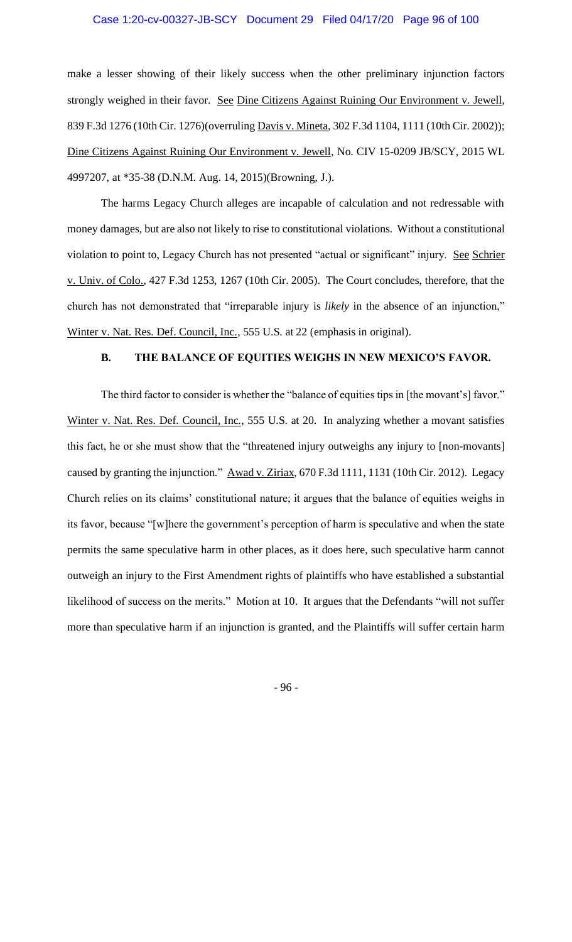#### Case 1:20-cv-00327-JB-SCY Document 29 Filed 04/17/20 Page 96 of 100

make a lesser showing of their likely success when the other preliminary injunction factors strongly weighed in their favor. See Dine Citizens Against Ruining Our Environment v. Jewell, 839 F.3d 1276 (10th Cir. 1276)(overruling Davis v. Mineta, 302 F.3d 1104, 1111 (10th Cir. 2002)); Dine Citizens Against Ruining Our Environment v. Jewell, No. CIV 15-0209 JB/SCY, 2015 WL 4997207, at \*35-38 (D.N.M. Aug. 14, 2015)(Browning, J.).

The harms Legacy Church alleges are incapable of calculation and not redressable with money damages, but are also not likely to rise to constitutional violations. Without a constitutional violation to point to, Legacy Church has not presented "actual or significant" injury. See Schrier v. Univ. of Colo., 427 F.3d 1253, 1267 (10th Cir. 2005). The Court concludes, therefore, that the church has not demonstrated that "irreparable injury is *likely* in the absence of an injunction," Winter v. Nat. Res. Def. Council, Inc., 555 U.S. at 22 (emphasis in original).

#### **B. THE BALANCE OF EQUITIES WEIGHS IN NEW MEXICO'S FAVOR.**

The third factor to consider is whether the "balance of equities tips in [the movant's] favor." Winter v. Nat. Res. Def. Council, Inc., 555 U.S. at 20. In analyzing whether a movant satisfies this fact, he or she must show that the "threatened injury outweighs any injury to [non-movants] caused by granting the injunction." Awad v. Ziriax, 670 F.3d 1111, 1131 (10th Cir. 2012). Legacy Church relies on its claims' constitutional nature; it argues that the balance of equities weighs in its favor, because "[w]here the government's perception of harm is speculative and when the state permits the same speculative harm in other places, as it does here, such speculative harm cannot outweigh an injury to the First Amendment rights of plaintiffs who have established a substantial likelihood of success on the merits." Motion at 10. It argues that the Defendants "will not suffer more than speculative harm if an injunction is granted, and the Plaintiffs will suffer certain harm

- 96 -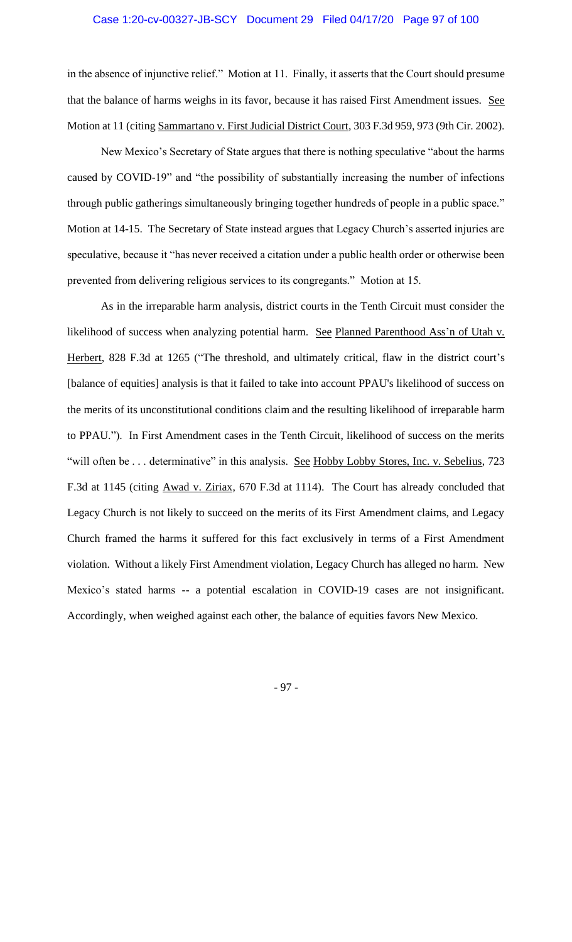in the absence of injunctive relief." Motion at 11. Finally, it asserts that the Court should presume that the balance of harms weighs in its favor, because it has raised First Amendment issues. See Motion at 11 (citing Sammartano v. First Judicial District Court, 303 F.3d 959, 973 (9th Cir. 2002).

New Mexico's Secretary of State argues that there is nothing speculative "about the harms caused by COVID-19" and "the possibility of substantially increasing the number of infections through public gatherings simultaneously bringing together hundreds of people in a public space." Motion at 14-15. The Secretary of State instead argues that Legacy Church's asserted injuries are speculative, because it "has never received a citation under a public health order or otherwise been prevented from delivering religious services to its congregants." Motion at 15.

As in the irreparable harm analysis, district courts in the Tenth Circuit must consider the likelihood of success when analyzing potential harm. See Planned Parenthood Ass'n of Utah v. Herbert, 828 F.3d at 1265 ("The threshold, and ultimately critical, flaw in the district court's [balance of equities] analysis is that it failed to take into account PPAU's likelihood of success on the merits of its unconstitutional conditions claim and the resulting likelihood of irreparable harm to PPAU."). In First Amendment cases in the Tenth Circuit, likelihood of success on the merits "will often be . . . determinative" in this analysis. See Hobby Lobby Stores, Inc. v. Sebelius, 723 F.3d at 1145 (citing Awad v. Ziriax, 670 F.3d at 1114). The Court has already concluded that Legacy Church is not likely to succeed on the merits of its First Amendment claims, and Legacy Church framed the harms it suffered for this fact exclusively in terms of a First Amendment violation. Without a likely First Amendment violation, Legacy Church has alleged no harm. New Mexico's stated harms -- a potential escalation in COVID-19 cases are not insignificant. Accordingly, when weighed against each other, the balance of equities favors New Mexico.

- 97 -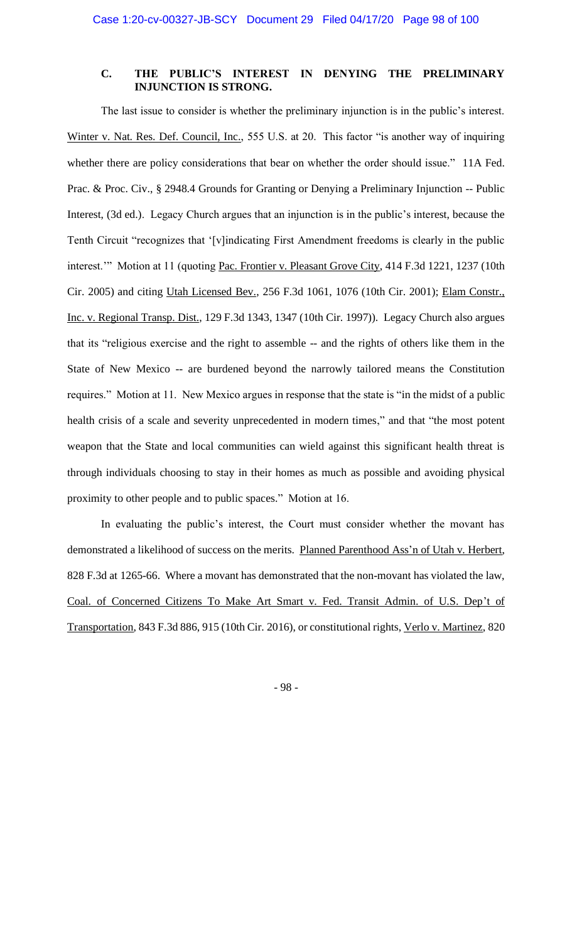### **C. THE PUBLIC'S INTEREST IN DENYING THE PRELIMINARY INJUNCTION IS STRONG.**

The last issue to consider is whether the preliminary injunction is in the public's interest. Winter v. Nat. Res. Def. Council, Inc., 555 U.S. at 20. This factor "is another way of inquiring whether there are policy considerations that bear on whether the order should issue." 11A Fed. Prac. & Proc. Civ., § 2948.4 Grounds for Granting or Denying a Preliminary Injunction -- Public Interest, (3d ed.). Legacy Church argues that an injunction is in the public's interest, because the Tenth Circuit "recognizes that '[v]indicating First Amendment freedoms is clearly in the public interest." Motion at 11 (quoting Pac. Frontier v. Pleasant Grove City, 414 F.3d 1221, 1237 (10th Cir. 2005) and citing Utah Licensed Bev., 256 F.3d 1061, 1076 (10th Cir. 2001); Elam Constr., Inc. v. Regional Transp. Dist., 129 F.3d 1343, 1347 (10th Cir. 1997)). Legacy Church also argues that its "religious exercise and the right to assemble -- and the rights of others like them in the State of New Mexico -- are burdened beyond the narrowly tailored means the Constitution requires." Motion at 11. New Mexico argues in response that the state is "in the midst of a public health crisis of a scale and severity unprecedented in modern times," and that "the most potent weapon that the State and local communities can wield against this significant health threat is through individuals choosing to stay in their homes as much as possible and avoiding physical proximity to other people and to public spaces." Motion at 16.

In evaluating the public's interest, the Court must consider whether the movant has demonstrated a likelihood of success on the merits. Planned Parenthood Ass'n of Utah v. Herbert, 828 F.3d at 1265-66. Where a movant has demonstrated that the non-movant has violated the law, Coal. of Concerned Citizens To Make Art Smart v. Fed. Transit Admin. of U.S. Dep't of Transportation, 843 F.3d 886, 915 (10th Cir. 2016), or constitutional rights, Verlo v. Martinez, 820

- 98 -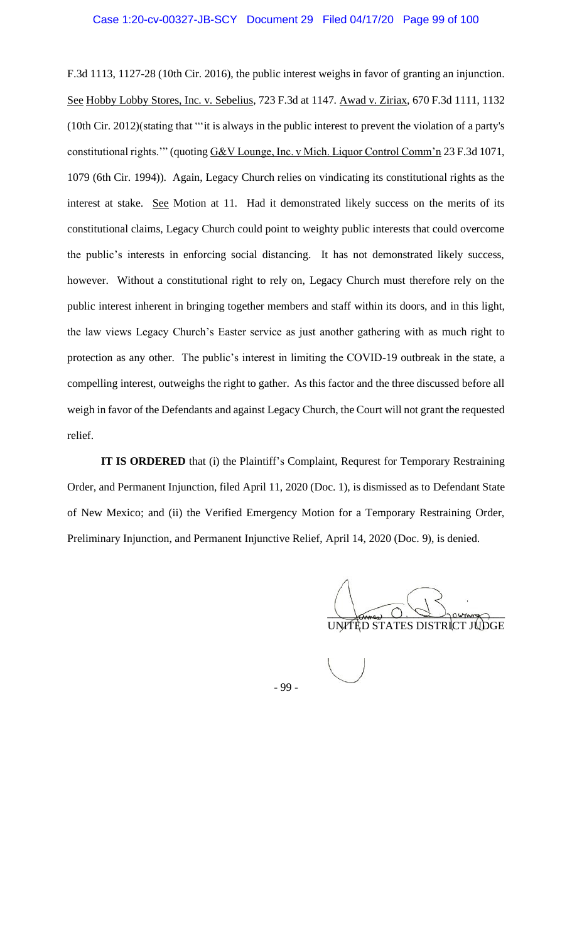F.3d 1113, 1127-28 (10th Cir. 2016), the public interest weighs in favor of granting an injunction. See Hobby Lobby Stores, Inc. v. Sebelius, 723 F.3d at 1147. Awad v. Ziriax, 670 F.3d 1111, 1132 (10th Cir. 2012)(stating that "'it is always in the public interest to prevent the violation of a party's constitutional rights.'" (quoting G&V Lounge, Inc. v Mich. Liquor Control Comm'n 23 F.3d 1071, 1079 (6th Cir. 1994)). Again, Legacy Church relies on vindicating its constitutional rights as the interest at stake. See Motion at 11. Had it demonstrated likely success on the merits of its constitutional claims, Legacy Church could point to weighty public interests that could overcome the public's interests in enforcing social distancing. It has not demonstrated likely success, however. Without a constitutional right to rely on, Legacy Church must therefore rely on the public interest inherent in bringing together members and staff within its doors, and in this light, the law views Legacy Church's Easter service as just another gathering with as much right to protection as any other. The public's interest in limiting the COVID-19 outbreak in the state, a compelling interest, outweighs the right to gather. As this factor and the three discussed before all weigh in favor of the Defendants and against Legacy Church, the Court will not grant the requested relief.

**IT IS ORDERED** that (i) the Plaintiff's Complaint, Requrest for Temporary Restraining Order, and Permanent Injunction, filed April 11, 2020 (Doc. 1), is dismissed as to Defendant State of New Mexico; and (ii) the Verified Emergency Motion for a Temporary Restraining Order, Preliminary Injunction, and Permanent Injunctive Relief, April 14, 2020 (Doc. 9), is denied.

 $\bigcup_{\text{rows}}$   $\bigcirc$   $\bigcirc$   $\bigcirc$   $\bigcirc$   $\bigcirc$   $\bigcirc$   $\bigcirc$   $\bigcirc$   $\bigcirc$   $\bigcirc$   $\bigcirc$   $\bigcirc$   $\bigcirc$   $\bigcirc$   $\bigcirc$   $\bigcirc$   $\bigcirc$   $\bigcirc$   $\bigcirc$   $\bigcirc$   $\bigcirc$   $\bigcirc$   $\bigcirc$   $\bigcirc$   $\bigcirc$   $\bigcirc$   $\bigcirc$   $\bigcirc$   $\bigcirc$   $\bigcirc$   $\bigcirc$   $\bigcirc$   $\bigcirc$   $\bigcirc$   $\bigcirc$ UNITED STATES DISTRICT JUDGE

- 99 -